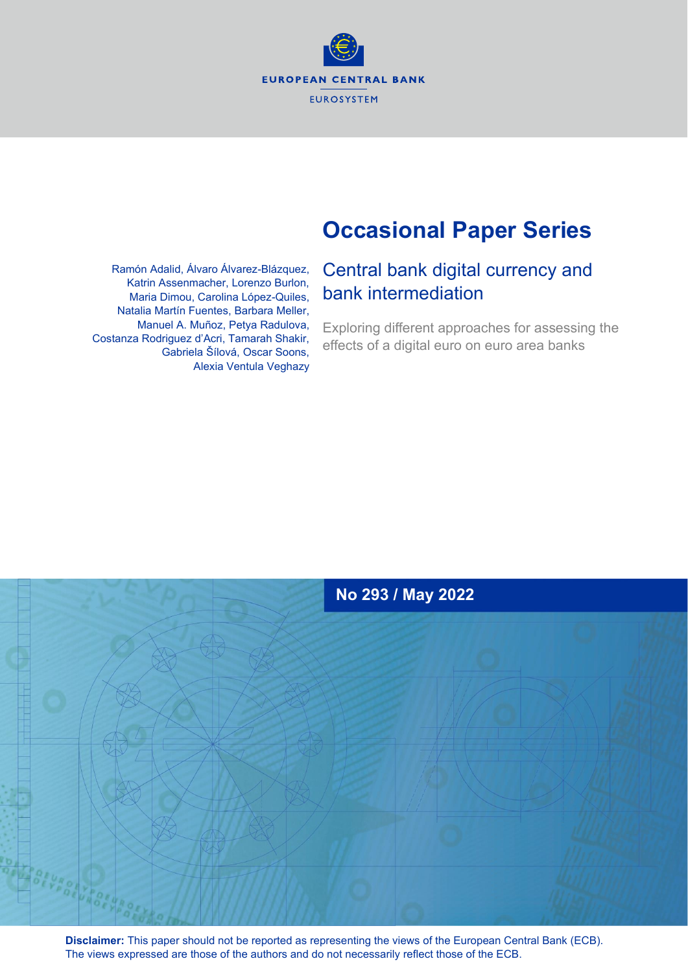**EUROPEAN CENTRAL BANK EUROSYSTEM** 

# **Occasional Paper Series**

Ramón Adalid, Álvaro Álvarez-Blázquez, Katrin Assenmacher, Lorenzo Burlon, Maria Dimou, Carolina López-Quiles, Natalia Martín Fuentes, Barbara Meller, Manuel A. Muñoz, Petya Radulova, Costanza Rodriguez d'Acri, Tamarah Shakir, Gabriela Šílová, Oscar Soons, Alexia Ventula Veghazy

# Central bank digital currency and bank intermediation

Exploring different approaches for assessing the effects of a digital euro on euro area banks



**Disclaimer:** This paper should not be reported as representing the views of the European Central Bank (ECB). The views expressed are those of the authors and do not necessarily reflect those of the ECB.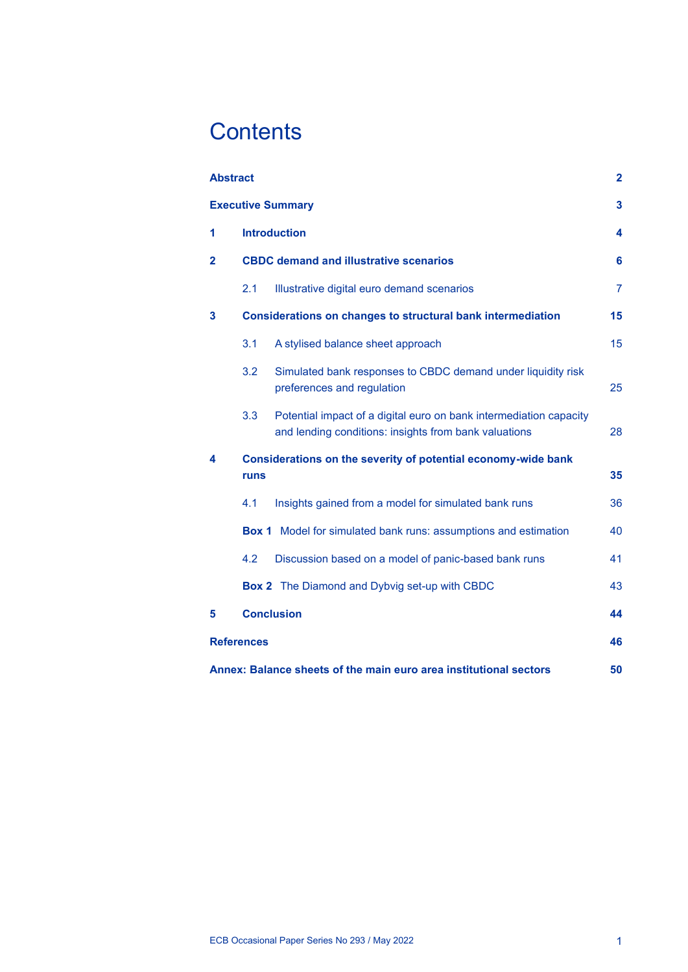# **Contents**

| <b>Abstract</b> |                                               |                                                                                                                             | $\overline{2}$ |  |  |
|-----------------|-----------------------------------------------|-----------------------------------------------------------------------------------------------------------------------------|----------------|--|--|
|                 |                                               | <b>Executive Summary</b>                                                                                                    | 3              |  |  |
| 1               | <b>Introduction</b>                           |                                                                                                                             |                |  |  |
| $\mathbf{2}$    | <b>CBDC demand and illustrative scenarios</b> |                                                                                                                             |                |  |  |
|                 | 2.1                                           | Illustrative digital euro demand scenarios                                                                                  | $\overline{7}$ |  |  |
| 3               |                                               | <b>Considerations on changes to structural bank intermediation</b>                                                          | 15             |  |  |
|                 | 3.1                                           | A stylised balance sheet approach                                                                                           | 15             |  |  |
|                 | 3.2                                           | Simulated bank responses to CBDC demand under liquidity risk<br>preferences and regulation                                  | 25             |  |  |
|                 | 3.3                                           | Potential impact of a digital euro on bank intermediation capacity<br>and lending conditions: insights from bank valuations | 28             |  |  |
| 4               | runs                                          | Considerations on the severity of potential economy-wide bank                                                               | 35             |  |  |
|                 | 4.1                                           | Insights gained from a model for simulated bank runs                                                                        | 36             |  |  |
|                 | Box 1                                         | Model for simulated bank runs: assumptions and estimation                                                                   | 40             |  |  |
|                 | 4.2                                           | Discussion based on a model of panic-based bank runs                                                                        | 41             |  |  |
|                 |                                               | <b>Box 2</b> The Diamond and Dybvig set-up with CBDC                                                                        | 43             |  |  |
| 5               |                                               | <b>Conclusion</b>                                                                                                           | 44             |  |  |
|                 | <b>References</b>                             |                                                                                                                             | 46             |  |  |
|                 |                                               | Annex: Balance sheets of the main euro area institutional sectors                                                           | 50             |  |  |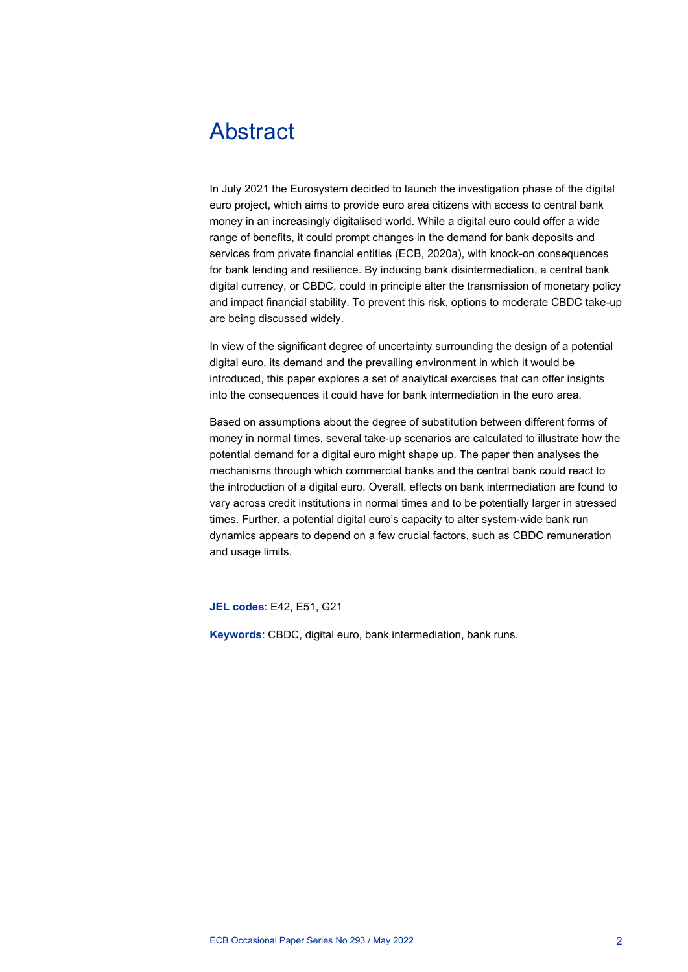# Abstract

In July 2021 the Eurosystem decided to launch the investigation phase of the digital euro project, which aims to provide euro area citizens with access to central bank money in an increasingly digitalised world. While a digital euro could offer a wide range of benefits, it could prompt changes in the demand for bank deposits and services from private financial entities (ECB, 2020a), with knock-on consequences for bank lending and resilience. By inducing bank disintermediation, a central bank digital currency, or CBDC, could in principle alter the transmission of monetary policy and impact financial stability. To prevent this risk, options to moderate CBDC take-up are being discussed widely.

In view of the significant degree of uncertainty surrounding the design of a potential digital euro, its demand and the prevailing environment in which it would be introduced, this paper explores a set of analytical exercises that can offer insights into the consequences it could have for bank intermediation in the euro area.

Based on assumptions about the degree of substitution between different forms of money in normal times, several take-up scenarios are calculated to illustrate how the potential demand for a digital euro might shape up. The paper then analyses the mechanisms through which commercial banks and the central bank could react to the introduction of a digital euro. Overall, effects on bank intermediation are found to vary across credit institutions in normal times and to be potentially larger in stressed times. Further, a potential digital euro's capacity to alter system-wide bank run dynamics appears to depend on a few crucial factors, such as CBDC remuneration and usage limits.

**JEL codes**: E42, E51, G21

**Keywords**: CBDC, digital euro, bank intermediation, bank runs.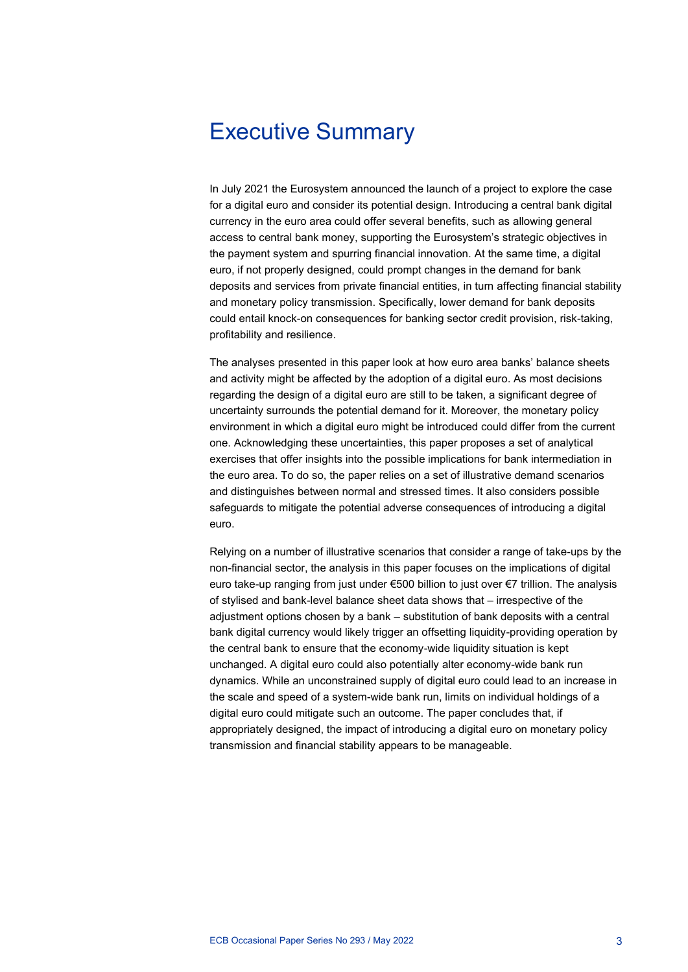# Executive Summary

In July 2021 the Eurosystem announced the launch of a project to explore the case for a digital euro and consider its potential design. Introducing a central bank digital currency in the euro area could offer several benefits, such as allowing general access to central bank money, supporting the Eurosystem's strategic objectives in the payment system and spurring financial innovation. At the same time, a digital euro, if not properly designed, could prompt changes in the demand for bank deposits and services from private financial entities, in turn affecting financial stability and monetary policy transmission. Specifically, lower demand for bank deposits could entail knock-on consequences for banking sector credit provision, risk-taking, profitability and resilience.

The analyses presented in this paper look at how euro area banks' balance sheets and activity might be affected by the adoption of a digital euro. As most decisions regarding the design of a digital euro are still to be taken, a significant degree of uncertainty surrounds the potential demand for it. Moreover, the monetary policy environment in which a digital euro might be introduced could differ from the current one. Acknowledging these uncertainties, this paper proposes a set of analytical exercises that offer insights into the possible implications for bank intermediation in the euro area. To do so, the paper relies on a set of illustrative demand scenarios and distinguishes between normal and stressed times. It also considers possible safeguards to mitigate the potential adverse consequences of introducing a digital euro.

Relying on a number of illustrative scenarios that consider a range of take-ups by the non-financial sector, the analysis in this paper focuses on the implications of digital euro take-up ranging from just under €500 billion to just over €7 trillion. The analysis of stylised and bank-level balance sheet data shows that – irrespective of the adjustment options chosen by a bank – substitution of bank deposits with a central bank digital currency would likely trigger an offsetting liquidity-providing operation by the central bank to ensure that the economy-wide liquidity situation is kept unchanged. A digital euro could also potentially alter economy-wide bank run dynamics. While an unconstrained supply of digital euro could lead to an increase in the scale and speed of a system-wide bank run, limits on individual holdings of a digital euro could mitigate such an outcome. The paper concludes that, if appropriately designed, the impact of introducing a digital euro on monetary policy transmission and financial stability appears to be manageable.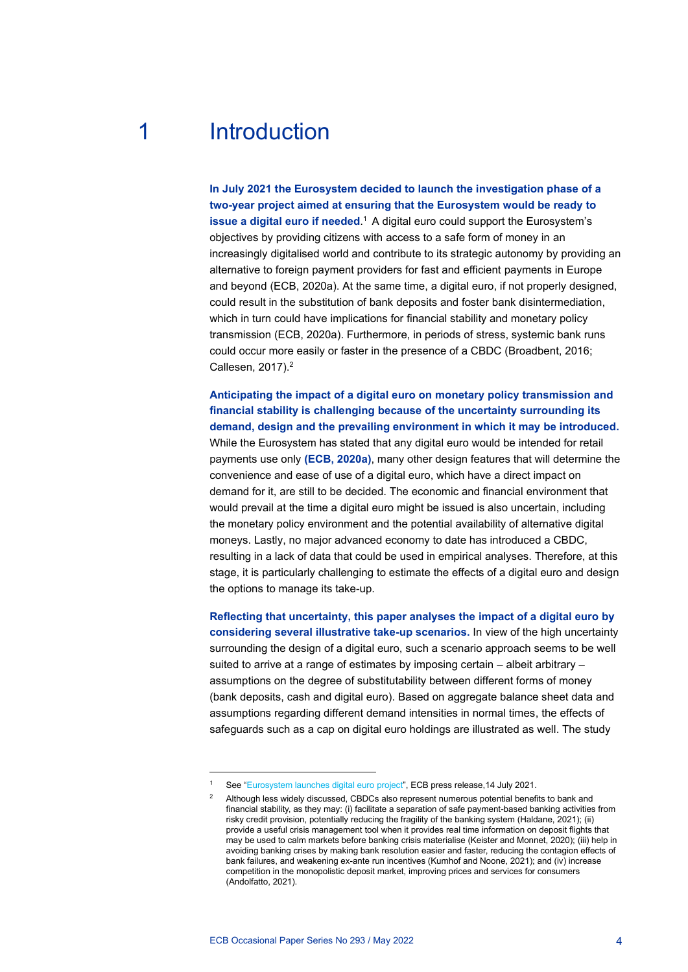# 1 Introduction

**In July 2021 the Eurosystem decided to launch the investigation phase of a two-year project aimed at ensuring that the Eurosystem would be ready to issue a digital euro if needed.**<sup>1</sup> A digital euro could support the Eurosystem's objectives by providing citizens with access to a safe form of money in an increasingly digitalised world and contribute to its strategic autonomy by providing an alternative to foreign payment providers for fast and efficient payments in Europe and beyond (ECB, 2020a). At the same time, a digital euro, if not properly designed, could result in the substitution of bank deposits and foster bank disintermediation, which in turn could have implications for financial stability and monetary policy transmission (ECB, 2020a). Furthermore, in periods of stress, systemic bank runs could occur more easily or faster in the presence of a CBDC (Broadbent, 2016; Callesen, 2017).<sup>2</sup>

**Anticipating the impact of a digital euro on monetary policy transmission and financial stability is challenging because of the uncertainty surrounding its demand, design and the prevailing environment in which it may be introduced.** While the Eurosystem has stated that any digital euro would be intended for retail payments use only **(ECB, 2020a)**, many other design features that will determine the convenience and ease of use of a digital euro, which have a direct impact on demand for it, are still to be decided. The economic and financial environment that would prevail at the time a digital euro might be issued is also uncertain, including the monetary policy environment and the potential availability of alternative digital moneys. Lastly, no major advanced economy to date has introduced a CBDC, resulting in a lack of data that could be used in empirical analyses. Therefore, at this stage, it is particularly challenging to estimate the effects of a digital euro and design the options to manage its take-up.

**Reflecting that uncertainty, this paper analyses the impact of a digital euro by considering several illustrative take-up scenarios.** In view of the high uncertainty surrounding the design of a digital euro, such a scenario approach seems to be well suited to arrive at a range of estimates by imposing certain – albeit arbitrary – assumptions on the degree of substitutability between different forms of money (bank deposits, cash and digital euro). Based on aggregate balance sheet data and assumptions regarding different demand intensities in normal times, the effects of safeguards such as a cap on digital euro holdings are illustrated as well. The study

<sup>1</sup> See "Eurosystem launches digital euro project", ECB press release,14 July 2021.

<sup>2</sup> Although less widely discussed, CBDCs also represent numerous potential benefits to bank and financial stability, as they may: (i) facilitate a separation of safe payment-based banking activities from risky credit provision, potentially reducing the fragility of the banking system (Haldane, 2021); (ii) provide a useful crisis management tool when it provides real time information on deposit flights that may be used to calm markets before banking crisis materialise (Keister and Monnet, 2020); (iii) help in avoiding banking crises by making bank resolution easier and faster, reducing the contagion effects of bank failures, and weakening ex-ante run incentives (Kumhof and Noone, 2021); and (iv) increase competition in the monopolistic deposit market, improving prices and services for consumers (Andolfatto, 2021).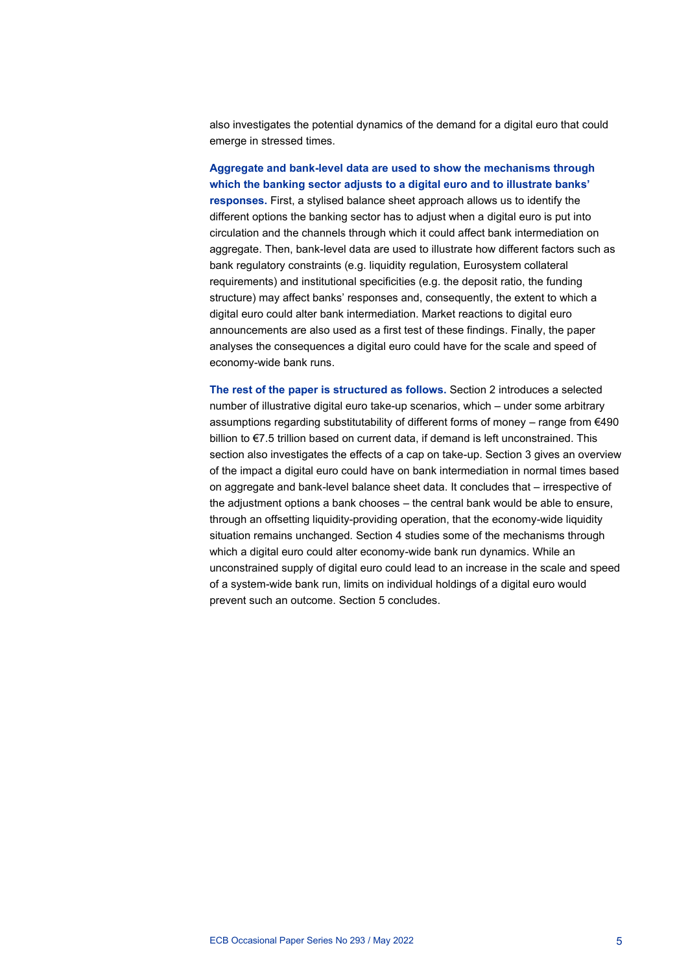also investigates the potential dynamics of the demand for a digital euro that could emerge in stressed times.

**Aggregate and bank-level data are used to show the mechanisms through which the banking sector adjusts to a digital euro and to illustrate banks' responses.** First, a stylised balance sheet approach allows us to identify the different options the banking sector has to adjust when a digital euro is put into circulation and the channels through which it could affect bank intermediation on aggregate. Then, bank-level data are used to illustrate how different factors such as bank regulatory constraints (e.g. liquidity regulation, Eurosystem collateral requirements) and institutional specificities (e.g. the deposit ratio, the funding structure) may affect banks' responses and, consequently, the extent to which a digital euro could alter bank intermediation. Market reactions to digital euro announcements are also used as a first test of these findings. Finally, the paper analyses the consequences a digital euro could have for the scale and speed of economy-wide bank runs.

**The rest of the paper is structured as follows.** Section 2 introduces a selected number of illustrative digital euro take-up scenarios, which – under some arbitrary assumptions regarding substitutability of different forms of money – range from €490 billion to €7.5 trillion based on current data, if demand is left unconstrained. This section also investigates the effects of a cap on take-up. Section 3 gives an overview of the impact a digital euro could have on bank intermediation in normal times based on aggregate and bank-level balance sheet data. It concludes that – irrespective of the adjustment options a bank chooses – the central bank would be able to ensure, through an offsetting liquidity-providing operation, that the economy-wide liquidity situation remains unchanged. Section 4 studies some of the mechanisms through which a digital euro could alter economy-wide bank run dynamics. While an unconstrained supply of digital euro could lead to an increase in the scale and speed of a system-wide bank run, limits on individual holdings of a digital euro would prevent such an outcome. Section 5 concludes.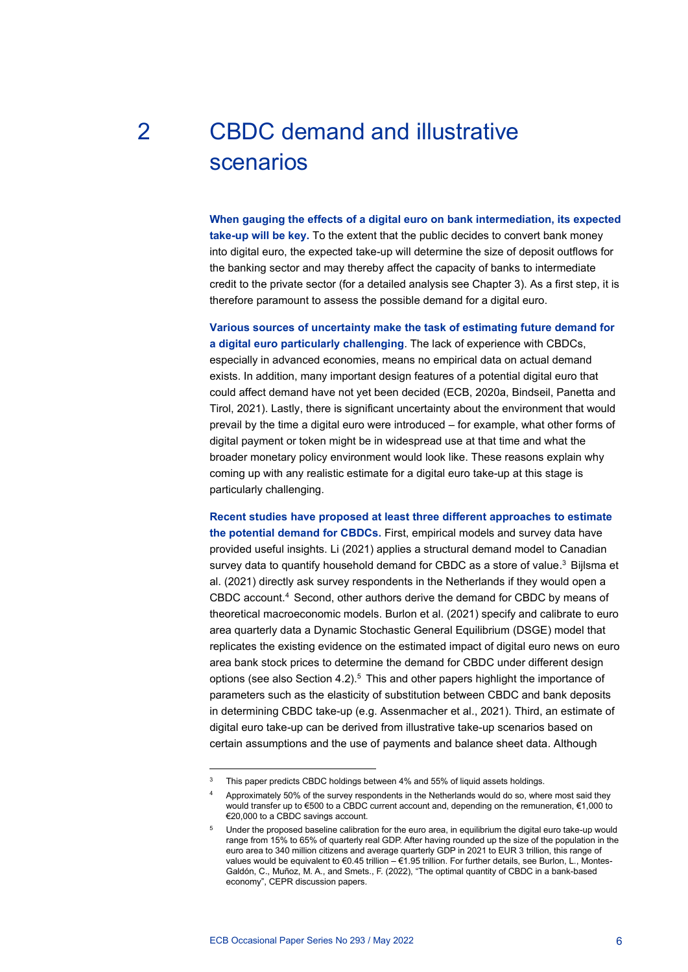# 2 CBDC demand and illustrative scenarios

**When gauging the effects of a digital euro on bank intermediation, its expected take-up will be key.** To the extent that the public decides to convert bank money into digital euro, the expected take-up will determine the size of deposit outflows for the banking sector and may thereby affect the capacity of banks to intermediate credit to the private sector (for a detailed analysis see Chapter 3). As a first step, it is therefore paramount to assess the possible demand for a digital euro.

**Various sources of uncertainty make the task of estimating future demand for a digital euro particularly challenging**. The lack of experience with CBDCs, especially in advanced economies, means no empirical data on actual demand exists. In addition, many important design features of a potential digital euro that could affect demand have not yet been decided (ECB, 2020a, Bindseil, Panetta and Tirol, 2021). Lastly, there is significant uncertainty about the environment that would prevail by the time a digital euro were introduced – for example, what other forms of digital payment or token might be in widespread use at that time and what the broader monetary policy environment would look like. These reasons explain why coming up with any realistic estimate for a digital euro take-up at this stage is particularly challenging.

**Recent studies have proposed at least three different approaches to estimate the potential demand for CBDCs.** First, empirical models and survey data have provided useful insights. Li (2021) applies a structural demand model to Canadian survey data to quantify household demand for CBDC as a store of value.<sup>3</sup> Bijlsma et al. (2021) directly ask survey respondents in the Netherlands if they would open a CBDC account.4 Second, other authors derive the demand for CBDC by means of theoretical macroeconomic models. Burlon et al. (2021) specify and calibrate to euro area quarterly data a Dynamic Stochastic General Equilibrium (DSGE) model that replicates the existing evidence on the estimated impact of digital euro news on euro area bank stock prices to determine the demand for CBDC under different design options (see also Section 4.2).<sup>5</sup> This and other papers highlight the importance of parameters such as the elasticity of substitution between CBDC and bank deposits in determining CBDC take-up (e.g. Assenmacher et al., 2021). Third, an estimate of digital euro take-up can be derived from illustrative take-up scenarios based on certain assumptions and the use of payments and balance sheet data. Although

 $3$  This paper predicts CBDC holdings between 4% and 55% of liquid assets holdings.

<sup>4</sup> Approximately 50% of the survey respondents in the Netherlands would do so, where most said they would transfer up to €500 to a CBDC current account and, depending on the remuneration, €1,000 to €20,000 to a CBDC savings account.

<sup>5</sup> Under the proposed baseline calibration for the euro area, in equilibrium the digital euro take-up would range from 15% to 65% of quarterly real GDP. After having rounded up the size of the population in the euro area to 340 million citizens and average quarterly GDP in 2021 to EUR 3 trillion, this range of values would be equivalent to €0.45 trillion – €1.95 trillion. For further details, see Burlon, L., Montes-Galdón, C., Muñoz, M. A., and Smets., F. (2022), "The optimal quantity of CBDC in a bank-based economy", CEPR discussion papers.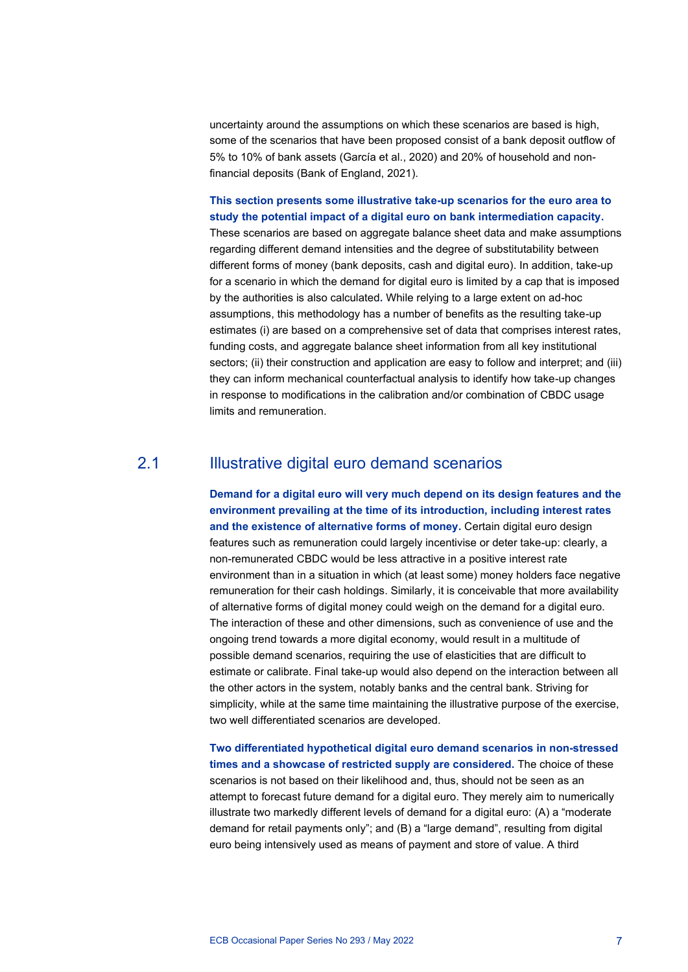uncertainty around the assumptions on which these scenarios are based is high, some of the scenarios that have been proposed consist of a bank deposit outflow of 5% to 10% of bank assets (García et al., 2020) and 20% of household and nonfinancial deposits (Bank of England, 2021).

### **This section presents some illustrative take-up scenarios for the euro area to study the potential impact of a digital euro on bank intermediation capacity.**

These scenarios are based on aggregate balance sheet data and make assumptions regarding different demand intensities and the degree of substitutability between different forms of money (bank deposits, cash and digital euro). In addition, take-up for a scenario in which the demand for digital euro is limited by a cap that is imposed by the authorities is also calculated**.** While relying to a large extent on ad-hoc assumptions, this methodology has a number of benefits as the resulting take-up estimates (i) are based on a comprehensive set of data that comprises interest rates, funding costs, and aggregate balance sheet information from all key institutional sectors; (ii) their construction and application are easy to follow and interpret; and (iii) they can inform mechanical counterfactual analysis to identify how take-up changes in response to modifications in the calibration and/or combination of CBDC usage limits and remuneration.

# 2.1 **Illustrative digital euro demand scenarios**

**Demand for a digital euro will very much depend on its design features and the environment prevailing at the time of its introduction, including interest rates and the existence of alternative forms of money.** Certain digital euro design features such as remuneration could largely incentivise or deter take-up: clearly, a non-remunerated CBDC would be less attractive in a positive interest rate environment than in a situation in which (at least some) money holders face negative remuneration for their cash holdings. Similarly, it is conceivable that more availability of alternative forms of digital money could weigh on the demand for a digital euro. The interaction of these and other dimensions, such as convenience of use and the ongoing trend towards a more digital economy, would result in a multitude of possible demand scenarios, requiring the use of elasticities that are difficult to estimate or calibrate. Final take-up would also depend on the interaction between all the other actors in the system, notably banks and the central bank. Striving for simplicity, while at the same time maintaining the illustrative purpose of the exercise, two well differentiated scenarios are developed.

**Two differentiated hypothetical digital euro demand scenarios in non-stressed times and a showcase of restricted supply are considered.** The choice of these scenarios is not based on their likelihood and, thus, should not be seen as an attempt to forecast future demand for a digital euro. They merely aim to numerically illustrate two markedly different levels of demand for a digital euro: (A) a "moderate demand for retail payments only"; and (B) a "large demand", resulting from digital euro being intensively used as means of payment and store of value. A third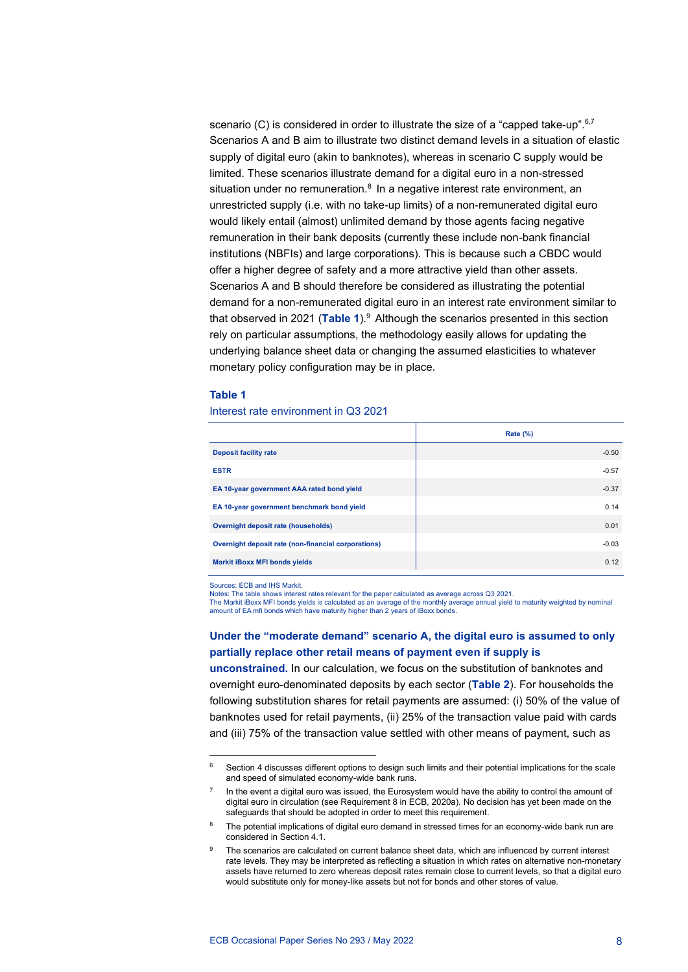scenario (C) is considered in order to illustrate the size of a "capped take-up". $6,7$ Scenarios A and B aim to illustrate two distinct demand levels in a situation of elastic supply of digital euro (akin to banknotes), whereas in scenario C supply would be limited. These scenarios illustrate demand for a digital euro in a non-stressed situation under no remuneration.<sup>8</sup> In a negative interest rate environment, an unrestricted supply (i.e. with no take-up limits) of a non-remunerated digital euro would likely entail (almost) unlimited demand by those agents facing negative remuneration in their bank deposits (currently these include non-bank financial institutions (NBFIs) and large corporations). This is because such a CBDC would offer a higher degree of safety and a more attractive yield than other assets. Scenarios A and B should therefore be considered as illustrating the potential demand for a non-remunerated digital euro in an interest rate environment similar to that observed in 2021 (Table 1).<sup>9</sup> Although the scenarios presented in this section rely on particular assumptions, the methodology easily allows for updating the underlying balance sheet data or changing the assumed elasticities to whatever monetary policy configuration may be in place.

#### **Table 1**

Interest rate environment in Q3 2021

| $-0.50$ |
|---------|
| $-0.57$ |
| $-0.37$ |
| 0.14    |
| 0.01    |
| $-0.03$ |
| 0.12    |
|         |

Sources: ECB and IHS Markit.

Notes: The table shows interest rates relevant for the paper calculated as average across Q3 2021.

The Markit iBoxx MFI bonds yields is calculated as an average of the monthly average annual yield to maturity weighted by nominal amount of EA mfi bonds which have maturity higher than 2 years of iBoxx bonds.

### **Under the "moderate demand" scenario A, the digital euro is assumed to only partially replace other retail means of payment even if supply is**

**unconstrained.** In our calculation, we focus on the substitution of banknotes and overnight euro-denominated deposits by each sector (**Table 2**). For households the following substitution shares for retail payments are assumed: (i) 50% of the value of banknotes used for retail payments, (ii) 25% of the transaction value paid with cards and (iii) 75% of the transaction value settled with other means of payment, such as

Section 4 discusses different options to design such limits and their potential implications for the scale and speed of simulated economy-wide bank runs.

In the event a digital euro was issued, the Eurosystem would have the ability to control the amount of digital euro in circulation (see Requirement 8 in ECB, 2020a). No decision has yet been made on the safeguards that should be adopted in order to meet this requirement.

The potential implications of digital euro demand in stressed times for an economy-wide bank run are considered in Section 4.1.

The scenarios are calculated on current balance sheet data, which are influenced by current interest rate levels. They may be interpreted as reflecting a situation in which rates on alternative non-monetary assets have returned to zero whereas deposit rates remain close to current levels, so that a digital euro would substitute only for money-like assets but not for bonds and other stores of value.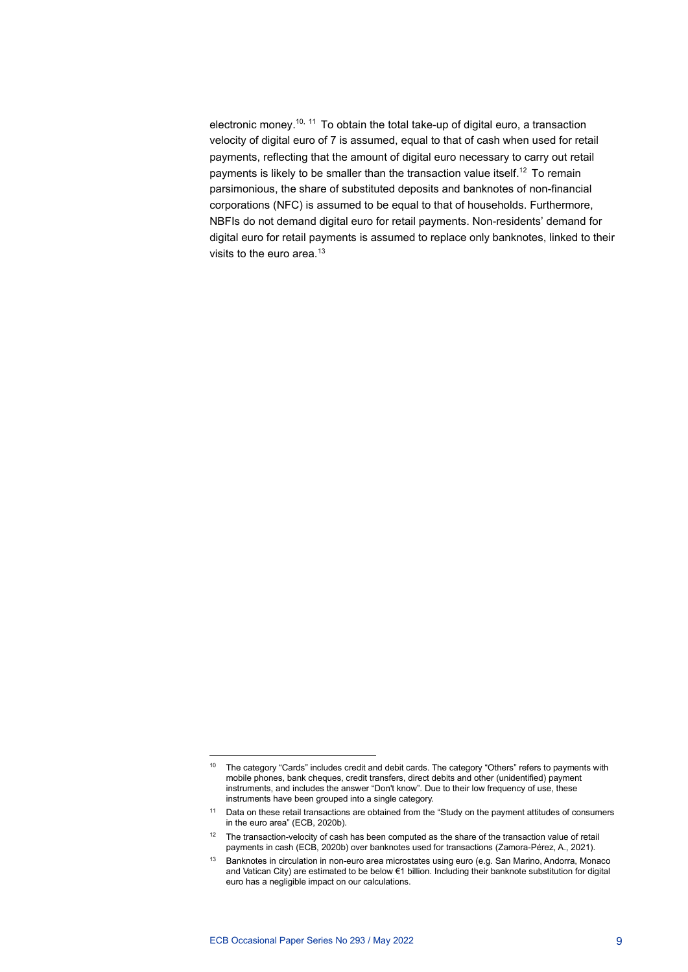electronic money.<sup>10, 11</sup> To obtain the total take-up of digital euro, a transaction velocity of digital euro of 7 is assumed, equal to that of cash when used for retail payments, reflecting that the amount of digital euro necessary to carry out retail payments is likely to be smaller than the transaction value itself. <sup>12</sup> To remain parsimonious, the share of substituted deposits and banknotes of non-financial corporations (NFC) is assumed to be equal to that of households. Furthermore, NBFIs do not demand digital euro for retail payments. Non-residents' demand for digital euro for retail payments is assumed to replace only banknotes, linked to their visits to the euro area.<sup>13</sup>

<sup>&</sup>lt;sup>10</sup> The category "Cards" includes credit and debit cards. The category "Others" refers to payments with mobile phones, bank cheques, credit transfers, direct debits and other (unidentified) payment instruments, and includes the answer "Don't know". Due to their low frequency of use, these instruments have been grouped into a single category.

<sup>11</sup> Data on these retail transactions are obtained from the "Study on the payment attitudes of consumers in the euro area" (ECB, 2020b).

 $12$  The transaction-velocity of cash has been computed as the share of the transaction value of retail payments in cash (ECB, 2020b) over banknotes used for transactions (Zamora-Pérez, A., 2021).

<sup>&</sup>lt;sup>13</sup> Banknotes in circulation in non-euro area microstates using euro (e.g. San Marino, Andorra, Monaco and Vatican City) are estimated to be below €1 billion. Including their banknote substitution for digital euro has a negligible impact on our calculations.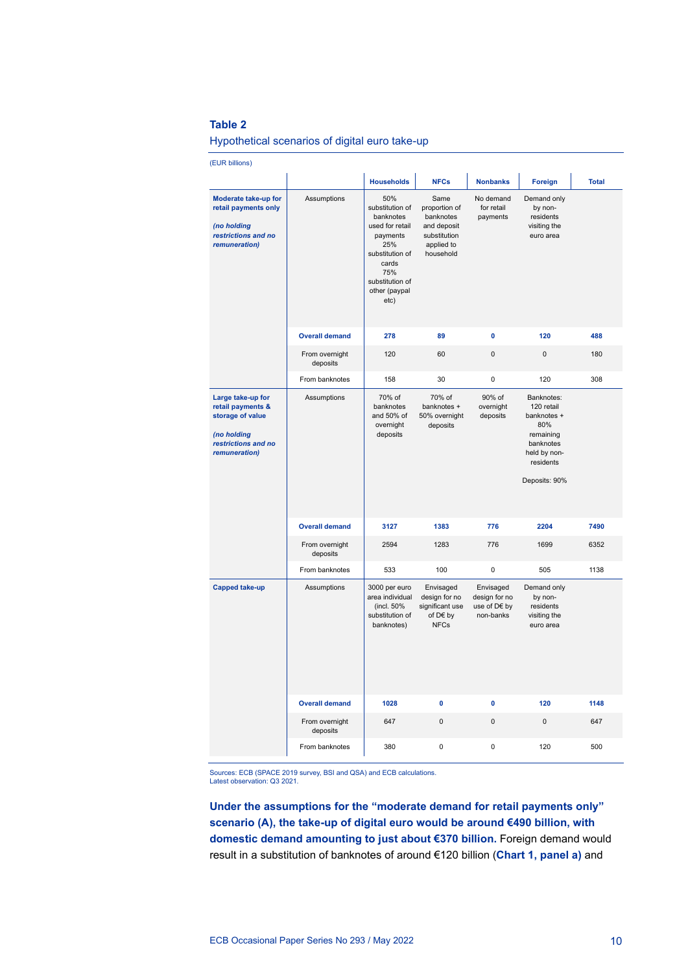### **Table 2**

Hypothetical scenarios of digital euro take-up

| (EUR billions)                                                                                                    |                            |                                                                                                                                                          |                                                                                              |                                                         |                                                                                                                        |              |
|-------------------------------------------------------------------------------------------------------------------|----------------------------|----------------------------------------------------------------------------------------------------------------------------------------------------------|----------------------------------------------------------------------------------------------|---------------------------------------------------------|------------------------------------------------------------------------------------------------------------------------|--------------|
|                                                                                                                   |                            | <b>Households</b>                                                                                                                                        | <b>NFCs</b>                                                                                  | <b>Nonbanks</b>                                         | <b>Foreign</b>                                                                                                         | <b>Total</b> |
| Moderate take-up for<br>retail payments only<br>(no holding<br>restrictions and no<br>remuneration)               | Assumptions                | 50%<br>substitution of<br>banknotes<br>used for retail<br>payments<br>25%<br>substitution of<br>cards<br>75%<br>substitution of<br>other (paypal<br>etc) | Same<br>proportion of<br>banknotes<br>and deposit<br>substitution<br>applied to<br>household | No demand<br>for retail<br>payments                     | Demand only<br>by non-<br>residents<br>visiting the<br>euro area                                                       |              |
|                                                                                                                   | <b>Overall demand</b>      | 278                                                                                                                                                      | 89                                                                                           | 0                                                       | 120                                                                                                                    | 488          |
|                                                                                                                   | From overnight<br>deposits | 120                                                                                                                                                      | 60                                                                                           | $\mathbf 0$                                             | 0                                                                                                                      | 180          |
|                                                                                                                   | From banknotes             | 158                                                                                                                                                      | 30                                                                                           | 0                                                       | 120                                                                                                                    | 308          |
| Large take-up for<br>retail payments &<br>storage of value<br>(no holding<br>restrictions and no<br>remuneration) | Assumptions                | 70% of<br>banknotes<br>and 50% of<br>overnight<br>deposits                                                                                               | 70% of<br>banknotes +<br>50% overnight<br>deposits                                           | 90% of<br>overnight<br>deposits                         | Banknotes:<br>120 retail<br>banknotes +<br>80%<br>remaining<br>banknotes<br>held by non-<br>residents<br>Deposits: 90% |              |
|                                                                                                                   | <b>Overall demand</b>      | 3127                                                                                                                                                     | 1383                                                                                         | 776                                                     | 2204                                                                                                                   | 7490         |
|                                                                                                                   | From overnight<br>deposits | 2594                                                                                                                                                     | 1283                                                                                         | 776                                                     | 1699                                                                                                                   | 6352         |
|                                                                                                                   | From banknotes             | 533                                                                                                                                                      | 100                                                                                          | $\mathbf 0$                                             | 505                                                                                                                    | 1138         |
| <b>Capped take-up</b>                                                                                             | Assumptions                | 3000 per euro<br>area individual<br>(incl. 50%<br>substitution of<br>banknotes)                                                                          | Envisaged<br>design for no<br>significant use<br>of D€ by<br><b>NFCs</b>                     | Envisaged<br>design for no<br>use of D€ by<br>non-banks | Demand only<br>by non-<br>residents<br>visiting the<br>euro area                                                       |              |
|                                                                                                                   | <b>Overall demand</b>      | 1028                                                                                                                                                     | 0                                                                                            | $\mathbf{0}$                                            | 120                                                                                                                    | 1148         |
|                                                                                                                   | From overnight<br>deposits | 647                                                                                                                                                      | 0                                                                                            | $\mathbf 0$                                             | 0                                                                                                                      | 647          |
|                                                                                                                   | From banknotes             | 380                                                                                                                                                      | $\mathbf 0$                                                                                  | $\mathbf 0$                                             | 120                                                                                                                    | 500          |

Sources: ECB (SPACE 2019 survey, BSI and QSA) and ECB calculations. Latest observation: Q3 2021.

**Under the assumptions for the "moderate demand for retail payments only" scenario (A), the take-up of digital euro would be around €490 billion, with domestic demand amounting to just about €370 billion.** Foreign demand would result in a substitution of banknotes of around €120 billion (**Chart 1, panel a)** and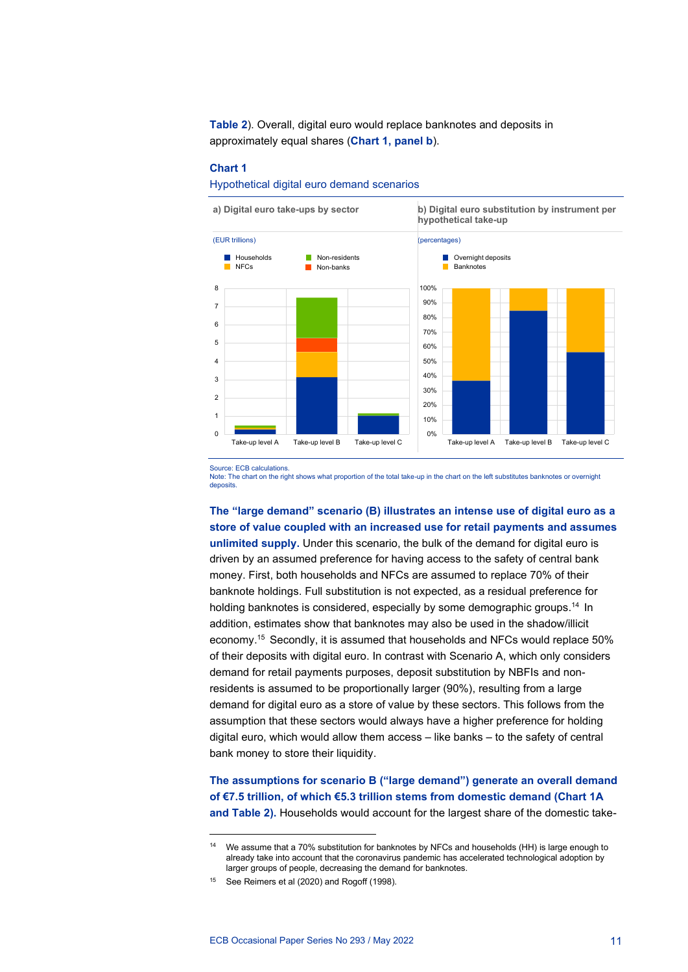**Table 2**). Overall, digital euro would replace banknotes and deposits in approximately equal shares (**Chart 1, panel b**).

#### **Chart 1**

#### Hypothetical digital euro demand scenarios

**a) Digital euro take-ups by sector b) Digital euro substitution by instrument per hypothetical take-up**



Source: ECB calculations.

Note: The chart on the right shows what proportion of the total take-up in the chart on the left substitutes banknotes or overnight deposits

**The "large demand" scenario (B) illustrates an intense use of digital euro as a store of value coupled with an increased use for retail payments and assumes unlimited supply.** Under this scenario, the bulk of the demand for digital euro is driven by an assumed preference for having access to the safety of central bank money. First, both households and NFCs are assumed to replace 70% of their banknote holdings. Full substitution is not expected, as a residual preference for holding banknotes is considered, especially by some demographic groups.<sup>14</sup> In addition, estimates show that banknotes may also be used in the shadow/illicit economy. <sup>15</sup> Secondly, it is assumed that households and NFCs would replace 50% of their deposits with digital euro. In contrast with Scenario A, which only considers demand for retail payments purposes, deposit substitution by NBFIs and nonresidents is assumed to be proportionally larger (90%), resulting from a large demand for digital euro as a store of value by these sectors. This follows from the assumption that these sectors would always have a higher preference for holding digital euro, which would allow them access – like banks – to the safety of central bank money to store their liquidity.

**The assumptions for scenario B ("large demand") generate an overall demand of €7.5 trillion, of which €5.3 trillion stems from domestic demand (Chart 1A and Table 2).** Households would account for the largest share of the domestic take-

<sup>14</sup> We assume that a 70% substitution for banknotes by NFCs and households (HH) is large enough to already take into account that the coronavirus pandemic has accelerated technological adoption by larger groups of people, decreasing the demand for banknotes.

<sup>&</sup>lt;sup>15</sup> See Reimers et al (2020) and Rogoff (1998).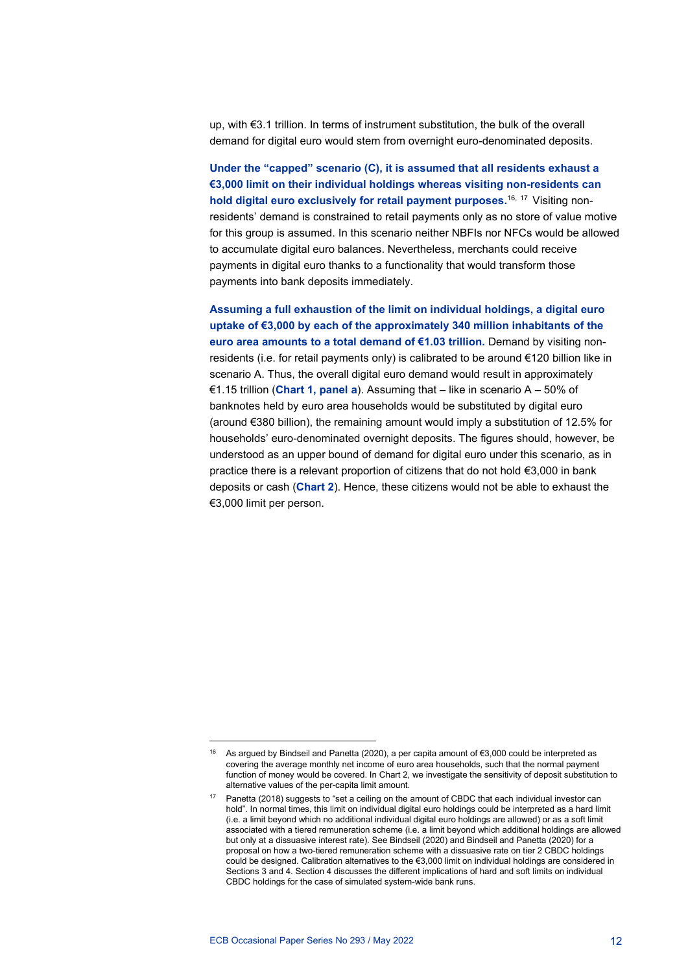up, with €3.1 trillion. In terms of instrument substitution, the bulk of the overall demand for digital euro would stem from overnight euro-denominated deposits.

**Under the "capped" scenario (C), it is assumed that all residents exhaust a €3,000 limit on their individual holdings whereas visiting non-residents can hold digital euro exclusively for retail payment purposes.** 16, 17 Visiting nonresidents' demand is constrained to retail payments only as no store of value motive for this group is assumed. In this scenario neither NBFIs nor NFCs would be allowed to accumulate digital euro balances. Nevertheless, merchants could receive payments in digital euro thanks to a functionality that would transform those payments into bank deposits immediately.

**Assuming a full exhaustion of the limit on individual holdings, a digital euro uptake of €3,000 by each of the approximately 340 million inhabitants of the euro area amounts to a total demand of €1.03 trillion.** Demand by visiting nonresidents (i.e. for retail payments only) is calibrated to be around €120 billion like in scenario A. Thus, the overall digital euro demand would result in approximately €1.15 trillion (**Chart 1, panel a**). Assuming that – like in scenario A – 50% of banknotes held by euro area households would be substituted by digital euro (around €380 billion), the remaining amount would imply a substitution of 12.5% for households' euro-denominated overnight deposits. The figures should, however, be understood as an upper bound of demand for digital euro under this scenario, as in practice there is a relevant proportion of citizens that do not hold €3,000 in bank deposits or cash (**Chart 2**). Hence, these citizens would not be able to exhaust the €3,000 limit per person.

<sup>16</sup> As argued by Bindseil and Panetta (2020), a per capita amount of €3,000 could be interpreted as covering the average monthly net income of euro area households, such that the normal payment function of money would be covered. In Chart 2, we investigate the sensitivity of deposit substitution to alternative values of the per-capita limit amount.

Panetta (2018) suggests to "set a ceiling on the amount of CBDC that each individual investor can hold". In normal times, this limit on individual digital euro holdings could be interpreted as a hard limit (i.e. a limit beyond which no additional individual digital euro holdings are allowed) or as a soft limit associated with a tiered remuneration scheme (i.e. a limit beyond which additional holdings are allowed but only at a dissuasive interest rate). See Bindseil (2020) and Bindseil and Panetta (2020) for a proposal on how a two-tiered remuneration scheme with a dissuasive rate on tier 2 CBDC holdings could be designed. Calibration alternatives to the €3,000 limit on individual holdings are considered in Sections 3 and 4. Section 4 discusses the different implications of hard and soft limits on individual CBDC holdings for the case of simulated system-wide bank runs.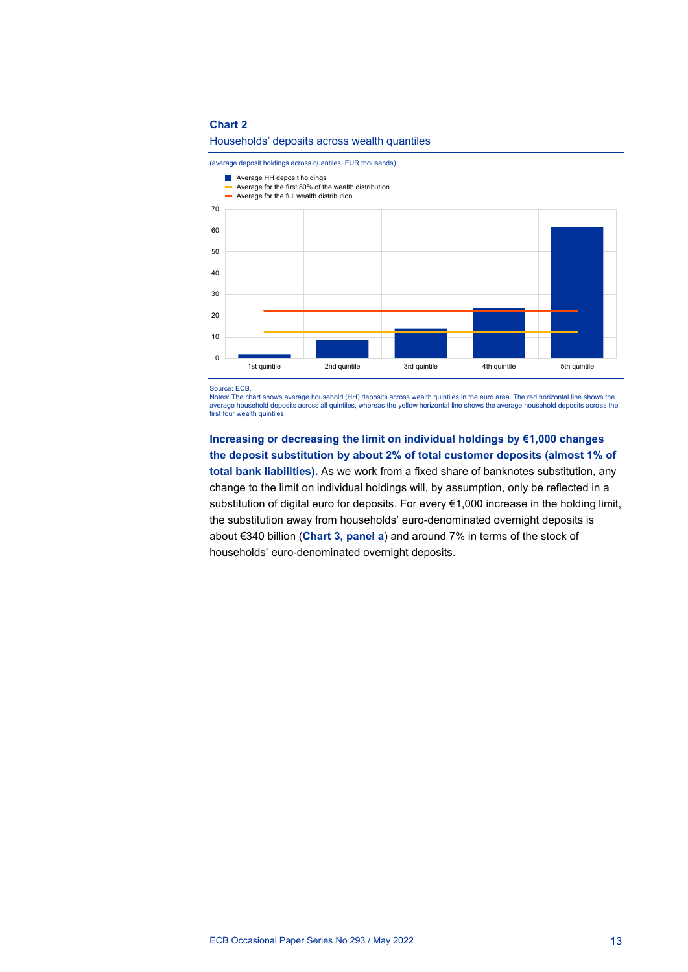#### **Chart 2**

#### Households' deposits across wealth quantiles

(average deposit holdings across quantiles, EUR thousands)

 $\Omega$ 10 20 30 40 50 60 70 1st quintile 2nd quintile 3rd quintile 4th quintile 5th quintile **Average HH deposit holdings** Average for the first 80% of the wealth distribution Average for the full wealth distribution

Source: ECB.

Notes: The chart shows average household (HH) deposits across wealth quintiles in the euro area. The red horizontal line shows the<br>average household deposits across all quintiles, whereas the yellow horizontal line shows t first four wealth quintiles.

## **Increasing or decreasing the limit on individual holdings by €1,000 changes the deposit substitution by about 2% of total customer deposits (almost 1% of total bank liabilities).** As we work from a fixed share of banknotes substitution, any change to the limit on individual holdings will, by assumption, only be reflected in a substitution of digital euro for deposits. For every €1,000 increase in the holding limit, the substitution away from households' euro-denominated overnight deposits is about €340 billion (**Chart 3, panel a**) and around 7% in terms of the stock of households' euro-denominated overnight deposits.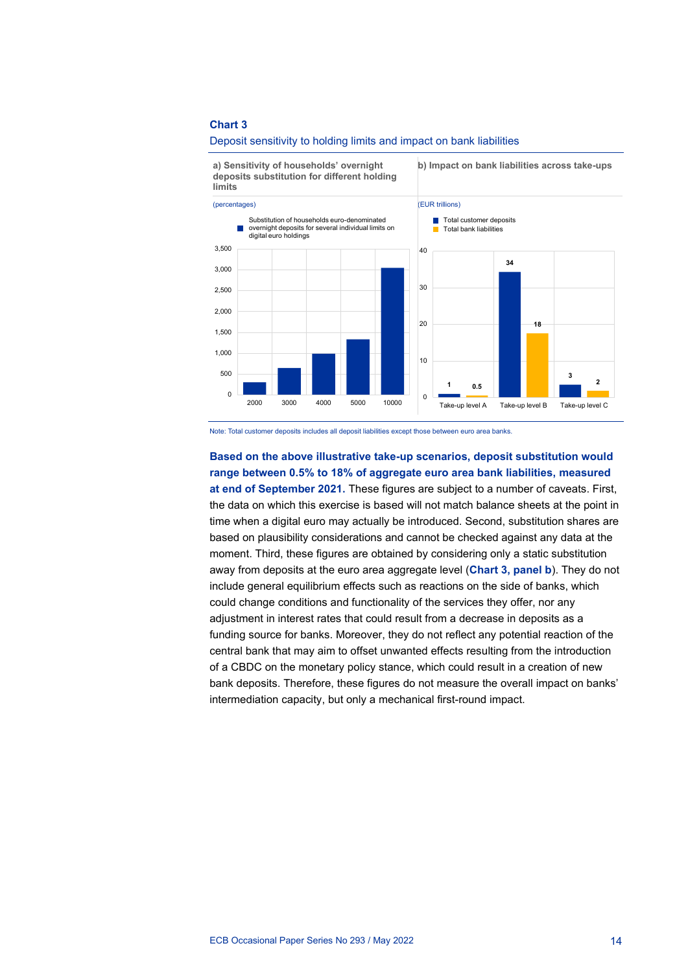#### **Chart 3**





Note: Total customer deposits includes all deposit liabilities except those between euro area banks.

### **Based on the above illustrative take-up scenarios, deposit substitution would range between 0.5% to 18% of aggregate euro area bank liabilities, measured**

**at end of September 2021.** These figures are subject to a number of caveats. First, the data on which this exercise is based will not match balance sheets at the point in time when a digital euro may actually be introduced. Second, substitution shares are based on plausibility considerations and cannot be checked against any data at the moment. Third, these figures are obtained by considering only a static substitution away from deposits at the euro area aggregate level (**Chart 3, panel b**). They do not include general equilibrium effects such as reactions on the side of banks, which could change conditions and functionality of the services they offer, nor any adjustment in interest rates that could result from a decrease in deposits as a funding source for banks. Moreover, they do not reflect any potential reaction of the central bank that may aim to offset unwanted effects resulting from the introduction of a CBDC on the monetary policy stance, which could result in a creation of new bank deposits. Therefore, these figures do not measure the overall impact on banks' intermediation capacity, but only a mechanical first-round impact.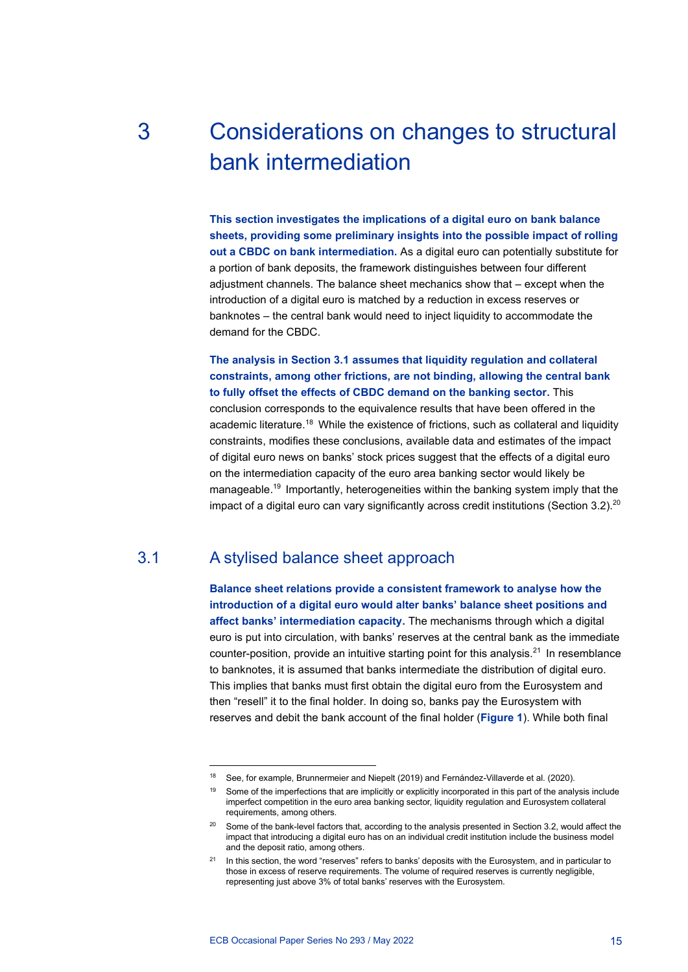# 3 Considerations on changes to structural bank intermediation

**This section investigates the implications of a digital euro on bank balance sheets, providing some preliminary insights into the possible impact of rolling out a CBDC on bank intermediation.** As a digital euro can potentially substitute for a portion of bank deposits, the framework distinguishes between four different adjustment channels. The balance sheet mechanics show that – except when the introduction of a digital euro is matched by a reduction in excess reserves or banknotes – the central bank would need to inject liquidity to accommodate the demand for the CBDC.

**The analysis in Section 3.1 assumes that liquidity regulation and collateral constraints, among other frictions, are not binding, allowing the central bank to fully offset the effects of CBDC demand on the banking sector.** This conclusion corresponds to the equivalence results that have been offered in the academic literature.<sup>18</sup> While the existence of frictions, such as collateral and liquidity constraints, modifies these conclusions, available data and estimates of the impact of digital euro news on banks' stock prices suggest that the effects of a digital euro on the intermediation capacity of the euro area banking sector would likely be manageable.<sup>19</sup> Importantly, heterogeneities within the banking system imply that the impact of a digital euro can vary significantly across credit institutions (Section 3.2).<sup>20</sup>

# 3.1 A stylised balance sheet approach

**Balance sheet relations provide a consistent framework to analyse how the introduction of a digital euro would alter banks' balance sheet positions and affect banks' intermediation capacity.** The mechanisms through which a digital euro is put into circulation, with banks' reserves at the central bank as the immediate counter-position, provide an intuitive starting point for this analysis.<sup>21</sup> In resemblance to banknotes, it is assumed that banks intermediate the distribution of digital euro. This implies that banks must first obtain the digital euro from the Eurosystem and then "resell" it to the final holder. In doing so, banks pay the Eurosystem with reserves and debit the bank account of the final holder (**Figure 1**). While both final

<sup>18</sup> See, for example, Brunnermeier and Niepelt (2019) and Fernández-Villaverde et al. (2020).

<sup>&</sup>lt;sup>19</sup> Some of the imperfections that are implicitly or explicitly incorporated in this part of the analysis include imperfect competition in the euro area banking sector, liquidity regulation and Eurosystem collateral requirements, among others.

<sup>&</sup>lt;sup>20</sup> Some of the bank-level factors that, according to the analysis presented in Section 3.2, would affect the impact that introducing a digital euro has on an individual credit institution include the business model and the deposit ratio, among others.

<sup>&</sup>lt;sup>21</sup> In this section, the word "reserves" refers to banks' deposits with the Eurosystem, and in particular to those in excess of reserve requirements. The volume of required reserves is currently negligible, representing just above 3% of total banks' reserves with the Eurosystem.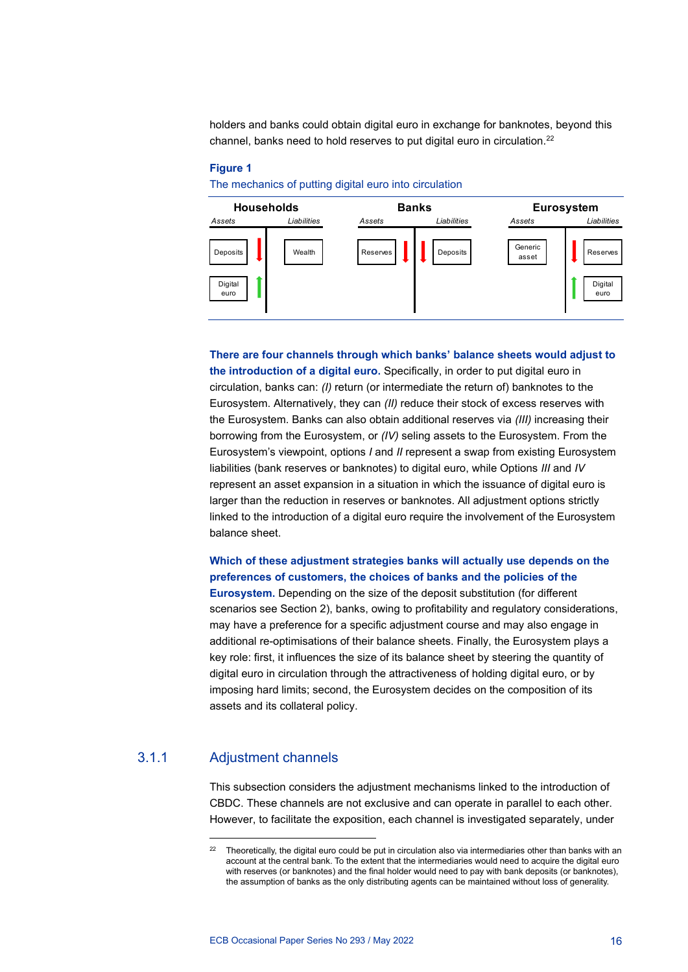holders and banks could obtain digital euro in exchange for banknotes, beyond this channel, banks need to hold reserves to put digital euro in circulation.<sup>22</sup>

#### **Figure 1**

The mechanics of putting digital euro into circulation



**There are four channels through which banks' balance sheets would adjust to the introduction of a digital euro.** Specifically, in order to put digital euro in circulation, banks can: *(I)* return (or intermediate the return of) banknotes to the Eurosystem. Alternatively, they can *(II)* reduce their stock of excess reserves with the Eurosystem. Banks can also obtain additional reserves via *(III)* increasing their borrowing from the Eurosystem, or *(IV)* seling assets to the Eurosystem. From the Eurosystem's viewpoint, options *I* and *II* represent a swap from existing Eurosystem liabilities (bank reserves or banknotes) to digital euro, while Options *III* and *IV*  represent an asset expansion in a situation in which the issuance of digital euro is larger than the reduction in reserves or banknotes. All adjustment options strictly linked to the introduction of a digital euro require the involvement of the Eurosystem balance sheet.

**Which of these adjustment strategies banks will actually use depends on the preferences of customers, the choices of banks and the policies of the** 

**Eurosystem.** Depending on the size of the deposit substitution (for different scenarios see Section 2), banks, owing to profitability and regulatory considerations, may have a preference for a specific adjustment course and may also engage in additional re-optimisations of their balance sheets. Finally, the Eurosystem plays a key role: first, it influences the size of its balance sheet by steering the quantity of digital euro in circulation through the attractiveness of holding digital euro, or by imposing hard limits; second, the Eurosystem decides on the composition of its assets and its collateral policy.

### 3.1.1 Adjustment channels

This subsection considers the adjustment mechanisms linked to the introduction of CBDC. These channels are not exclusive and can operate in parallel to each other. However, to facilitate the exposition, each channel is investigated separately, under

Theoretically, the digital euro could be put in circulation also via intermediaries other than banks with an account at the central bank. To the extent that the intermediaries would need to acquire the digital euro with reserves (or banknotes) and the final holder would need to pay with bank deposits (or banknotes), the assumption of banks as the only distributing agents can be maintained without loss of generality.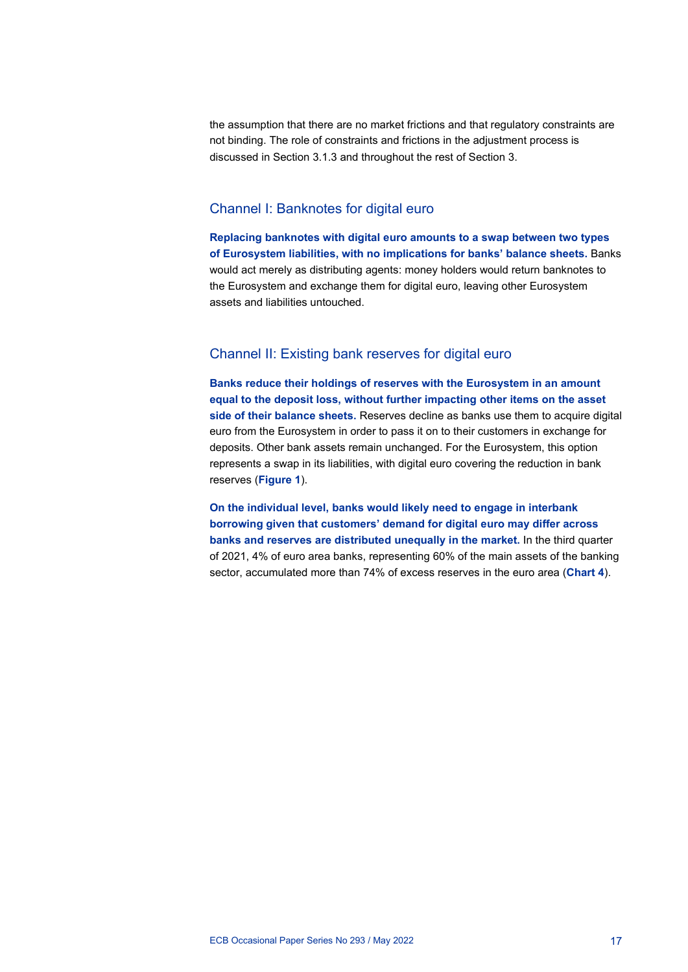the assumption that there are no market frictions and that regulatory constraints are not binding. The role of constraints and frictions in the adjustment process is discussed in Section 3.1.3 and throughout the rest of Section 3.

## Channel I: Banknotes for digital euro

**Replacing banknotes with digital euro amounts to a swap between two types of Eurosystem liabilities, with no implications for banks' balance sheets.** Banks would act merely as distributing agents: money holders would return banknotes to the Eurosystem and exchange them for digital euro, leaving other Eurosystem assets and liabilities untouched.

## Channel II: Existing bank reserves for digital euro

**Banks reduce their holdings of reserves with the Eurosystem in an amount equal to the deposit loss, without further impacting other items on the asset side of their balance sheets.** Reserves decline as banks use them to acquire digital euro from the Eurosystem in order to pass it on to their customers in exchange for deposits. Other bank assets remain unchanged. For the Eurosystem, this option represents a swap in its liabilities, with digital euro covering the reduction in bank reserves (**Figure 1**).

**On the individual level, banks would likely need to engage in interbank borrowing given that customers' demand for digital euro may differ across banks and reserves are distributed unequally in the market.** In the third quarter of 2021, 4% of euro area banks, representing 60% of the main assets of the banking sector, accumulated more than 74% of excess reserves in the euro area (**Chart 4**).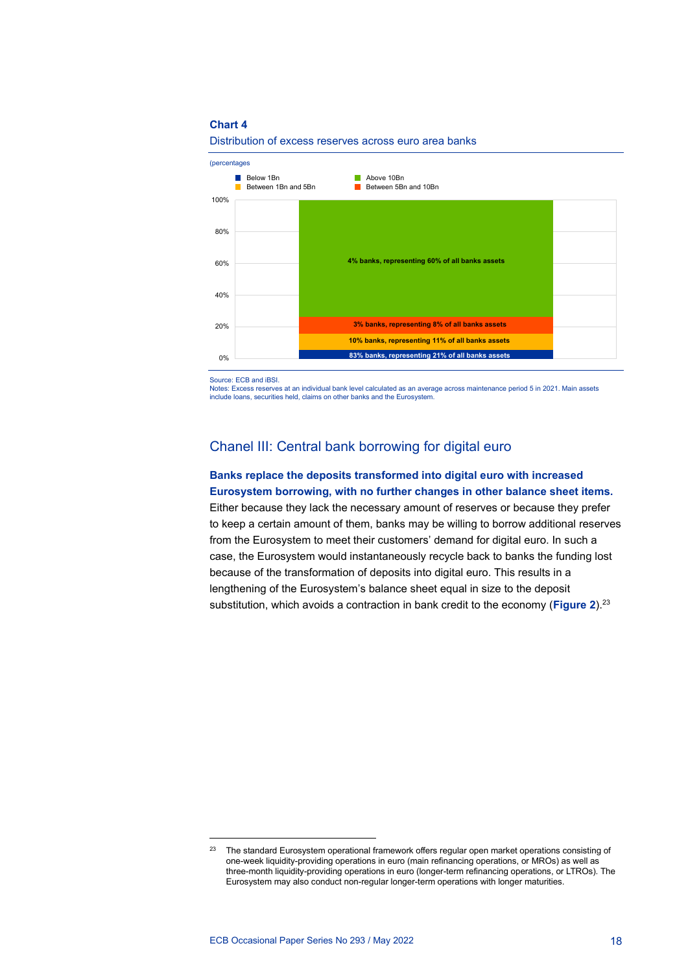#### **Chart 4**



Distribution of excess reserves across euro area banks

Source: ECB and iBSI.

Notes: Excess reserves at an individual bank level calculated as an average across maintenance period 5 in 2021. Main assets include loans, securities held, claims on other banks and the Eurosystem

### Chanel III: Central bank borrowing for digital euro

### **Banks replace the deposits transformed into digital euro with increased Eurosystem borrowing, with no further changes in other balance sheet items.**

Either because they lack the necessary amount of reserves or because they prefer to keep a certain amount of them, banks may be willing to borrow additional reserves from the Eurosystem to meet their customers' demand for digital euro. In such a case, the Eurosystem would instantaneously recycle back to banks the funding lost because of the transformation of deposits into digital euro. This results in a lengthening of the Eurosystem's balance sheet equal in size to the deposit substitution, which avoids a contraction in bank credit to the economy (**Figure 2**).23

<sup>&</sup>lt;sup>23</sup> The standard Eurosystem operational framework offers regular open market operations consisting of one-week liquidity-providing operations in euro (main refinancing operations, or MROs) as well as three-month liquidity-providing operations in euro (longer-term refinancing operations, or LTROs). The Eurosystem may also conduct non-regular longer-term operations with longer maturities.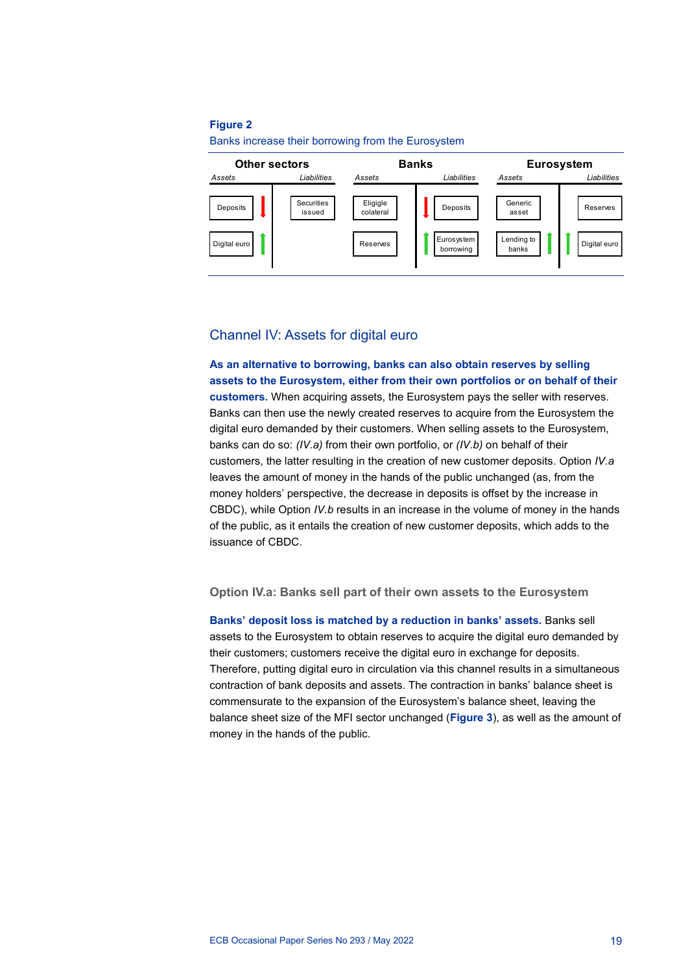#### **Figure 2**

Banks increase their borrowing from the Eurosystem



### Channel IV: Assets for digital euro

**As an alternative to borrowing, banks can also obtain reserves by selling assets to the Eurosystem, either from their own portfolios or on behalf of their customers.** When acquiring assets, the Eurosystem pays the seller with reserves. Banks can then use the newly created reserves to acquire from the Eurosystem the digital euro demanded by their customers. When selling assets to the Eurosystem, banks can do so: *(IV.a)* from their own portfolio, or *(IV.b)* on behalf of their customers, the latter resulting in the creation of new customer deposits. Option *IV.a* leaves the amount of money in the hands of the public unchanged (as, from the money holders' perspective, the decrease in deposits is offset by the increase in CBDC), while Option *IV.b* results in an increase in the volume of money in the hands of the public, as it entails the creation of new customer deposits, which adds to the issuance of CBDC.

**Option IV.a: Banks sell part of their own assets to the Eurosystem**

**Banks' deposit loss is matched by a reduction in banks' assets.** Banks sell assets to the Eurosystem to obtain reserves to acquire the digital euro demanded by their customers; customers receive the digital euro in exchange for deposits. Therefore, putting digital euro in circulation via this channel results in a simultaneous contraction of bank deposits and assets. The contraction in banks' balance sheet is commensurate to the expansion of the Eurosystem's balance sheet, leaving the balance sheet size of the MFI sector unchanged (**Figure 3**), as well as the amount of money in the hands of the public.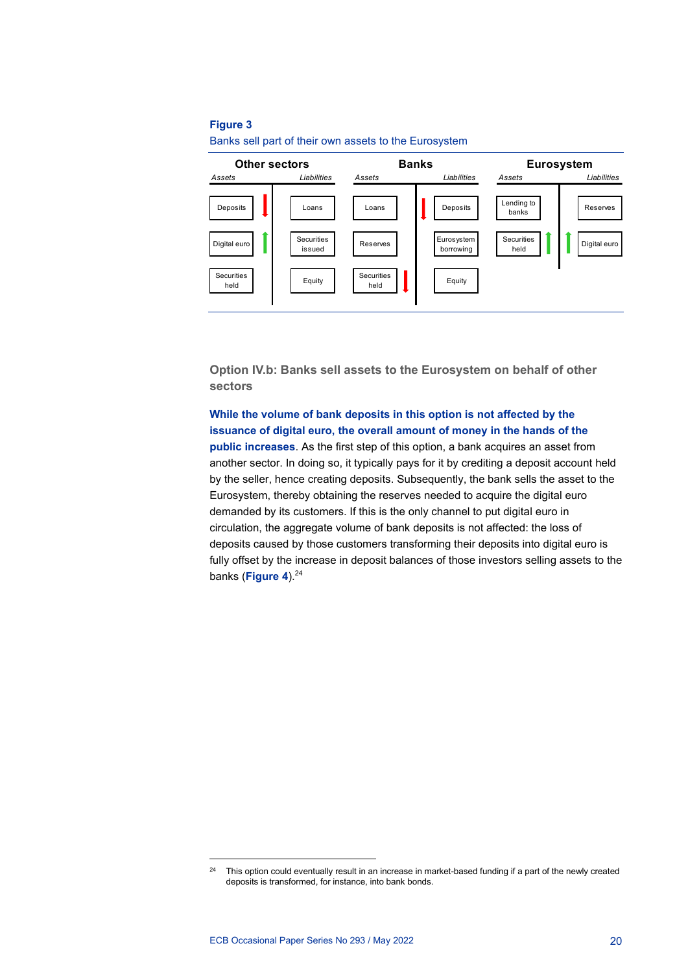#### **Figure 3**

Banks sell part of their own assets to the Eurosystem



**Option IV.b: Banks sell assets to the Eurosystem on behalf of other sectors**

**While the volume of bank deposits in this option is not affected by the issuance of digital euro, the overall amount of money in the hands of the public increases**. As the first step of this option, a bank acquires an asset from another sector. In doing so, it typically pays for it by crediting a deposit account held by the seller, hence creating deposits. Subsequently, the bank sells the asset to the Eurosystem, thereby obtaining the reserves needed to acquire the digital euro demanded by its customers. If this is the only channel to put digital euro in circulation, the aggregate volume of bank deposits is not affected: the loss of deposits caused by those customers transforming their deposits into digital euro is fully offset by the increase in deposit balances of those investors selling assets to the banks (Figure 4).<sup>24</sup>

<sup>&</sup>lt;sup>24</sup> This option could eventually result in an increase in market-based funding if a part of the newly created deposits is transformed, for instance, into bank bonds.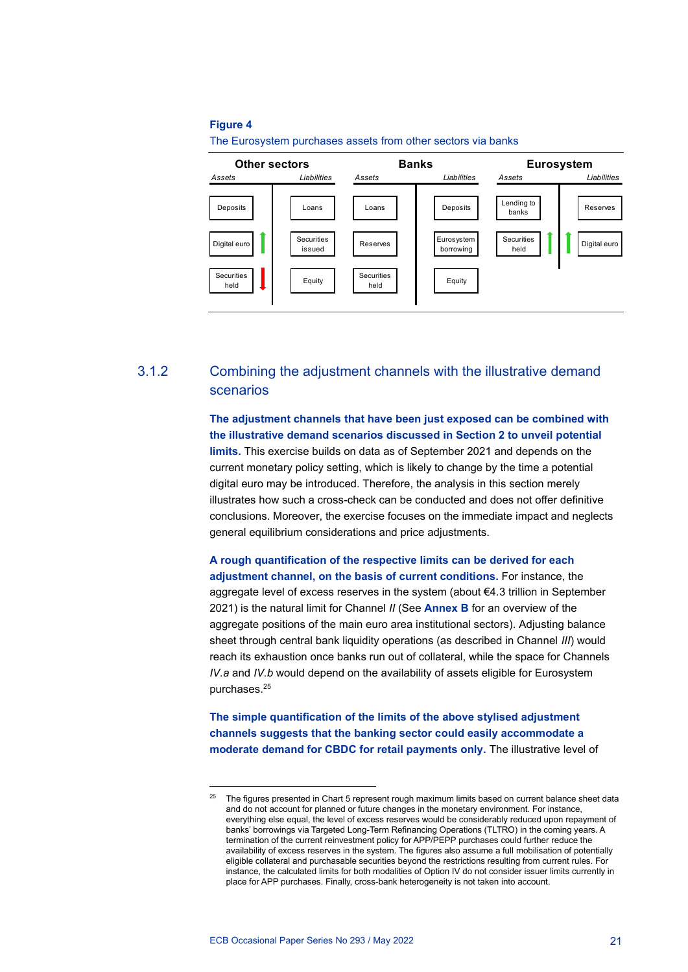#### **Figure 4**



The Eurosystem purchases assets from other sectors via banks

# 3.1.2 Combining the adjustment channels with the illustrative demand scenarios

**The adjustment channels that have been just exposed can be combined with the illustrative demand scenarios discussed in Section 2 to unveil potential limits.** This exercise builds on data as of September 2021 and depends on the current monetary policy setting, which is likely to change by the time a potential digital euro may be introduced. Therefore, the analysis in this section merely illustrates how such a cross-check can be conducted and does not offer definitive conclusions. Moreover, the exercise focuses on the immediate impact and neglects general equilibrium considerations and price adjustments.

**A rough quantification of the respective limits can be derived for each adjustment channel, on the basis of current conditions.** For instance, the aggregate level of excess reserves in the system (about €4.3 trillion in September 2021) is the natural limit for Channel *II* (See **Annex B** for an overview of the aggregate positions of the main euro area institutional sectors). Adjusting balance sheet through central bank liquidity operations (as described in Channel *III*) would reach its exhaustion once banks run out of collateral, while the space for Channels *IV.a* and *IV.b* would depend on the availability of assets eligible for Eurosystem purchases.25

**The simple quantification of the limits of the above stylised adjustment channels suggests that the banking sector could easily accommodate a moderate demand for CBDC for retail payments only.** The illustrative level of

<sup>25</sup> The figures presented in Chart 5 represent rough maximum limits based on current balance sheet data and do not account for planned or future changes in the monetary environment. For instance, everything else equal, the level of excess reserves would be considerably reduced upon repayment of banks' borrowings via Targeted Long-Term Refinancing Operations (TLTRO) in the coming years. A termination of the current reinvestment policy for APP/PEPP purchases could further reduce the availability of excess reserves in the system. The figures also assume a full mobilisation of potentially eligible collateral and purchasable securities beyond the restrictions resulting from current rules. For instance, the calculated limits for both modalities of Option IV do not consider issuer limits currently in place for APP purchases. Finally, cross-bank heterogeneity is not taken into account.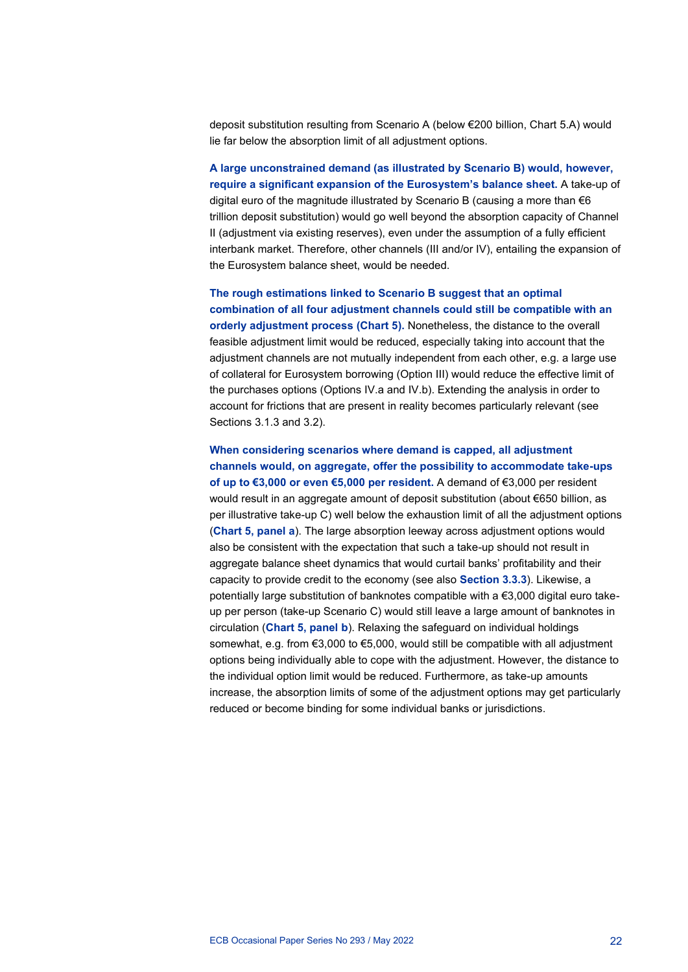deposit substitution resulting from Scenario A (below €200 billion, Chart 5.A) would lie far below the absorption limit of all adjustment options.

**A large unconstrained demand (as illustrated by Scenario B) would, however, require a significant expansion of the Eurosystem's balance sheet.** A take-up of digital euro of the magnitude illustrated by Scenario B (causing a more than  $\epsilon$ 6 trillion deposit substitution) would go well beyond the absorption capacity of Channel II (adjustment via existing reserves), even under the assumption of a fully efficient interbank market. Therefore, other channels (III and/or IV), entailing the expansion of the Eurosystem balance sheet, would be needed.

**The rough estimations linked to Scenario B suggest that an optimal combination of all four adjustment channels could still be compatible with an orderly adjustment process (Chart 5).** Nonetheless, the distance to the overall feasible adjustment limit would be reduced, especially taking into account that the adjustment channels are not mutually independent from each other, e.g. a large use of collateral for Eurosystem borrowing (Option III) would reduce the effective limit of the purchases options (Options IV.a and IV.b). Extending the analysis in order to account for frictions that are present in reality becomes particularly relevant (see Sections 3.1.3 and 3.2).

**When considering scenarios where demand is capped, all adjustment channels would, on aggregate, offer the possibility to accommodate take-ups of up to €3,000 or even €5,000 per resident.** A demand of €3,000 per resident would result in an aggregate amount of deposit substitution (about €650 billion, as per illustrative take-up C) well below the exhaustion limit of all the adjustment options (**Chart 5, panel a**). The large absorption leeway across adjustment options would also be consistent with the expectation that such a take-up should not result in aggregate balance sheet dynamics that would curtail banks' profitability and their capacity to provide credit to the economy (see also **Section 3.3.3**). Likewise, a potentially large substitution of banknotes compatible with a €3,000 digital euro takeup per person (take-up Scenario C) would still leave a large amount of banknotes in circulation (**Chart 5, panel b**). Relaxing the safeguard on individual holdings somewhat, e.g. from €3,000 to €5,000, would still be compatible with all adjustment options being individually able to cope with the adjustment. However, the distance to the individual option limit would be reduced. Furthermore, as take-up amounts increase, the absorption limits of some of the adjustment options may get particularly reduced or become binding for some individual banks or jurisdictions.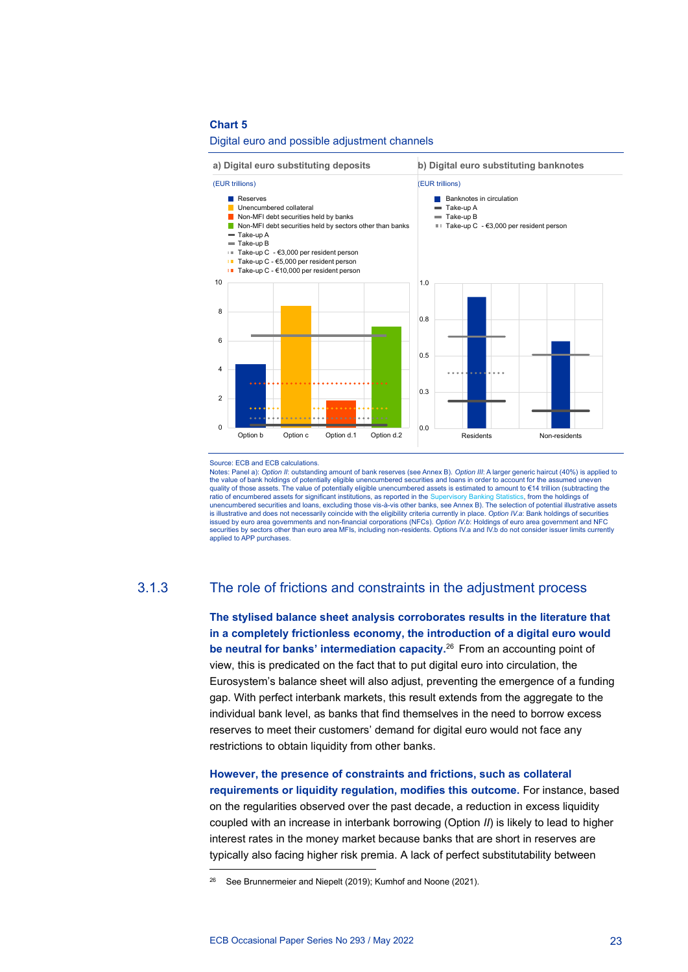#### **Chart 5**

#### **a) Digital euro substituting deposits b) Digital euro substituting banknotes** (EUR trillions) (EUR trillions) 0 2 4 6 8 10 Option b Option c Option d.1 Option d.2 **Reserves** Unencumbered collateral Non-MFI debt securities held by banks Non-MFI debt securities held by sectors other than banks  $=$  Take-up A Take-up B Take-up C - €3,000 per resident person Take-up C - €5,000 per resident person Take-up C - €10,000 per resident person 0.0 0.3 0.5 0.8 1.0 Residents Non-residents **Banknotes in circulation**  $=$  Take-up A Take-up B Take-up C - €3,000 per resident person

#### Digital euro and possible adjustment channels

Source: ECB and ECB calculations.

Notes: Panel a): *Option II*: outstanding amount of bank reserves (see Annex B). *Option III*: A larger generic haircut (40%) is applied to the value of bank holdings of potentially eligible unencumbered securities and loans in order to account for the assumed uneven quality of those assets. The value of potentially eligible unencumbered assets is estimated to amount to €14 trillion (subtracting the<br>ratio of encumbered assets for significant institutions, as reported in the Supervisor unencumbered securities and loans, excluding those vis-à-vis other banks, see Annex B). The selection of potential illustrative assets is illustrative and does not necessarily coincide with the eligibility criteria currently in place. *Option IV.a*: Bank holdings of securities issued by euro area governments and non-financial corporations (NFCs). *Option IV.b*: Holdings of euro area government and NFC securities by sectors other than euro area MFIs, including non-residents. Options IV.a and IV.b do not consider issuer limits currently applied to APP purchases.

## 3.1.3 The role of frictions and constraints in the adjustment process

**The stylised balance sheet analysis corroborates results in the literature that in a completely frictionless economy, the introduction of a digital euro would be neutral for banks' intermediation capacity.**<sup>26</sup> From an accounting point of view, this is predicated on the fact that to put digital euro into circulation, the Eurosystem's balance sheet will also adjust, preventing the emergence of a funding gap. With perfect interbank markets, this result extends from the aggregate to the individual bank level, as banks that find themselves in the need to borrow excess reserves to meet their customers' demand for digital euro would not face any restrictions to obtain liquidity from other banks.

**However, the presence of constraints and frictions, such as collateral requirements or liquidity regulation, modifies this outcome.** For instance, based on the regularities observed over the past decade, a reduction in excess liquidity coupled with an increase in interbank borrowing (Option *II*) is likely to lead to higher interest rates in the money market because banks that are short in reserves are typically also facing higher risk premia. A lack of perfect substitutability between

<sup>&</sup>lt;sup>26</sup> See Brunnermeier and Niepelt (2019); Kumhof and Noone (2021).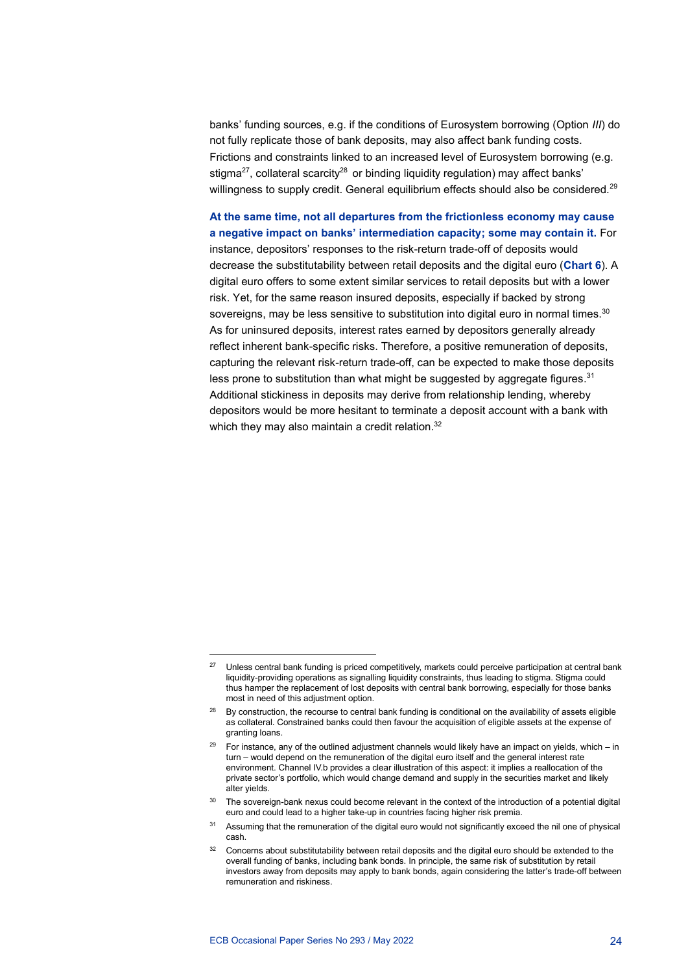banks' funding sources, e.g. if the conditions of Eurosystem borrowing (Option *III*) do not fully replicate those of bank deposits, may also affect bank funding costs. Frictions and constraints linked to an increased level of Eurosystem borrowing (e.g. stigma<sup>27</sup>, collateral scarcity<sup>28</sup> or binding liquidity regulation) may affect banks' willingness to supply credit. General equilibrium effects should also be considered.<sup>29</sup>

**At the same time, not all departures from the frictionless economy may cause a negative impact on banks' intermediation capacity; some may contain it.** For instance, depositors' responses to the risk-return trade-off of deposits would decrease the substitutability between retail deposits and the digital euro (**Chart 6**). A digital euro offers to some extent similar services to retail deposits but with a lower risk. Yet, for the same reason insured deposits, especially if backed by strong sovereigns, may be less sensitive to substitution into digital euro in normal times.<sup>30</sup> As for uninsured deposits, interest rates earned by depositors generally already reflect inherent bank-specific risks. Therefore, a positive remuneration of deposits, capturing the relevant risk-return trade-off, can be expected to make those deposits less prone to substitution than what might be suggested by aggregate figures.<sup>31</sup> Additional stickiness in deposits may derive from relationship lending, whereby depositors would be more hesitant to terminate a deposit account with a bank with which they may also maintain a credit relation.<sup>32</sup>

<sup>&</sup>lt;sup>27</sup> Unless central bank funding is priced competitively, markets could perceive participation at central bank liquidity-providing operations as signalling liquidity constraints, thus leading to stigma. Stigma could thus hamper the replacement of lost deposits with central bank borrowing, especially for those banks most in need of this adjustment option.

<sup>&</sup>lt;sup>28</sup> By construction, the recourse to central bank funding is conditional on the availability of assets eligible as collateral. Constrained banks could then favour the acquisition of eligible assets at the expense of granting loans.

For instance, any of the outlined adjustment channels would likely have an impact on yields, which – in turn – would depend on the remuneration of the digital euro itself and the general interest rate environment. Channel IV.b provides a clear illustration of this aspect: it implies a reallocation of the private sector's portfolio, which would change demand and supply in the securities market and likely alter yields.

<sup>&</sup>lt;sup>30</sup> The sovereign-bank nexus could become relevant in the context of the introduction of a potential digital euro and could lead to a higher take-up in countries facing higher risk premia.

<sup>&</sup>lt;sup>31</sup> Assuming that the remuneration of the digital euro would not significantly exceed the nil one of physical cash.

Concerns about substitutability between retail deposits and the digital euro should be extended to the overall funding of banks, including bank bonds. In principle, the same risk of substitution by retail investors away from deposits may apply to bank bonds, again considering the latter's trade-off between remuneration and riskiness.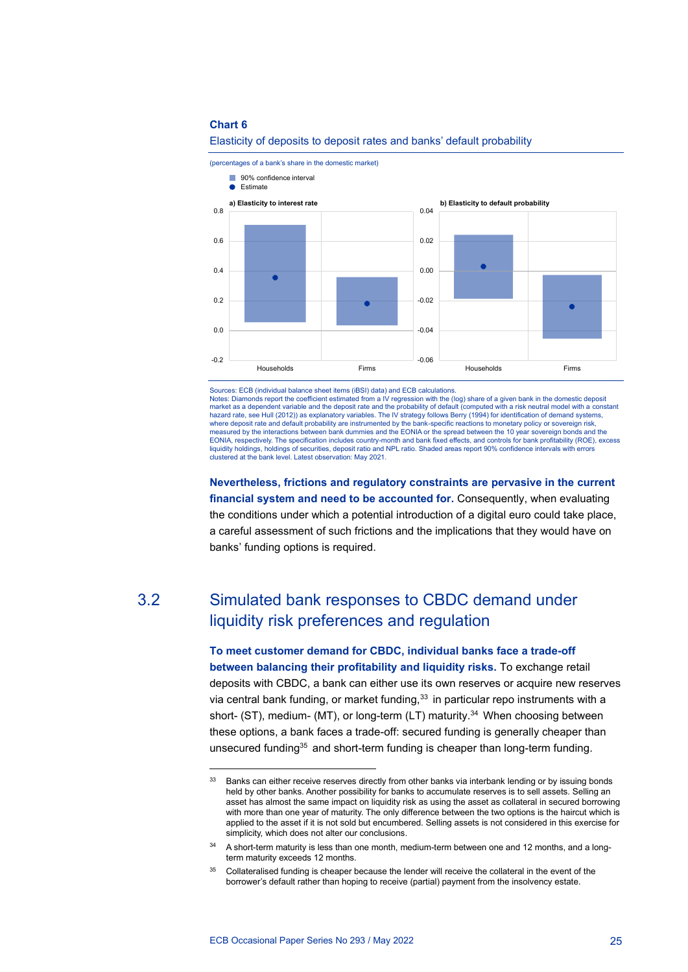#### **Chart 6**



Elasticity of deposits to deposit rates and banks' default probability

Sources: ECB (individual balance sheet items (iBSI) data) and ECB calculations. Notes: Diamonds report the coefficient estimated from a IV regression with the (log) share of a given bank in the domestic deposit market as a dependent variable and the deposit rate and the probability of default (computed with a risk neutral model with a constant hazard rate, see Hull (2012)) as explanatory variables. The IV strategy follows Berry (1994) for identification of demand systems,<br>where deposit rate and default probability are instrumented by the bank-specific reactions measured by the interactions between bank dummies and the EONIA or the spread between the 10 year sovereign bonds and the EONIA, respectively. The specification includes country-month and bank fixed effects, and controls for bank profitability (ROE), excess liquidity holdings, holdings of securities, deposit ratio and NPL ratio. Shaded areas report 90% confidence intervals with errors clustered at the bank level. Latest observation: May 2021.

**Nevertheless, frictions and regulatory constraints are pervasive in the current financial system and need to be accounted for.** Consequently, when evaluating the conditions under which a potential introduction of a digital euro could take place, a careful assessment of such frictions and the implications that they would have on banks' funding options is required.

# 3.2 Simulated bank responses to CBDC demand under liquidity risk preferences and regulation

**To meet customer demand for CBDC, individual banks face a trade-off between balancing their profitability and liquidity risks.** To exchange retail deposits with CBDC, a bank can either use its own reserves or acquire new reserves via central bank funding, or market funding,<sup>33</sup> in particular repo instruments with a short- (ST), medium- (MT), or long-term (LT) maturity.<sup>34</sup> When choosing between these options, a bank faces a trade-off: secured funding is generally cheaper than unsecured funding<sup>35</sup> and short-term funding is cheaper than long-term funding.

<sup>&</sup>lt;sup>33</sup> Banks can either receive reserves directly from other banks via interbank lending or by issuing bonds held by other banks. Another possibility for banks to accumulate reserves is to sell assets. Selling an asset has almost the same impact on liquidity risk as using the asset as collateral in secured borrowing with more than one year of maturity. The only difference between the two options is the haircut which is applied to the asset if it is not sold but encumbered. Selling assets is not considered in this exercise for simplicity, which does not alter our conclusions.

A short-term maturity is less than one month, medium-term between one and 12 months, and a longterm maturity exceeds 12 months.

<sup>&</sup>lt;sup>35</sup> Collateralised funding is cheaper because the lender will receive the collateral in the event of the borrower's default rather than hoping to receive (partial) payment from the insolvency estate.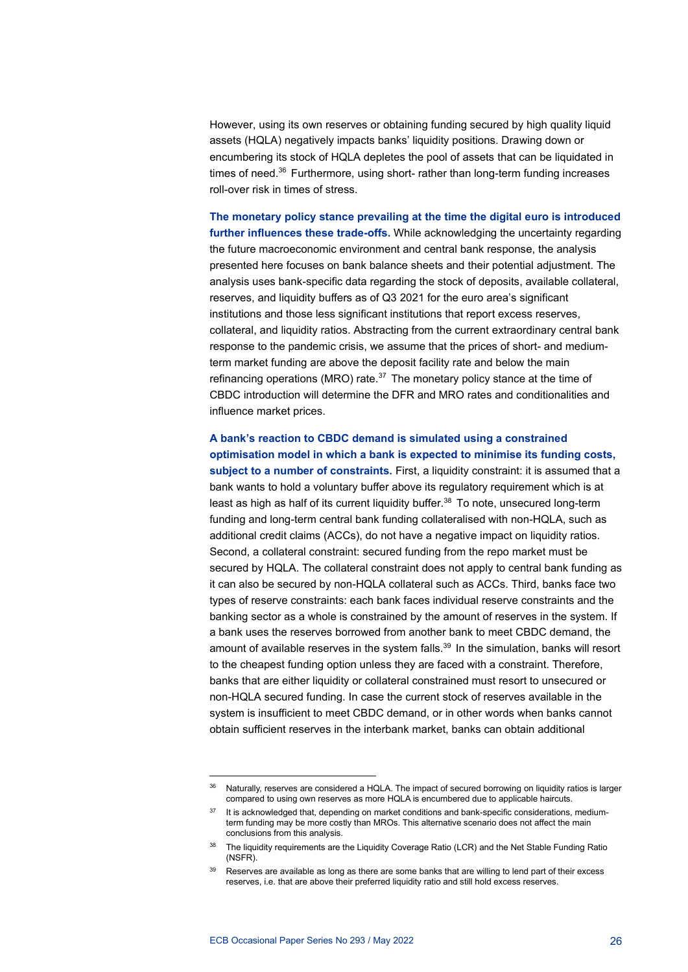However, using its own reserves or obtaining funding secured by high quality liquid assets (HQLA) negatively impacts banks' liquidity positions. Drawing down or encumbering its stock of HQLA depletes the pool of assets that can be liquidated in times of need.<sup>36</sup> Furthermore, using short- rather than long-term funding increases roll-over risk in times of stress.

**The monetary policy stance prevailing at the time the digital euro is introduced further influences these trade-offs.** While acknowledging the uncertainty regarding the future macroeconomic environment and central bank response, the analysis presented here focuses on bank balance sheets and their potential adjustment. The analysis uses bank-specific data regarding the stock of deposits, available collateral, reserves, and liquidity buffers as of Q3 2021 for the euro area's significant institutions and those less significant institutions that report excess reserves, collateral, and liquidity ratios. Abstracting from the current extraordinary central bank response to the pandemic crisis, we assume that the prices of short- and mediumterm market funding are above the deposit facility rate and below the main refinancing operations (MRO) rate.<sup>37</sup> The monetary policy stance at the time of CBDC introduction will determine the DFR and MRO rates and conditionalities and influence market prices.

**A bank's reaction to CBDC demand is simulated using a constrained optimisation model in which a bank is expected to minimise its funding costs, subject to a number of constraints.** First, a liquidity constraint: it is assumed that a bank wants to hold a voluntary buffer above its regulatory requirement which is at least as high as half of its current liquidity buffer.<sup>38</sup> To note, unsecured long-term funding and long-term central bank funding collateralised with non-HQLA, such as additional credit claims (ACCs), do not have a negative impact on liquidity ratios. Second, a collateral constraint: secured funding from the repo market must be secured by HQLA. The collateral constraint does not apply to central bank funding as it can also be secured by non-HQLA collateral such as ACCs. Third, banks face two types of reserve constraints: each bank faces individual reserve constraints and the banking sector as a whole is constrained by the amount of reserves in the system. If a bank uses the reserves borrowed from another bank to meet CBDC demand, the amount of available reserves in the system falls.<sup>39</sup> In the simulation, banks will resort to the cheapest funding option unless they are faced with a constraint. Therefore, banks that are either liquidity or collateral constrained must resort to unsecured or non-HQLA secured funding. In case the current stock of reserves available in the system is insufficient to meet CBDC demand, or in other words when banks cannot obtain sufficient reserves in the interbank market, banks can obtain additional

<sup>&</sup>lt;sup>36</sup> Naturally, reserves are considered a HQLA. The impact of secured borrowing on liquidity ratios is larger compared to using own reserves as more HQLA is encumbered due to applicable haircuts.

<sup>&</sup>lt;sup>37</sup> It is acknowledged that, depending on market conditions and bank-specific considerations, mediumterm funding may be more costly than MROs. This alternative scenario does not affect the main conclusions from this analysis.

<sup>38</sup> The liquidity requirements are the Liquidity Coverage Ratio (LCR) and the Net Stable Funding Ratio (NSFR).

<sup>&</sup>lt;sup>39</sup> Reserves are available as long as there are some banks that are willing to lend part of their excess reserves, i.e. that are above their preferred liquidity ratio and still hold excess reserves.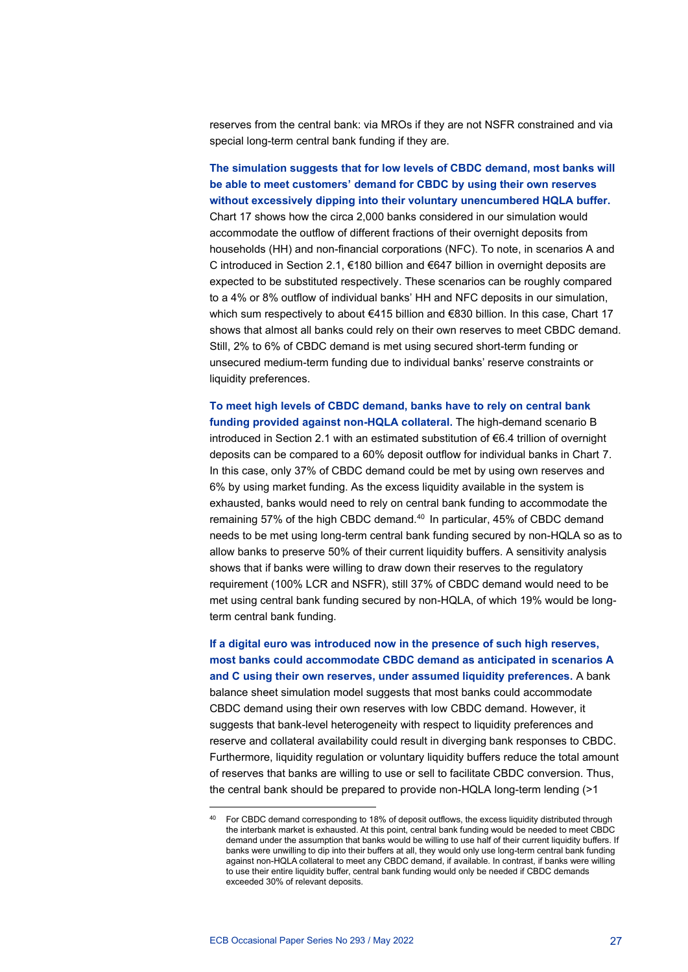reserves from the central bank: via MROs if they are not NSFR constrained and via special long-term central bank funding if they are.

**The simulation suggests that for low levels of CBDC demand, most banks will be able to meet customers' demand for CBDC by using their own reserves without excessively dipping into their voluntary unencumbered HQLA buffer.** Chart 17 shows how the circa 2,000 banks considered in our simulation would accommodate the outflow of different fractions of their overnight deposits from households (HH) and non-financial corporations (NFC). To note, in scenarios A and C introduced in Section 2.1, €180 billion and €647 billion in overnight deposits are expected to be substituted respectively. These scenarios can be roughly compared to a 4% or 8% outflow of individual banks' HH and NFC deposits in our simulation, which sum respectively to about €415 billion and €830 billion. In this case, Chart 17 shows that almost all banks could rely on their own reserves to meet CBDC demand. Still, 2% to 6% of CBDC demand is met using secured short-term funding or unsecured medium-term funding due to individual banks' reserve constraints or liquidity preferences.

**To meet high levels of CBDC demand, banks have to rely on central bank funding provided against non-HQLA collateral.** The high-demand scenario B introduced in Section 2.1 with an estimated substitution of €6.4 trillion of overnight deposits can be compared to a 60% deposit outflow for individual banks in Chart 7. In this case, only 37% of CBDC demand could be met by using own reserves and 6% by using market funding. As the excess liquidity available in the system is exhausted, banks would need to rely on central bank funding to accommodate the remaining 57% of the high CBDC demand.<sup>40</sup> In particular, 45% of CBDC demand needs to be met using long-term central bank funding secured by non-HQLA so as to allow banks to preserve 50% of their current liquidity buffers. A sensitivity analysis shows that if banks were willing to draw down their reserves to the regulatory requirement (100% LCR and NSFR), still 37% of CBDC demand would need to be met using central bank funding secured by non-HQLA, of which 19% would be longterm central bank funding.

**If a digital euro was introduced now in the presence of such high reserves, most banks could accommodate CBDC demand as anticipated in scenarios A and C using their own reserves, under assumed liquidity preferences.** A bank balance sheet simulation model suggests that most banks could accommodate CBDC demand using their own reserves with low CBDC demand. However, it suggests that bank-level heterogeneity with respect to liquidity preferences and reserve and collateral availability could result in diverging bank responses to CBDC. Furthermore, liquidity regulation or voluntary liquidity buffers reduce the total amount of reserves that banks are willing to use or sell to facilitate CBDC conversion. Thus, the central bank should be prepared to provide non-HQLA long-term lending (>1

<sup>40</sup> For CBDC demand corresponding to 18% of deposit outflows, the excess liquidity distributed through the interbank market is exhausted. At this point, central bank funding would be needed to meet CBDC demand under the assumption that banks would be willing to use half of their current liquidity buffers. If banks were unwilling to dip into their buffers at all, they would only use long-term central bank funding against non-HQLA collateral to meet any CBDC demand, if available. In contrast, if banks were willing to use their entire liquidity buffer, central bank funding would only be needed if CBDC demands exceeded 30% of relevant deposits.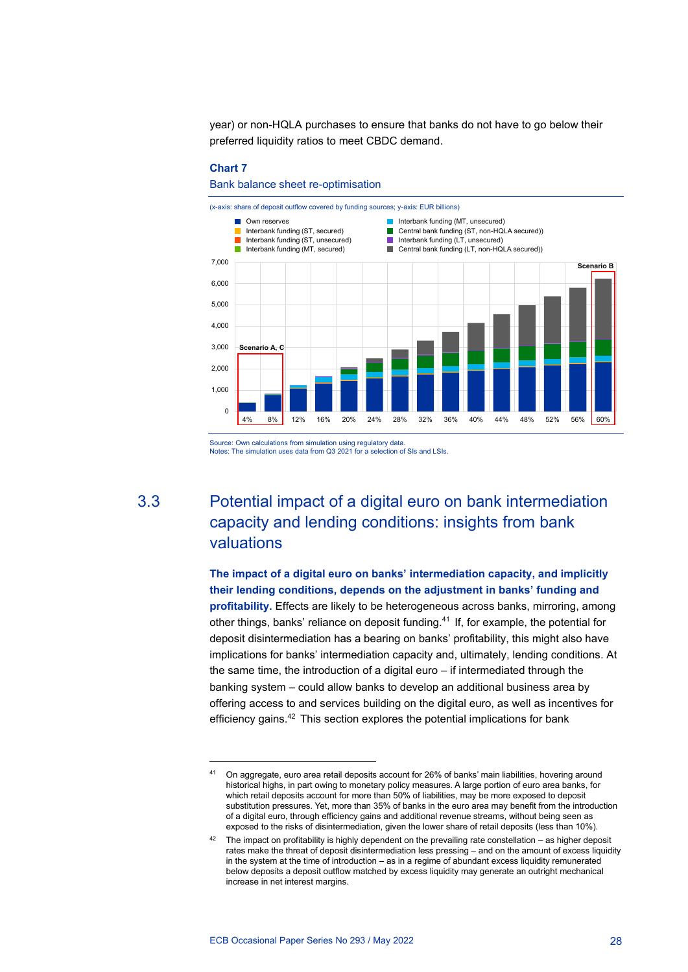year) or non-HQLA purchases to ensure that banks do not have to go below their preferred liquidity ratios to meet CBDC demand.

#### **Chart 7**

Bank balance sheet re-optimisation



Source: Own calculations from simulation using regulatory data. Notes: The simulation uses data from Q3 2021 for a selection of SIs and LSIs.

# 3.3 Potential impact of a digital euro on bank intermediation capacity and lending conditions: insights from bank valuations

**The impact of a digital euro on banks' intermediation capacity, and implicitly their lending conditions, depends on the adjustment in banks' funding and profitability.** Effects are likely to be heterogeneous across banks, mirroring, among other things, banks' reliance on deposit funding.<sup>41</sup> If, for example, the potential for deposit disintermediation has a bearing on banks' profitability, this might also have implications for banks' intermediation capacity and, ultimately, lending conditions. At the same time, the introduction of a digital euro – if intermediated through the banking system – could allow banks to develop an additional business area by offering access to and services building on the digital euro, as well as incentives for efficiency gains.<sup>42</sup> This section explores the potential implications for bank

<sup>41</sup> On aggregate, euro area retail deposits account for 26% of banks' main liabilities, hovering around historical highs, in part owing to monetary policy measures. A large portion of euro area banks, for which retail deposits account for more than 50% of liabilities, may be more exposed to deposit substitution pressures. Yet, more than 35% of banks in the euro area may benefit from the introduction of a digital euro, through efficiency gains and additional revenue streams, without being seen as exposed to the risks of disintermediation, given the lower share of retail deposits (less than 10%).

The impact on profitability is highly dependent on the prevailing rate constellation – as higher deposit rates make the threat of deposit disintermediation less pressing – and on the amount of excess liquidity in the system at the time of introduction – as in a regime of abundant excess liquidity remunerated below deposits a deposit outflow matched by excess liquidity may generate an outright mechanical increase in net interest margins.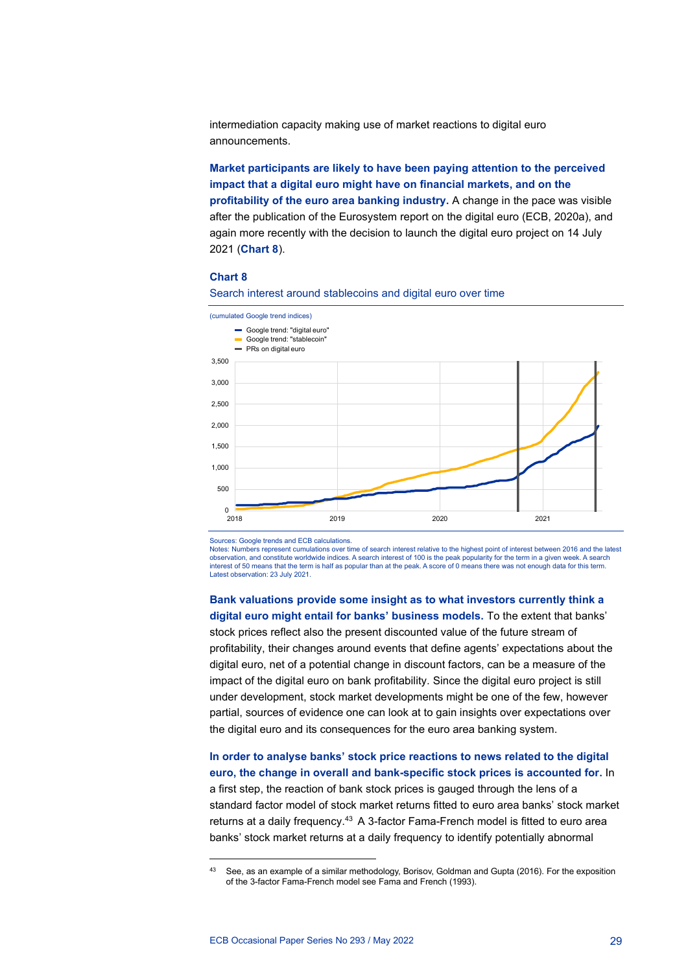intermediation capacity making use of market reactions to digital euro announcements.

**Market participants are likely to have been paying attention to the perceived impact that a digital euro might have on financial markets, and on the profitability of the euro area banking industry.** A change in the pace was visible after the publication of the Eurosystem report on the digital euro (ECB, 2020a), and again more recently with the decision to launch the digital euro project on 14 July 2021 (**Chart 8**).

#### **Chart 8**





Sources: Google trends and ECB calculations.

Notes: Numbers represent cumulations over time of search interest relative to the highest point of interest between 2016 and the latest observation, and constitute worldwide indices. A search interest of 100 is the peak popularity for the term in a given week. A search interest of 50 means that the term is half as popular than at the peak. A score of 0 means there was not enough data for this term. Latest observation: 23 July 2021.

**Bank valuations provide some insight as to what investors currently think a digital euro might entail for banks' business models.** To the extent that banks' stock prices reflect also the present discounted value of the future stream of profitability, their changes around events that define agents' expectations about the digital euro, net of a potential change in discount factors, can be a measure of the impact of the digital euro on bank profitability. Since the digital euro project is still under development, stock market developments might be one of the few, however partial, sources of evidence one can look at to gain insights over expectations over the digital euro and its consequences for the euro area banking system.

# **In order to analyse banks' stock price reactions to news related to the digital euro, the change in overall and bank-specific stock prices is accounted for.** In

a first step, the reaction of bank stock prices is gauged through the lens of a standard factor model of stock market returns fitted to euro area banks' stock market returns at a daily frequency.<sup>43</sup> A 3-factor Fama-French model is fitted to euro area banks' stock market returns at a daily frequency to identify potentially abnormal

<sup>43</sup> See, as an example of a similar methodology, Borisov, Goldman and Gupta (2016). For the exposition of the 3-factor Fama-French model see Fama and French (1993).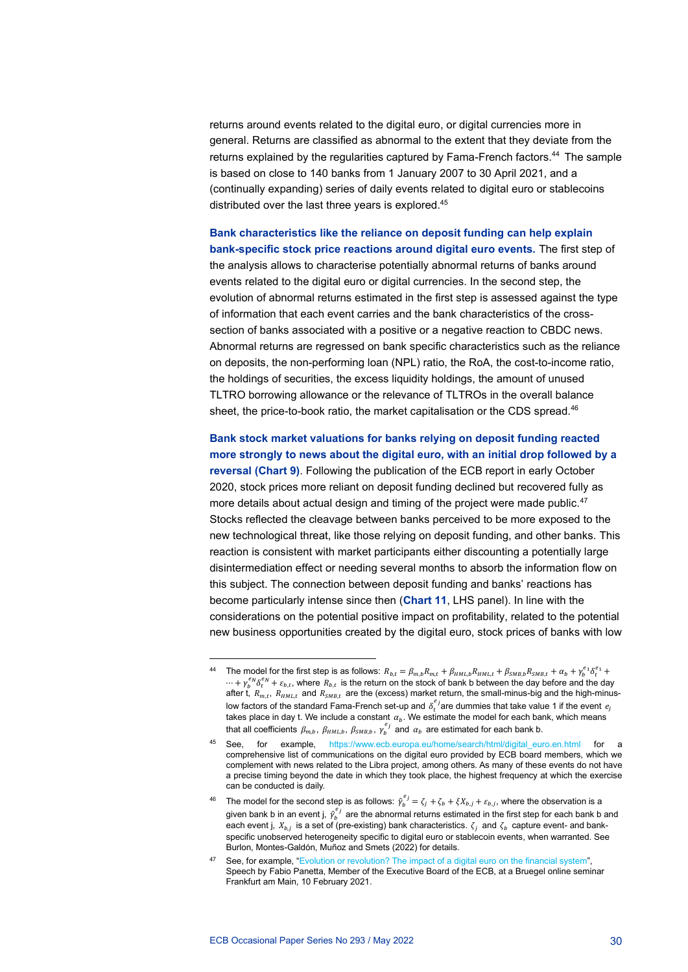returns around events related to the digital euro, or digital currencies more in general. Returns are classified as abnormal to the extent that they deviate from the returns explained by the regularities captured by Fama-French factors.<sup>44</sup> The sample is based on close to 140 banks from 1 January 2007 to 30 April 2021, and a (continually expanding) series of daily events related to digital euro or stablecoins distributed over the last three years is explored. 45

**Bank characteristics like the reliance on deposit funding can help explain bank-specific stock price reactions around digital euro events.** The first step of the analysis allows to characterise potentially abnormal returns of banks around events related to the digital euro or digital currencies. In the second step, the evolution of abnormal returns estimated in the first step is assessed against the type of information that each event carries and the bank characteristics of the crosssection of banks associated with a positive or a negative reaction to CBDC news. Abnormal returns are regressed on bank specific characteristics such as the reliance on deposits, the non-performing loan (NPL) ratio, the RoA, the cost-to-income ratio, the holdings of securities, the excess liquidity holdings, the amount of unused TLTRO borrowing allowance or the relevance of TLTROs in the overall balance sheet, the price-to-book ratio, the market capitalisation or the CDS spread.<sup>46</sup>

**Bank stock market valuations for banks relying on deposit funding reacted more strongly to news about the digital euro, with an initial drop followed by a reversal (Chart 9)**. Following the publication of the ECB report in early October 2020, stock prices more reliant on deposit funding declined but recovered fully as more details about actual design and timing of the project were made public.<sup>47</sup> Stocks reflected the cleavage between banks perceived to be more exposed to the new technological threat, like those relying on deposit funding, and other banks. This reaction is consistent with market participants either discounting a potentially large disintermediation effect or needing several months to absorb the information flow on this subject. The connection between deposit funding and banks' reactions has become particularly intense since then (**Chart 11**, LHS panel). In line with the considerations on the potential positive impact on profitability, related to the potential new business opportunities created by the digital euro, stock prices of banks with low

<sup>&</sup>lt;sup>44</sup> The model for the first step is as follows:  $R_{b,t} = \beta_{m,b} R_{m,t} + \beta_{HML,b} R_{HML,t} + \beta_{SMB,b} R_{SMB,t} + \alpha_b + \gamma_b^{\varepsilon_1} \delta_t^{\varepsilon_1} +$  $\cdots + \gamma_b^{e_N} \delta_t^{e_N} + \varepsilon_{b,t}$ , where  $R_{b,t}$  is the return on the stock of bank b between the day before and the day after t,  $R_{m,t}$ ,  $R_{HML,t}$  and  $R_{SMB,t}$  are the (excess) market return, the small-minus-big and the high-minuslow factors of the standard Fama-French set-up and  $\,\delta_t^{e_j}$ are dummies that take value 1 if the event  $\,e_j$ takes place in day t. We include a constant  $\alpha_b$ . We estimate the model for each bank, which means that all coefficients  $\beta_{m,b},\ \beta_{HML,b},\ \beta_{SMB,b},\ \gamma_b^{e_j}$  and  $\alpha_b$  are estimated for each bank b.

<sup>45</sup> See, for example, https://www.ecb.europa.eu/home/search/html/digital\_euro.en.html for a comprehensive list of communications on the digital euro provided by ECB board members, which we complement with news related to the Libra project, among others. As many of these events do not have a precise timing beyond the date in which they took place, the highest frequency at which the exercise can be conducted is daily.

<sup>&</sup>lt;sup>46</sup> The model for the second step is as follows:  $\hat{\gamma}_b^{e_j} = \zeta_j + \zeta_b + \xi X_{b,j} + \varepsilon_{b,j}$ , where the observation is a given bank b in an event j,  $\hat{p}^{e_j}_b$  are the abnormal returns estimated in the first step for each bank b and each event j,  $X_{b,i}$  is a set of (pre-existing) bank characteristics.  $\zeta_i$  and  $\zeta_b$  capture event- and bankspecific unobserved heterogeneity specific to digital euro or stablecoin events, when warranted. See Burlon, Montes-Galdón, Muñoz and Smets (2022) for details.

<sup>47</sup> See, for example, "Evolution or revolution? The impact of a digital euro on the financial system", Speech by Fabio Panetta, Member of the Executive Board of the ECB, at a Bruegel online seminar Frankfurt am Main, 10 February 2021.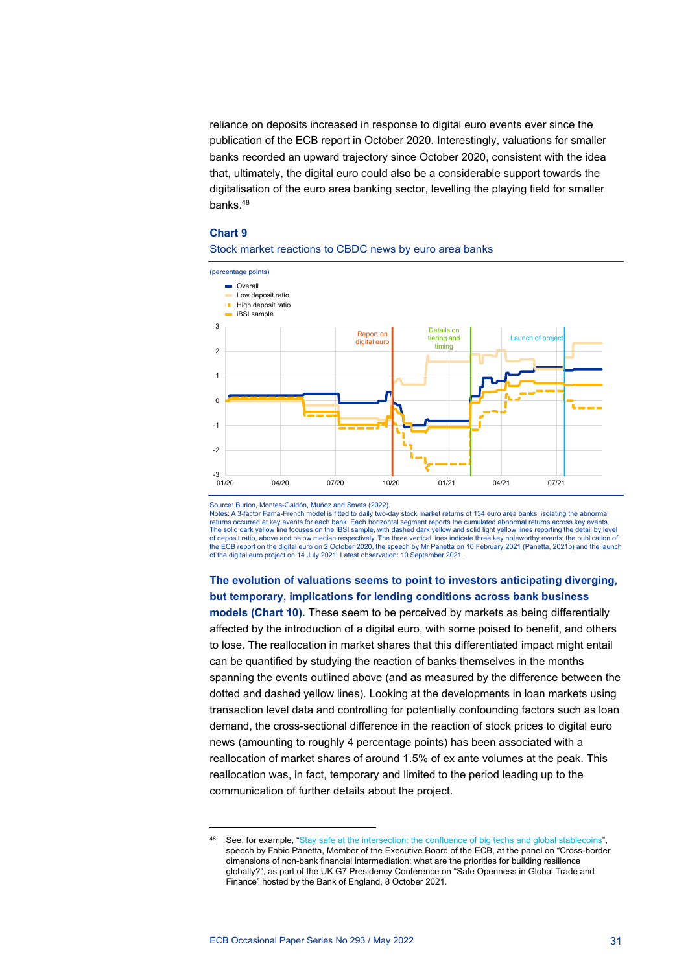reliance on deposits increased in response to digital euro events ever since the publication of the ECB report in October 2020. Interestingly, valuations for smaller banks recorded an upward trajectory since October 2020, consistent with the idea that, ultimately, the digital euro could also be a considerable support towards the digitalisation of the euro area banking sector, levelling the playing field for smaller banks. 48

#### **Chart 9**

#### Stock market reactions to CBDC news by euro area banks



Source: Burlon, Montes-Galdón, Muñoz and Smets (2022).

Notes: A 3-factor Fama-French model is fitted to daily two-day stock market returns of 134 euro area banks, isolating the abnormal<br>returns occurred at key events for each bank. Each horizontal segment reports the cumulated The solid dark yellow line focuses on the IBSI sample, with dashed dark yellow and solid light yellow lines reporting the detail by level of deposit ratio, above and below median respectively. The three vertical lines indicate three key noteworthy events: the publication of the ECB report on the digital euro on 2 October 2020, the speech by Mr Panetta on 10 February 2021 (Panetta, 2021b) and the launch of the digital euro project on 14 July 2021. Latest observation: 10 September 2021.

# **The evolution of valuations seems to point to investors anticipating diverging, but temporary, implications for lending conditions across bank business**

**models (Chart 10).** These seem to be perceived by markets as being differentially affected by the introduction of a digital euro, with some poised to benefit, and others to lose. The reallocation in market shares that this differentiated impact might entail can be quantified by studying the reaction of banks themselves in the months spanning the events outlined above (and as measured by the difference between the dotted and dashed yellow lines). Looking at the developments in loan markets using transaction level data and controlling for potentially confounding factors such as loan demand, the cross-sectional difference in the reaction of stock prices to digital euro news (amounting to roughly 4 percentage points) has been associated with a reallocation of market shares of around 1.5% of ex ante volumes at the peak. This reallocation was, in fact, temporary and limited to the period leading up to the communication of further details about the project.

<sup>48</sup> See, for example, "Stay safe at the intersection: the confluence of big techs and global stablecoins", speech by Fabio Panetta, Member of the Executive Board of the ECB, at the panel on "Cross-border dimensions of non-bank financial intermediation: what are the priorities for building resilience globally?", as part of the UK G7 Presidency Conference on "Safe Openness in Global Trade and Finance" hosted by the Bank of England, 8 October 2021.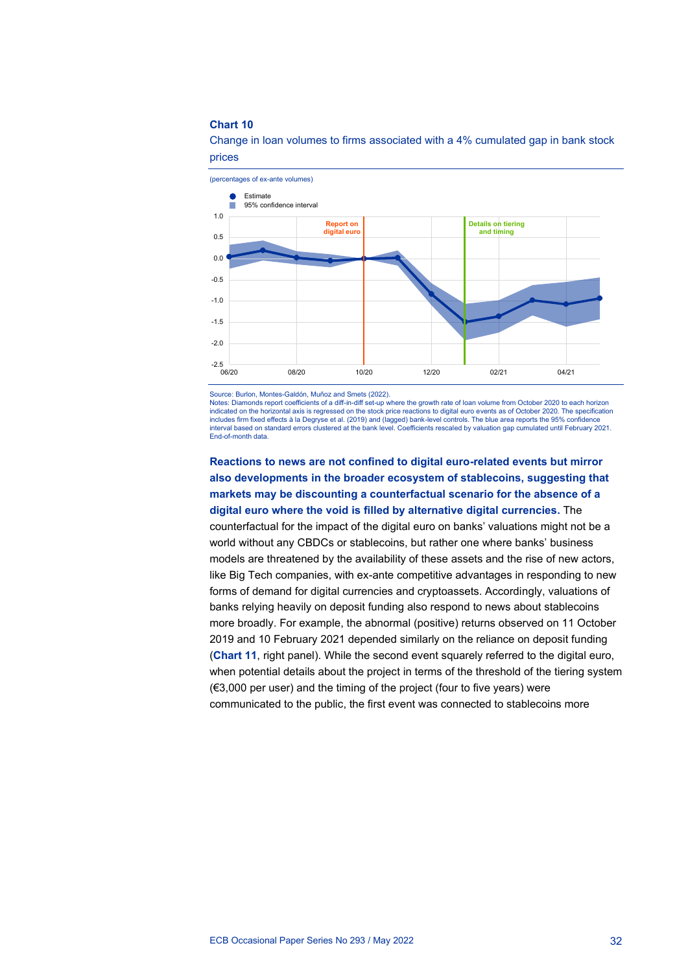#### **Chart 10**



Change in loan volumes to firms associated with a 4% cumulated gap in bank stock prices

Source: Burlon, Montes-Galdón, Muñoz and Smets (2022).

Notes: Diamonds report coefficients of a diff-in-diff set-up where the growth rate of loan volume from October 2020 to each horizon indicated on the horizontal axis is regressed on the stock price reactions to digital euro events as of October 2020. The specification includes firm fixed effects à la Degryse et al. (2019) and (lagged) bank-level controls. The blue area reports the 95% confidence<br>interval based on standard errors clustered at the bank level. Coefficients rescaled by valu End-of-month data.

**Reactions to news are not confined to digital euro-related events but mirror also developments in the broader ecosystem of stablecoins, suggesting that markets may be discounting a counterfactual scenario for the absence of a digital euro where the void is filled by alternative digital currencies.** The counterfactual for the impact of the digital euro on banks' valuations might not be a world without any CBDCs or stablecoins, but rather one where banks' business models are threatened by the availability of these assets and the rise of new actors, like Big Tech companies, with ex-ante competitive advantages in responding to new forms of demand for digital currencies and cryptoassets. Accordingly, valuations of banks relying heavily on deposit funding also respond to news about stablecoins more broadly. For example, the abnormal (positive) returns observed on 11 October 2019 and 10 February 2021 depended similarly on the reliance on deposit funding (**Chart 11**, right panel). While the second event squarely referred to the digital euro, when potential details about the project in terms of the threshold of the tiering system (€3,000 per user) and the timing of the project (four to five years) were communicated to the public, the first event was connected to stablecoins more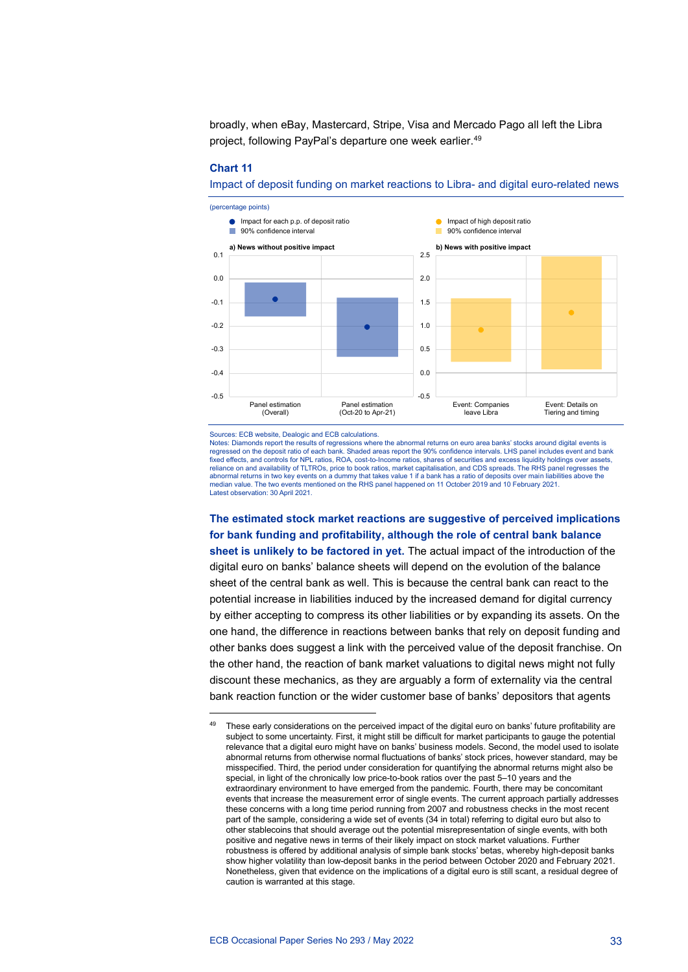broadly, when eBay, Mastercard, Stripe, Visa and Mercado Pago all left the Libra project, following PayPal's departure one week earlier.<sup>49</sup>

#### **Chart 11**

Impact of deposit funding on market reactions to Libra- and digital euro-related news



Sources: ECB website, Dealogic and ECB calculations.

Notes: Diamonds report the results of regressions where the abnormal returns on euro area banks' stocks around digital events is<br>regressed on the deposit ratio of each bank. Shaded areas report the 90% confidence intervals fixed effects, and controls for NPL ratios, ROA, cost-to-Income ratios, shares of securities and excess liquidity holdings over assets, reliance on and availability of TLTROs, price to book ratios, market capitalisation, and CDS spreads. The RHS panel regresses the<br>abnormal returns in two key events on a dummy that takes value 1 if a bank has a ratio of de median value. The two events mentioned on the RHS panel happened on 11 October 2019 and 10 February 2021. Latest observation: 30 April 2021.

**The estimated stock market reactions are suggestive of perceived implications for bank funding and profitability, although the role of central bank balance sheet is unlikely to be factored in yet.** The actual impact of the introduction of the digital euro on banks' balance sheets will depend on the evolution of the balance sheet of the central bank as well. This is because the central bank can react to the potential increase in liabilities induced by the increased demand for digital currency by either accepting to compress its other liabilities or by expanding its assets. On the one hand, the difference in reactions between banks that rely on deposit funding and other banks does suggest a link with the perceived value of the deposit franchise. On the other hand, the reaction of bank market valuations to digital news might not fully discount these mechanics, as they are arguably a form of externality via the central bank reaction function or the wider customer base of banks' depositors that agents

<sup>&</sup>lt;sup>49</sup> These early considerations on the perceived impact of the digital euro on banks' future profitability are subject to some uncertainty. First, it might still be difficult for market participants to gauge the potential relevance that a digital euro might have on banks' business models. Second, the model used to isolate abnormal returns from otherwise normal fluctuations of banks' stock prices, however standard, may be misspecified. Third, the period under consideration for quantifying the abnormal returns might also be special, in light of the chronically low price-to-book ratios over the past 5–10 years and the extraordinary environment to have emerged from the pandemic. Fourth, there may be concomitant events that increase the measurement error of single events. The current approach partially addresses these concerns with a long time period running from 2007 and robustness checks in the most recent part of the sample, considering a wide set of events (34 in total) referring to digital euro but also to other stablecoins that should average out the potential misrepresentation of single events, with both positive and negative news in terms of their likely impact on stock market valuations. Further robustness is offered by additional analysis of simple bank stocks' betas, whereby high-deposit banks show higher volatility than low-deposit banks in the period between October 2020 and February 2021. Nonetheless, given that evidence on the implications of a digital euro is still scant, a residual degree of caution is warranted at this stage.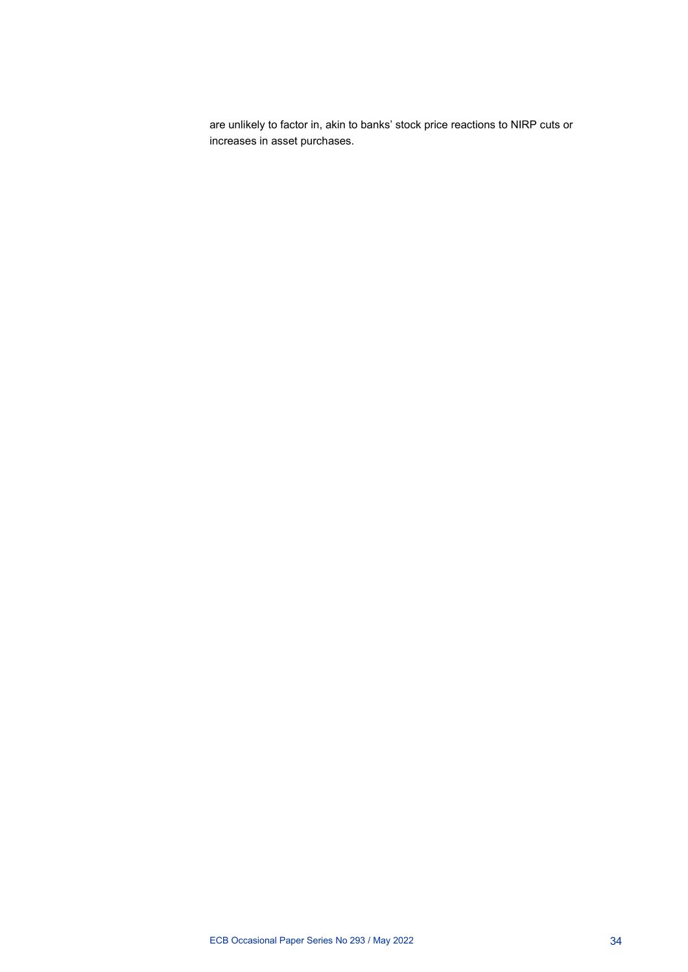are unlikely to factor in, akin to banks' stock price reactions to NIRP cuts or increases in asset purchases.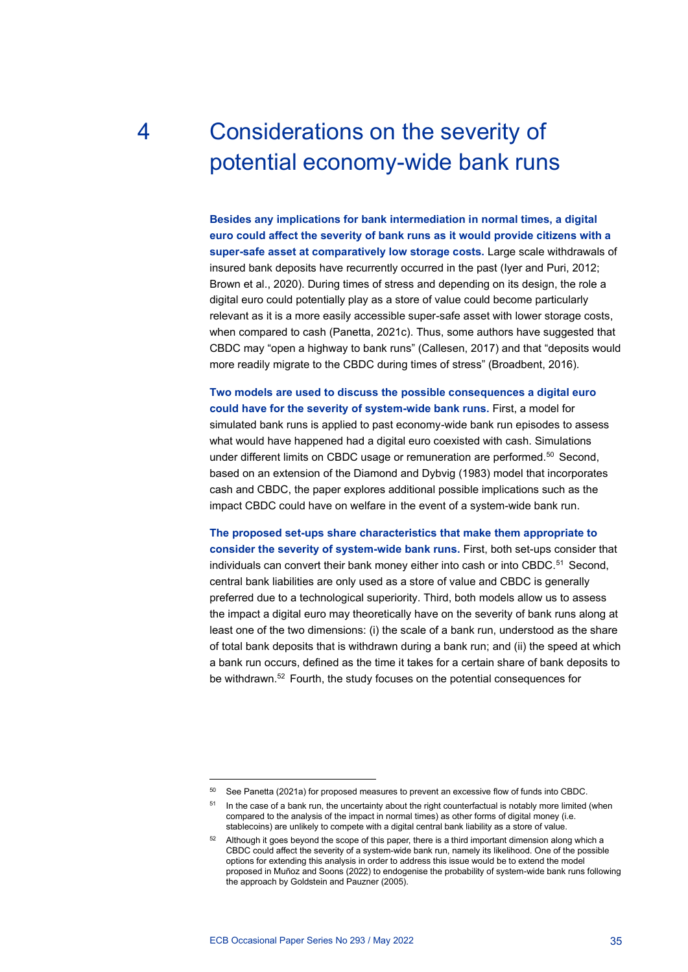# 4 Considerations on the severity of potential economy-wide bank runs

**Besides any implications for bank intermediation in normal times, a digital euro could affect the severity of bank runs as it would provide citizens with a super-safe asset at comparatively low storage costs.** Large scale withdrawals of insured bank deposits have recurrently occurred in the past (Iyer and Puri, 2012; Brown et al., 2020). During times of stress and depending on its design, the role a digital euro could potentially play as a store of value could become particularly relevant as it is a more easily accessible super-safe asset with lower storage costs, when compared to cash (Panetta, 2021c). Thus, some authors have suggested that CBDC may "open a highway to bank runs" (Callesen, 2017) and that "deposits would more readily migrate to the CBDC during times of stress" (Broadbent, 2016).

**Two models are used to discuss the possible consequences a digital euro could have for the severity of system-wide bank runs.** First, a model for simulated bank runs is applied to past economy-wide bank run episodes to assess what would have happened had a digital euro coexisted with cash. Simulations under different limits on CBDC usage or remuneration are performed.<sup>50</sup> Second, based on an extension of the Diamond and Dybvig (1983) model that incorporates cash and CBDC, the paper explores additional possible implications such as the impact CBDC could have on welfare in the event of a system-wide bank run.

**The proposed set-ups share characteristics that make them appropriate to consider the severity of system-wide bank runs.** First, both set-ups consider that individuals can convert their bank money either into cash or into CBDC.<sup>51</sup> Second, central bank liabilities are only used as a store of value and CBDC is generally preferred due to a technological superiority. Third, both models allow us to assess the impact a digital euro may theoretically have on the severity of bank runs along at least one of the two dimensions: (i) the scale of a bank run, understood as the share of total bank deposits that is withdrawn during a bank run; and (ii) the speed at which a bank run occurs, defined as the time it takes for a certain share of bank deposits to be withdrawn.52 Fourth, the study focuses on the potential consequences for

<sup>50</sup> See Panetta (2021a) for proposed measures to prevent an excessive flow of funds into CBDC.

<sup>&</sup>lt;sup>51</sup> In the case of a bank run, the uncertainty about the right counterfactual is notably more limited (when compared to the analysis of the impact in normal times) as other forms of digital money (i.e. stablecoins) are unlikely to compete with a digital central bank liability as a store of value.

<sup>&</sup>lt;sup>52</sup> Although it goes beyond the scope of this paper, there is a third important dimension along which a CBDC could affect the severity of a system-wide bank run, namely its likelihood. One of the possible options for extending this analysis in order to address this issue would be to extend the model proposed in Muñoz and Soons (2022) to endogenise the probability of system-wide bank runs following the approach by Goldstein and Pauzner (2005).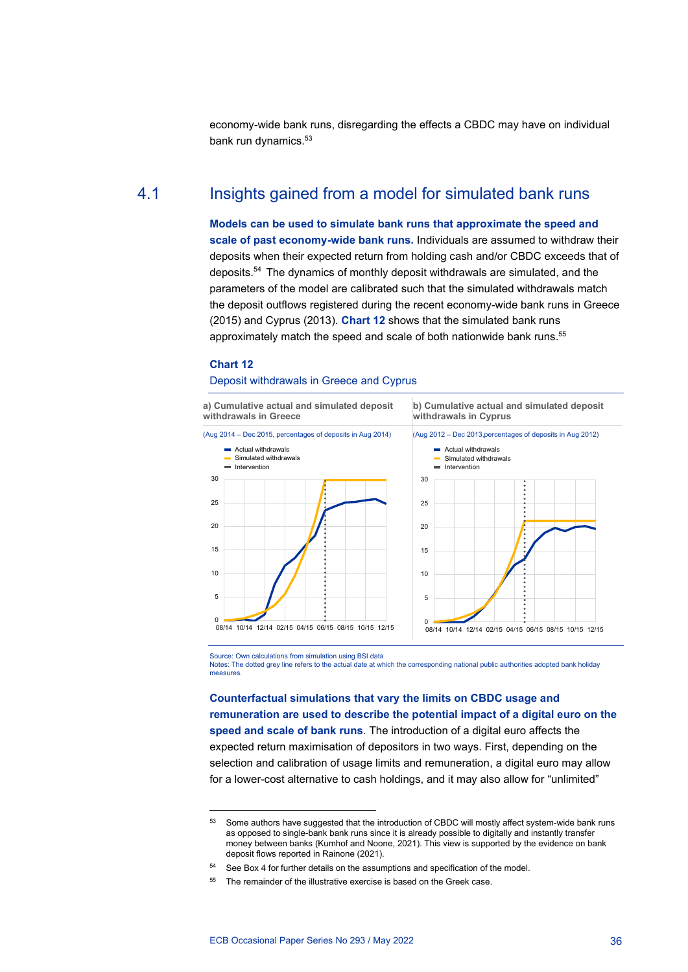economy-wide bank runs, disregarding the effects a CBDC may have on individual bank run dynamics.<sup>53</sup>

# 4.1 Insights gained from a model for simulated bank runs

**Models can be used to simulate bank runs that approximate the speed and scale of past economy-wide bank runs.** Individuals are assumed to withdraw their deposits when their expected return from holding cash and/or CBDC exceeds that of deposits.54 The dynamics of monthly deposit withdrawals are simulated, and the parameters of the model are calibrated such that the simulated withdrawals match the deposit outflows registered during the recent economy-wide bank runs in Greece (2015) and Cyprus (2013). **Chart 12** shows that the simulated bank runs approximately match the speed and scale of both nationwide bank runs.<sup>55</sup>

#### **Chart 12**

#### Deposit withdrawals in Greece and Cyprus

**a) Cumulative actual and simulated deposit withdrawals in Greece b) Cumulative actual and simulated deposit withdrawals in Cyprus** (Aug 2014 – Dec 2015, percentages of deposits in Aug 2014) (Aug 2012 – Dec 2013,percentages of deposits in Aug 2012)  $\Omega$ 5 10 15 20 25 30 08/14 10/14 12/14 02/15 04/15 06/15 08/15 10/15 12/15 **Actual withdrawals** Simulated withdrawals Intervention 0 5 10 15 20 25 30 08/14 10/14 12/14 02/15 04/15 06/15 08/15 10/15 12/15 **Actual withdrawals** Simulated withdrawals Intervention

Source: Own calculations from simulation using BSI data

Notes: The dotted grey line refers to the actual date at which the corresponding national public authorities adopted bank holiday measures.

**Counterfactual simulations that vary the limits on CBDC usage and remuneration are used to describe the potential impact of a digital euro on the speed and scale of bank runs**. The introduction of a digital euro affects the expected return maximisation of depositors in two ways. First, depending on the selection and calibration of usage limits and remuneration, a digital euro may allow for a lower-cost alternative to cash holdings, and it may also allow for "unlimited"

<sup>53</sup> Some authors have suggested that the introduction of CBDC will mostly affect system-wide bank runs as opposed to single-bank bank runs since it is already possible to digitally and instantly transfer money between banks (Kumhof and Noone, 2021). This view is supported by the evidence on bank deposit flows reported in Rainone (2021).

<sup>54</sup> See Box 4 for further details on the assumptions and specification of the model.

<sup>&</sup>lt;sup>55</sup> The remainder of the illustrative exercise is based on the Greek case.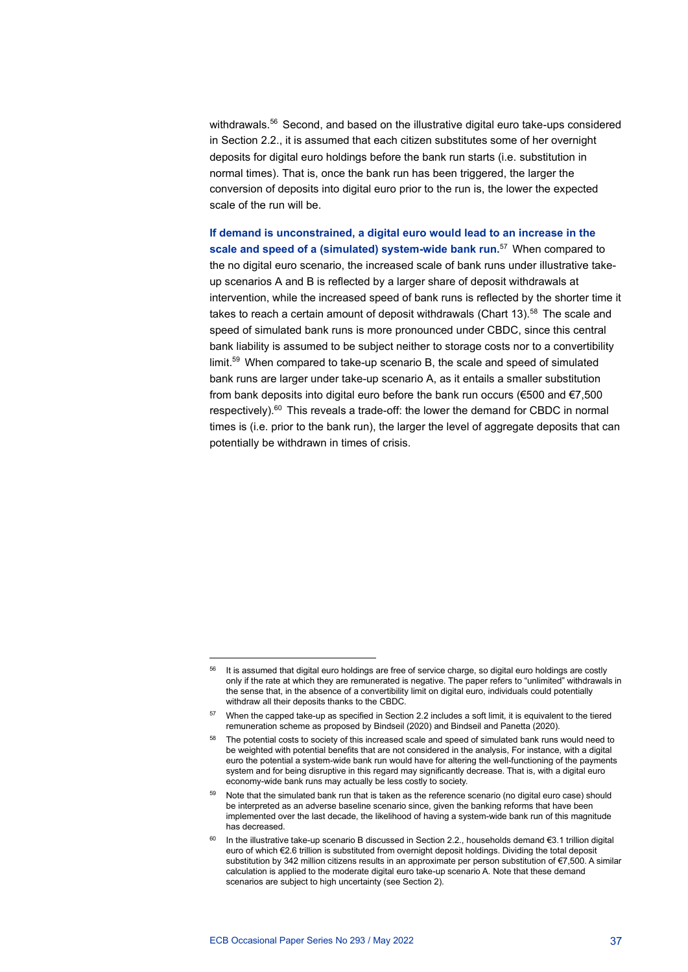withdrawals.56 Second, and based on the illustrative digital euro take-ups considered in Section 2.2., it is assumed that each citizen substitutes some of her overnight deposits for digital euro holdings before the bank run starts (i.e. substitution in normal times). That is, once the bank run has been triggered, the larger the conversion of deposits into digital euro prior to the run is, the lower the expected scale of the run will be.

**If demand is unconstrained, a digital euro would lead to an increase in the scale and speed of a (simulated) system-wide bank run.**<sup>57</sup> When compared to the no digital euro scenario, the increased scale of bank runs under illustrative takeup scenarios A and B is reflected by a larger share of deposit withdrawals at intervention, while the increased speed of bank runs is reflected by the shorter time it takes to reach a certain amount of deposit withdrawals (Chart 13). <sup>58</sup> The scale and speed of simulated bank runs is more pronounced under CBDC, since this central bank liability is assumed to be subject neither to storage costs nor to a convertibility limit.59 When compared to take-up scenario B, the scale and speed of simulated bank runs are larger under take-up scenario A, as it entails a smaller substitution from bank deposits into digital euro before the bank run occurs (€500 and €7,500 respectively).<sup>60</sup> This reveals a trade-off: the lower the demand for CBDC in normal times is (i.e. prior to the bank run), the larger the level of aggregate deposits that can potentially be withdrawn in times of crisis.

<sup>&</sup>lt;sup>56</sup> It is assumed that digital euro holdings are free of service charge, so digital euro holdings are costly only if the rate at which they are remunerated is negative. The paper refers to "unlimited" withdrawals in the sense that, in the absence of a convertibility limit on digital euro, individuals could potentially withdraw all their deposits thanks to the CBDC.

<sup>&</sup>lt;sup>57</sup> When the capped take-up as specified in Section 2.2 includes a soft limit, it is equivalent to the tiered remuneration scheme as proposed by Bindseil (2020) and Bindseil and Panetta (2020).

<sup>&</sup>lt;sup>58</sup> The potential costs to society of this increased scale and speed of simulated bank runs would need to be weighted with potential benefits that are not considered in the analysis, For instance, with a digital euro the potential a system-wide bank run would have for altering the well-functioning of the payments system and for being disruptive in this regard may significantly decrease. That is, with a digital euro economy-wide bank runs may actually be less costly to society.

<sup>59</sup> Note that the simulated bank run that is taken as the reference scenario (no digital euro case) should be interpreted as an adverse baseline scenario since, given the banking reforms that have been implemented over the last decade, the likelihood of having a system-wide bank run of this magnitude has decreased.

In the illustrative take-up scenario B discussed in Section 2.2., households demand €3.1 trillion digital euro of which €2.6 trillion is substituted from overnight deposit holdings. Dividing the total deposit substitution by 342 million citizens results in an approximate per person substitution of €7,500. A similar calculation is applied to the moderate digital euro take-up scenario A. Note that these demand scenarios are subject to high uncertainty (see Section 2).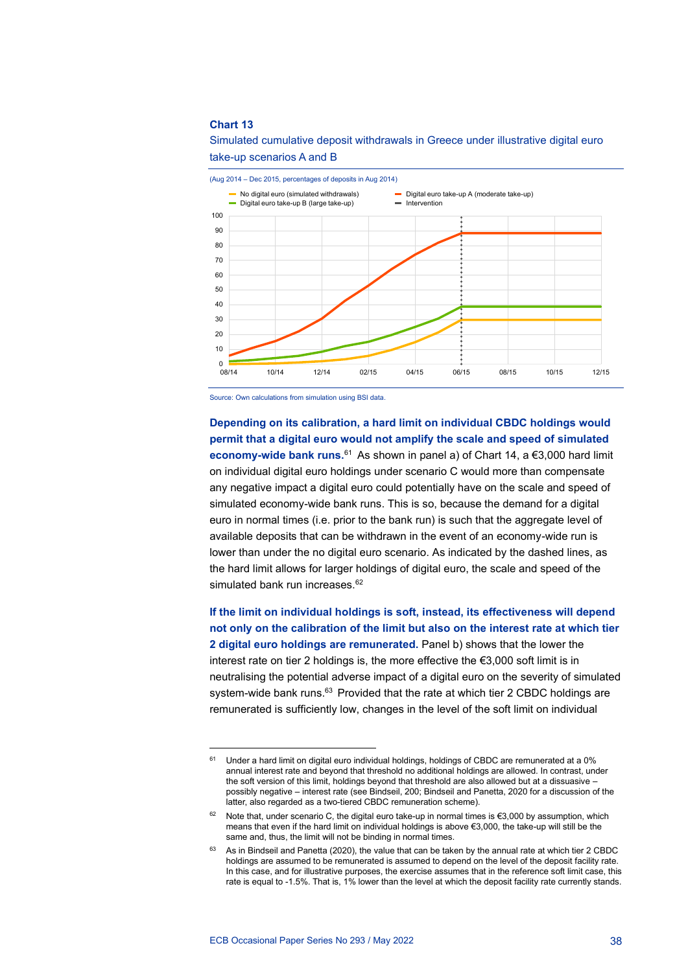#### **Chart 13**

Simulated cumulative deposit withdrawals in Greece under illustrative digital euro take-up scenarios A and B



Source: Own calculations from simulation using BSI data.

**Depending on its calibration, a hard limit on individual CBDC holdings would permit that a digital euro would not amplify the scale and speed of simulated economy-wide bank runs.**<sup>61</sup> As shown in panel a) of Chart 14, a €3,000 hard limit on individual digital euro holdings under scenario C would more than compensate any negative impact a digital euro could potentially have on the scale and speed of simulated economy-wide bank runs. This is so, because the demand for a digital euro in normal times (i.e. prior to the bank run) is such that the aggregate level of available deposits that can be withdrawn in the event of an economy-wide run is lower than under the no digital euro scenario. As indicated by the dashed lines, as the hard limit allows for larger holdings of digital euro, the scale and speed of the simulated bank run increases.<sup>62</sup>

**If the limit on individual holdings is soft, instead, its effectiveness will depend not only on the calibration of the limit but also on the interest rate at which tier 2 digital euro holdings are remunerated.** Panel b) shows that the lower the interest rate on tier 2 holdings is, the more effective the €3,000 soft limit is in neutralising the potential adverse impact of a digital euro on the severity of simulated system-wide bank runs.<sup>63</sup> Provided that the rate at which tier 2 CBDC holdings are remunerated is sufficiently low, changes in the level of the soft limit on individual

 $61$  Under a hard limit on digital euro individual holdings, holdings of CBDC are remunerated at a 0% annual interest rate and beyond that threshold no additional holdings are allowed. In contrast, under the soft version of this limit, holdings beyond that threshold are also allowed but at a dissuasive – possibly negative – interest rate (see Bindseil, 200; Bindseil and Panetta, 2020 for a discussion of the latter, also regarded as a two-tiered CBDC remuneration scheme).

<sup>62</sup> Note that, under scenario C, the digital euro take-up in normal times is  $\epsilon$ 3,000 by assumption, which means that even if the hard limit on individual holdings is above €3,000, the take-up will still be the same and, thus, the limit will not be binding in normal times.

As in Bindseil and Panetta (2020), the value that can be taken by the annual rate at which tier 2 CBDC holdings are assumed to be remunerated is assumed to depend on the level of the deposit facility rate. In this case, and for illustrative purposes, the exercise assumes that in the reference soft limit case, this rate is equal to -1.5%. That is, 1% lower than the level at which the deposit facility rate currently stands.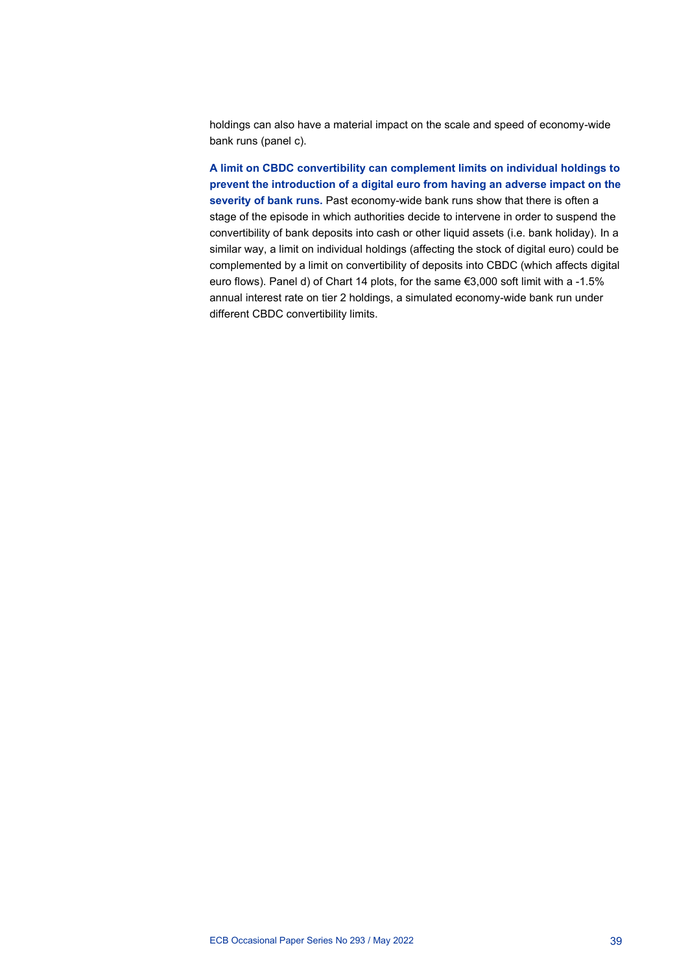holdings can also have a material impact on the scale and speed of economy-wide bank runs (panel c).

**A limit on CBDC convertibility can complement limits on individual holdings to prevent the introduction of a digital euro from having an adverse impact on the severity of bank runs.** Past economy-wide bank runs show that there is often a stage of the episode in which authorities decide to intervene in order to suspend the convertibility of bank deposits into cash or other liquid assets (i.e. bank holiday). In a similar way, a limit on individual holdings (affecting the stock of digital euro) could be complemented by a limit on convertibility of deposits into CBDC (which affects digital euro flows). Panel d) of Chart 14 plots, for the same €3,000 soft limit with a -1.5% annual interest rate on tier 2 holdings, a simulated economy-wide bank run under different CBDC convertibility limits.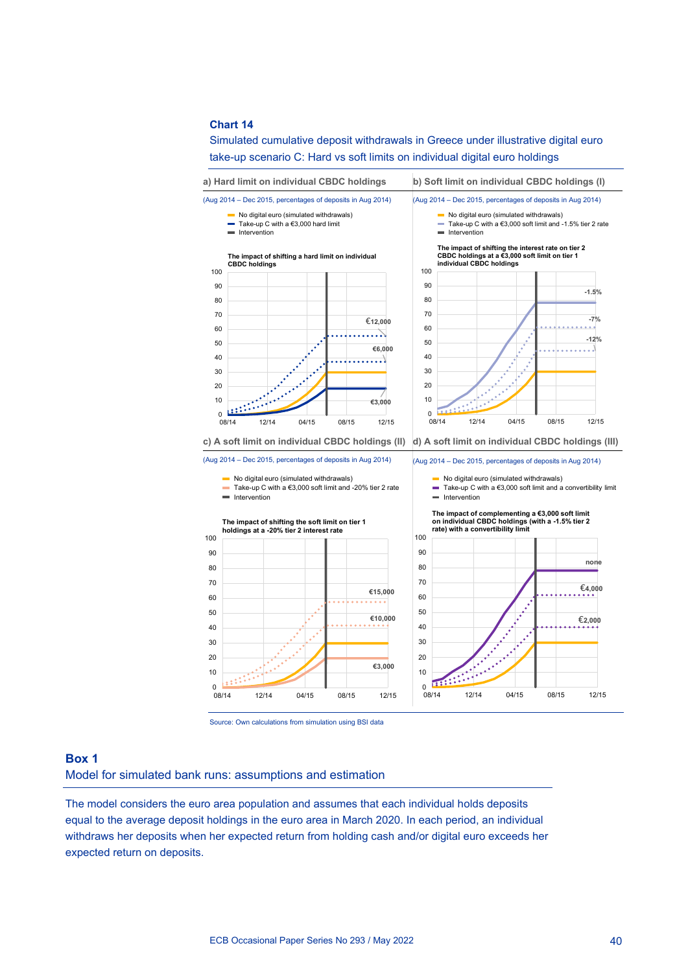#### **Chart 14**

Simulated cumulative deposit withdrawals in Greece under illustrative digital euro take-up scenario C: Hard vs soft limits on individual digital euro holdings



Source: Own calculations from simulation using BSI data

#### **Box 1**

Model for simulated bank runs: assumptions and estimation

The model considers the euro area population and assumes that each individual holds deposits equal to the average deposit holdings in the euro area in March 2020. In each period, an individual withdraws her deposits when her expected return from holding cash and/or digital euro exceeds her expected return on deposits.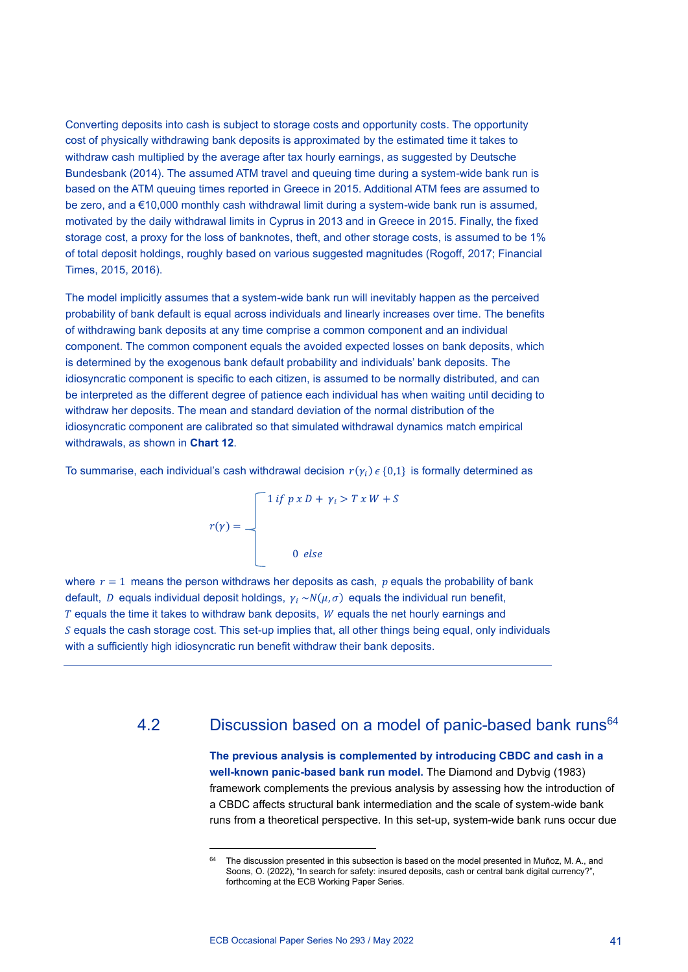Converting deposits into cash is subject to storage costs and opportunity costs. The opportunity cost of physically withdrawing bank deposits is approximated by the estimated time it takes to withdraw cash multiplied by the average after tax hourly earnings, as suggested by Deutsche Bundesbank (2014). The assumed ATM travel and queuing time during a system-wide bank run is based on the ATM queuing times reported in Greece in 2015. Additional ATM fees are assumed to be zero, and a €10,000 monthly cash withdrawal limit during a system-wide bank run is assumed, motivated by the daily withdrawal limits in Cyprus in 2013 and in Greece in 2015. Finally, the fixed storage cost, a proxy for the loss of banknotes, theft, and other storage costs, is assumed to be 1% of total deposit holdings, roughly based on various suggested magnitudes (Rogoff, 2017; Financial Times, 2015, 2016).

The model implicitly assumes that a system-wide bank run will inevitably happen as the perceived probability of bank default is equal across individuals and linearly increases over time. The benefits of withdrawing bank deposits at any time comprise a common component and an individual component. The common component equals the avoided expected losses on bank deposits, which is determined by the exogenous bank default probability and individuals' bank deposits. The idiosyncratic component is specific to each citizen, is assumed to be normally distributed, and can be interpreted as the different degree of patience each individual has when waiting until deciding to withdraw her deposits. The mean and standard deviation of the normal distribution of the idiosyncratic component are calibrated so that simulated withdrawal dynamics match empirical withdrawals, as shown in **Chart 12**.

To summarise, each individual's cash withdrawal decision  $r(\gamma_i) \in \{0,1\}$  is formally determined as

$$
r(\gamma) = \begin{cases} 1 & \text{if } p \times D + \gamma_i > T \times W + S \\ & \\ 0 & \text{else} \end{cases}
$$

where  $r = 1$  means the person withdraws her deposits as cash,  $p$  equals the probability of bank default, D equals individual deposit holdings,  $\gamma_i \sim N(\mu, \sigma)$  equals the individual run benefit,  $T$  equals the time it takes to withdraw bank deposits,  $W$  equals the net hourly earnings and  $S$  equals the cash storage cost. This set-up implies that, all other things being equal, only individuals with a sufficiently high idiosyncratic run benefit withdraw their bank deposits.

# 4.2 **Discussion based on a model of panic-based bank runs**<sup>64</sup>

**The previous analysis is complemented by introducing CBDC and cash in a well-known panic-based bank run model.** The Diamond and Dybvig (1983) framework complements the previous analysis by assessing how the introduction of a CBDC affects structural bank intermediation and the scale of system-wide bank runs from a theoretical perspective. In this set-up, system-wide bank runs occur due

<sup>64</sup> The discussion presented in this subsection is based on the model presented in Muñoz, M. A., and Soons, O. (2022), "In search for safety: insured deposits, cash or central bank digital currency?", forthcoming at the ECB Working Paper Series.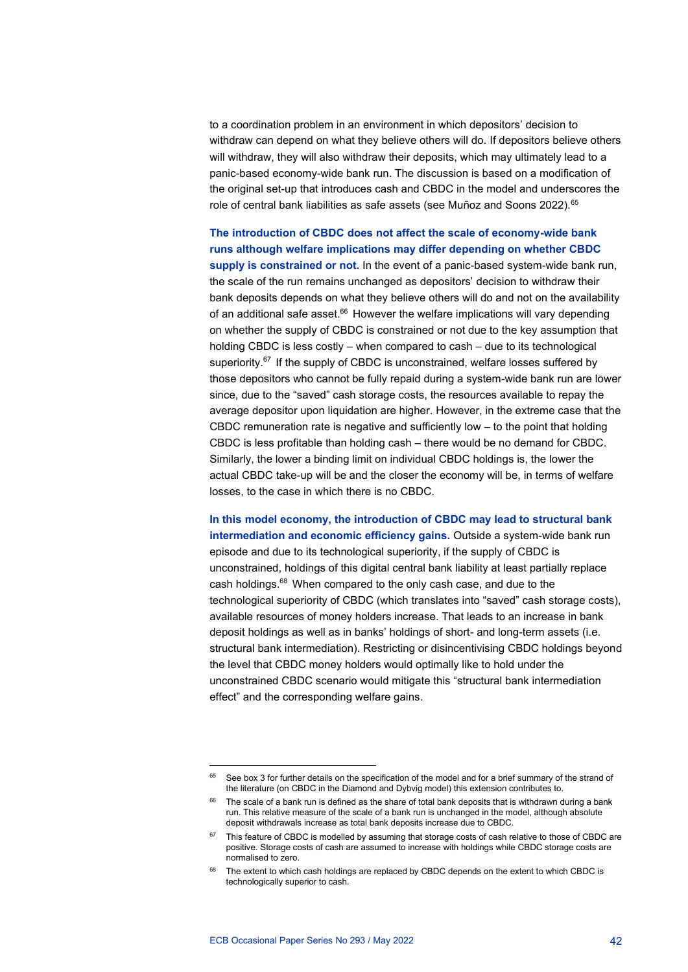to a coordination problem in an environment in which depositors' decision to withdraw can depend on what they believe others will do. If depositors believe others will withdraw, they will also withdraw their deposits, which may ultimately lead to a panic-based economy-wide bank run. The discussion is based on a modification of the original set-up that introduces cash and CBDC in the model and underscores the role of central bank liabilities as safe assets (see Muñoz and Soons 2022).<sup>65</sup>

**The introduction of CBDC does not affect the scale of economy-wide bank runs although welfare implications may differ depending on whether CBDC supply is constrained or not.** In the event of a panic-based system-wide bank run, the scale of the run remains unchanged as depositors' decision to withdraw their bank deposits depends on what they believe others will do and not on the availability of an additional safe asset. $66$  However the welfare implications will vary depending on whether the supply of CBDC is constrained or not due to the key assumption that holding CBDC is less costly – when compared to cash – due to its technological superiority.<sup>67</sup> If the supply of CBDC is unconstrained, welfare losses suffered by those depositors who cannot be fully repaid during a system-wide bank run are lower since, due to the "saved" cash storage costs, the resources available to repay the average depositor upon liquidation are higher. However, in the extreme case that the CBDC remuneration rate is negative and sufficiently low – to the point that holding CBDC is less profitable than holding cash – there would be no demand for CBDC. Similarly, the lower a binding limit on individual CBDC holdings is, the lower the actual CBDC take-up will be and the closer the economy will be, in terms of welfare losses, to the case in which there is no CBDC.

**In this model economy, the introduction of CBDC may lead to structural bank intermediation and economic efficiency gains.** Outside a system-wide bank run episode and due to its technological superiority, if the supply of CBDC is unconstrained, holdings of this digital central bank liability at least partially replace cash holdings. <sup>68</sup> When compared to the only cash case, and due to the technological superiority of CBDC (which translates into "saved" cash storage costs), available resources of money holders increase. That leads to an increase in bank deposit holdings as well as in banks' holdings of short- and long-term assets (i.e. structural bank intermediation). Restricting or disincentivising CBDC holdings beyond the level that CBDC money holders would optimally like to hold under the unconstrained CBDC scenario would mitigate this "structural bank intermediation effect" and the corresponding welfare gains.

<sup>&</sup>lt;sup>65</sup> See box 3 for further details on the specification of the model and for a brief summary of the strand of the literature (on CBDC in the Diamond and Dybvig model) this extension contributes to.

 $66$  The scale of a bank run is defined as the share of total bank deposits that is withdrawn during a bank run. This relative measure of the scale of a bank run is unchanged in the model, although absolute deposit withdrawals increase as total bank deposits increase due to CBDC.

<sup>&</sup>lt;sup>67</sup> This feature of CBDC is modelled by assuming that storage costs of cash relative to those of CBDC are positive. Storage costs of cash are assumed to increase with holdings while CBDC storage costs are normalised to zero.

 $68$  The extent to which cash holdings are replaced by CBDC depends on the extent to which CBDC is technologically superior to cash.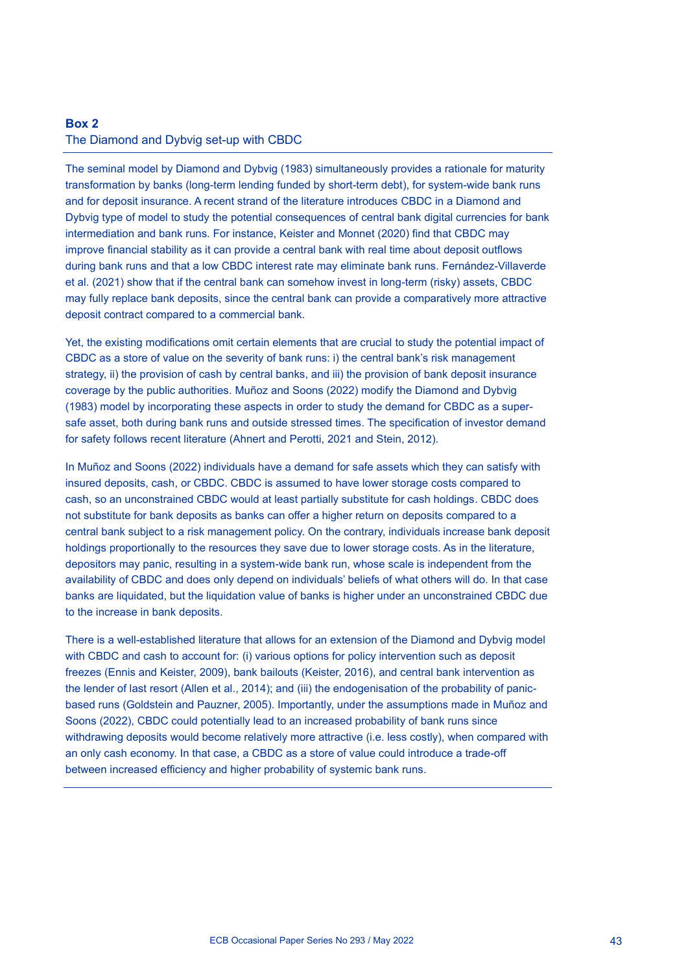# **Box 2** The Diamond and Dybvig set-up with CBDC

The seminal model by Diamond and Dybvig (1983) simultaneously provides a rationale for maturity transformation by banks (long-term lending funded by short-term debt), for system-wide bank runs and for deposit insurance. A recent strand of the literature introduces CBDC in a Diamond and Dybvig type of model to study the potential consequences of central bank digital currencies for bank intermediation and bank runs. For instance, Keister and Monnet (2020) find that CBDC may improve financial stability as it can provide a central bank with real time about deposit outflows during bank runs and that a low CBDC interest rate may eliminate bank runs. Fernández-Villaverde et al. (2021) show that if the central bank can somehow invest in long-term (risky) assets, CBDC may fully replace bank deposits, since the central bank can provide a comparatively more attractive deposit contract compared to a commercial bank.

Yet, the existing modifications omit certain elements that are crucial to study the potential impact of CBDC as a store of value on the severity of bank runs: i) the central bank's risk management strategy, ii) the provision of cash by central banks, and iii) the provision of bank deposit insurance coverage by the public authorities. Muñoz and Soons (2022) modify the Diamond and Dybvig (1983) model by incorporating these aspects in order to study the demand for CBDC as a supersafe asset, both during bank runs and outside stressed times. The specification of investor demand for safety follows recent literature (Ahnert and Perotti, 2021 and Stein, 2012).

In Muñoz and Soons (2022) individuals have a demand for safe assets which they can satisfy with insured deposits, cash, or CBDC. CBDC is assumed to have lower storage costs compared to cash, so an unconstrained CBDC would at least partially substitute for cash holdings. CBDC does not substitute for bank deposits as banks can offer a higher return on deposits compared to a central bank subject to a risk management policy. On the contrary, individuals increase bank deposit holdings proportionally to the resources they save due to lower storage costs. As in the literature, depositors may panic, resulting in a system-wide bank run, whose scale is independent from the availability of CBDC and does only depend on individuals' beliefs of what others will do. In that case banks are liquidated, but the liquidation value of banks is higher under an unconstrained CBDC due to the increase in bank deposits.

There is a well-established literature that allows for an extension of the Diamond and Dybvig model with CBDC and cash to account for: (i) various options for policy intervention such as deposit freezes (Ennis and Keister, 2009), bank bailouts (Keister, 2016), and central bank intervention as the lender of last resort (Allen et al., 2014); and (iii) the endogenisation of the probability of panicbased runs (Goldstein and Pauzner, 2005). Importantly, under the assumptions made in Muñoz and Soons (2022), CBDC could potentially lead to an increased probability of bank runs since withdrawing deposits would become relatively more attractive (i.e. less costly), when compared with an only cash economy. In that case, a CBDC as a store of value could introduce a trade-off between increased efficiency and higher probability of systemic bank runs.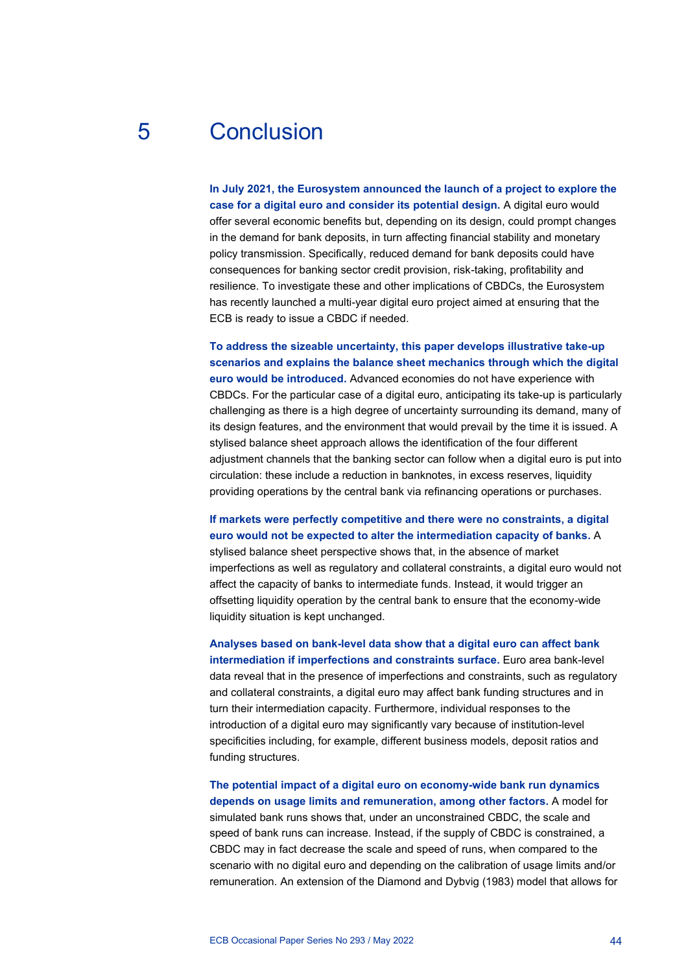# 5 Conclusion

**In July 2021, the Eurosystem announced the launch of a project to explore the case for a digital euro and consider its potential design.** A digital euro would offer several economic benefits but, depending on its design, could prompt changes in the demand for bank deposits, in turn affecting financial stability and monetary policy transmission. Specifically, reduced demand for bank deposits could have consequences for banking sector credit provision, risk-taking, profitability and resilience. To investigate these and other implications of CBDCs, the Eurosystem has recently launched a multi-year digital euro project aimed at ensuring that the ECB is ready to issue a CBDC if needed.

**To address the sizeable uncertainty, this paper develops illustrative take-up scenarios and explains the balance sheet mechanics through which the digital euro would be introduced.** Advanced economies do not have experience with CBDCs. For the particular case of a digital euro, anticipating its take-up is particularly challenging as there is a high degree of uncertainty surrounding its demand, many of its design features, and the environment that would prevail by the time it is issued. A stylised balance sheet approach allows the identification of the four different adjustment channels that the banking sector can follow when a digital euro is put into circulation: these include a reduction in banknotes, in excess reserves, liquidity providing operations by the central bank via refinancing operations or purchases.

## **If markets were perfectly competitive and there were no constraints, a digital euro would not be expected to alter the intermediation capacity of banks.** A

stylised balance sheet perspective shows that, in the absence of market imperfections as well as regulatory and collateral constraints, a digital euro would not affect the capacity of banks to intermediate funds. Instead, it would trigger an offsetting liquidity operation by the central bank to ensure that the economy-wide liquidity situation is kept unchanged.

**Analyses based on bank-level data show that a digital euro can affect bank intermediation if imperfections and constraints surface.** Euro area bank-level data reveal that in the presence of imperfections and constraints, such as regulatory and collateral constraints, a digital euro may affect bank funding structures and in turn their intermediation capacity. Furthermore, individual responses to the introduction of a digital euro may significantly vary because of institution-level specificities including, for example, different business models, deposit ratios and funding structures.

**The potential impact of a digital euro on economy-wide bank run dynamics depends on usage limits and remuneration, among other factors.** A model for simulated bank runs shows that, under an unconstrained CBDC, the scale and speed of bank runs can increase. Instead, if the supply of CBDC is constrained, a CBDC may in fact decrease the scale and speed of runs, when compared to the scenario with no digital euro and depending on the calibration of usage limits and/or remuneration. An extension of the Diamond and Dybvig (1983) model that allows for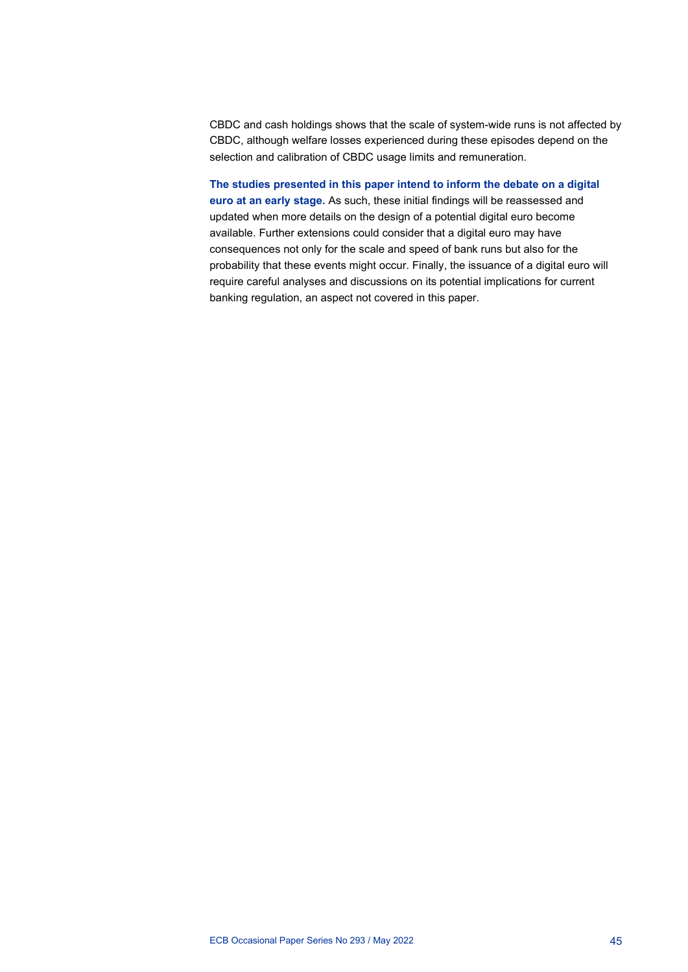CBDC and cash holdings shows that the scale of system-wide runs is not affected by CBDC, although welfare losses experienced during these episodes depend on the selection and calibration of CBDC usage limits and remuneration.

**The studies presented in this paper intend to inform the debate on a digital euro at an early stage.** As such, these initial findings will be reassessed and updated when more details on the design of a potential digital euro become available. Further extensions could consider that a digital euro may have consequences not only for the scale and speed of bank runs but also for the probability that these events might occur. Finally, the issuance of a digital euro will require careful analyses and discussions on its potential implications for current banking regulation, an aspect not covered in this paper.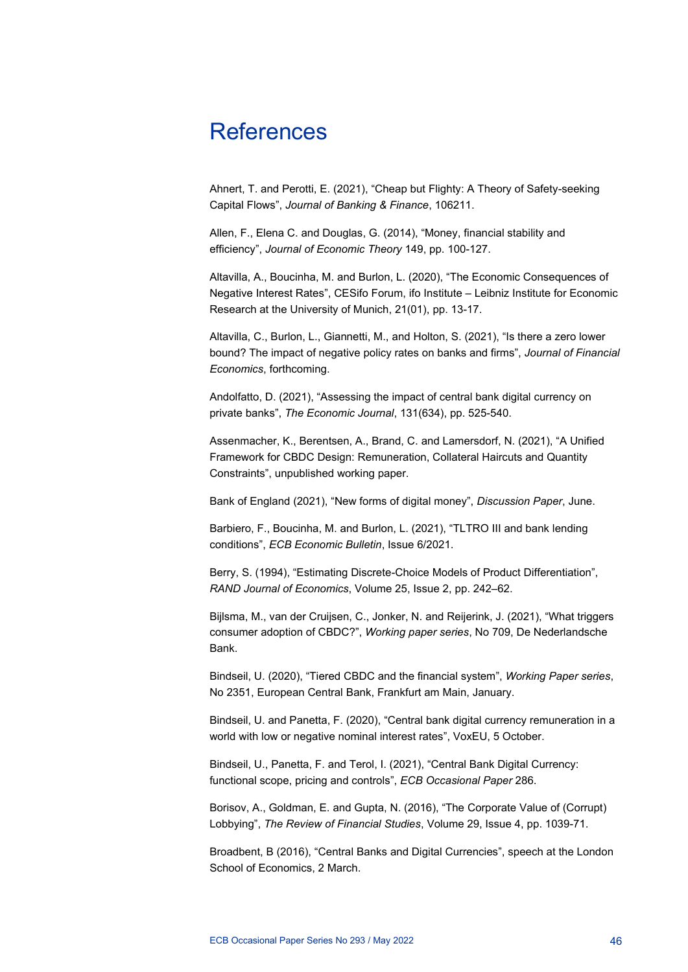# **References**

Ahnert, T. and Perotti, E. (2021), "Cheap but Flighty: A Theory of Safety-seeking Capital Flows", *Journal of Banking & Finance*, 106211.

Allen, F., Elena C. and Douglas, G. (2014), "Money, financial stability and efficiency", *Journal of Economic Theory* 149, pp. 100-127.

Altavilla, A., Boucinha, M. and Burlon, L. (2020), "The Economic Consequences of Negative Interest Rates", CESifo Forum, ifo Institute – Leibniz Institute for Economic Research at the University of Munich, 21(01), pp. 13-17.

Altavilla, C., Burlon, L., Giannetti, M., and Holton, S. (2021), "Is there a zero lower bound? The impact of negative policy rates on banks and firms", *Journal of Financial Economics*, forthcoming.

Andolfatto, D. (2021), "Assessing the impact of central bank digital currency on private banks", *The Economic Journal*, 131(634), pp. 525-540.

Assenmacher, K., Berentsen, A., Brand, C. and Lamersdorf, N. (2021), "A Unified Framework for CBDC Design: Remuneration, Collateral Haircuts and Quantity Constraints", unpublished working paper.

Bank of England (2021), "New forms of digital money", *Discussion Paper*, June.

Barbiero, F., Boucinha, M. and Burlon, L. (2021), "TLTRO III and bank lending conditions", *ECB Economic Bulletin*, Issue 6/2021.

Berry, S. (1994), "Estimating Discrete-Choice Models of Product Differentiation", *RAND Journal of Economics*, Volume 25, Issue 2, pp. 242–62.

Bijlsma, M., van der Cruijsen, C., Jonker, N. and Reijerink, J. (2021), "What triggers consumer adoption of CBDC?", *Working paper series*, No 709, De Nederlandsche Bank.

Bindseil, U. (2020), "Tiered CBDC and the financial system", *Working Paper series*, No 2351, European Central Bank, Frankfurt am Main, January.

Bindseil, U. and Panetta, F. (2020), "Central bank digital currency remuneration in a world with low or negative nominal interest rates", VoxEU, 5 October.

Bindseil, U., Panetta, F. and Terol, I. (2021), "Central Bank Digital Currency: functional scope, pricing and controls", *ECB Occasional Paper* 286.

Borisov, A., Goldman, E. and Gupta, N. (2016), "The Corporate Value of (Corrupt) Lobbying", *The Review of Financial Studies*, Volume 29, Issue 4, pp. 1039-71.

Broadbent, B (2016), "Central Banks and Digital Currencies", speech at the London School of Economics, 2 March.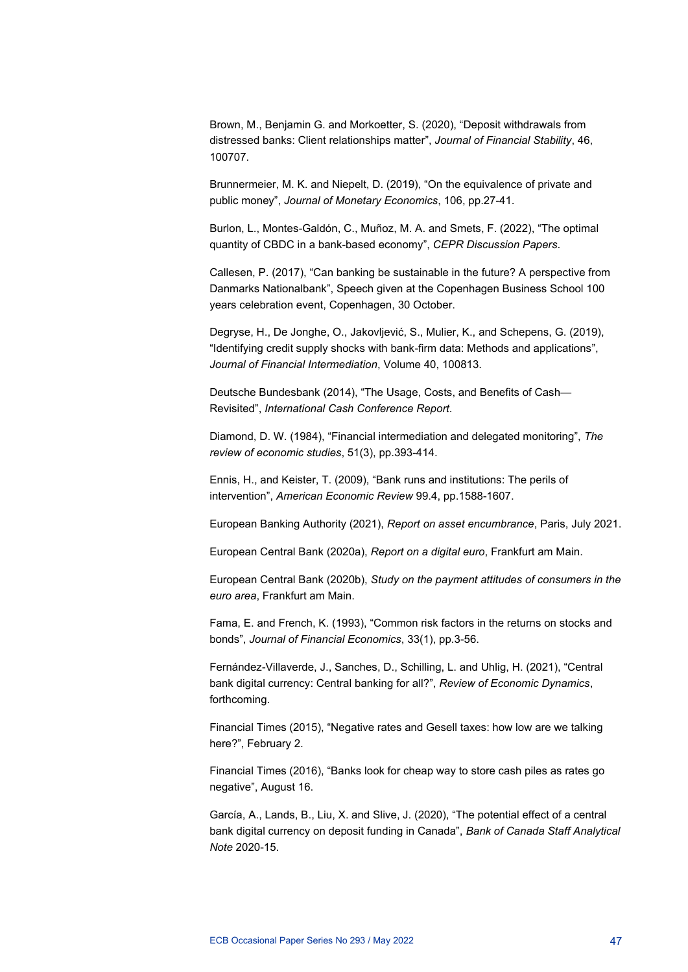Brown, M., Benjamin G. and Morkoetter, S. (2020), "Deposit withdrawals from distressed banks: Client relationships matter", *Journal of Financial Stability*, 46, 100707.

Brunnermeier, M. K. and Niepelt, D. (2019), "On the equivalence of private and public money", *Journal of Monetary Economics*, 106, pp.27-41.

Burlon, L., Montes-Galdón, C., Muñoz, M. A. and Smets, F. (2022), "The optimal quantity of CBDC in a bank-based economy", *CEPR Discussion Papers*.

Callesen, P. (2017), "Can banking be sustainable in the future? A perspective from Danmarks Nationalbank", Speech given at the Copenhagen Business School 100 years celebration event, Copenhagen, 30 October.

Degryse, H., De Jonghe, O., Jakovljević, S., Mulier, K., and Schepens, G. (2019), "Identifying credit supply shocks with bank-firm data: Methods and applications", *Journal of Financial Intermediation*, Volume 40, 100813.

Deutsche Bundesbank (2014), "The Usage, Costs, and Benefits of Cash— Revisited", *International Cash Conference Report*.

Diamond, D. W. (1984), "Financial intermediation and delegated monitoring", *The review of economic studies*, 51(3), pp.393-414.

Ennis, H., and Keister, T. (2009), "Bank runs and institutions: The perils of intervention", *American Economic Review* 99.4, pp.1588-1607.

European Banking Authority (2021), *Report on asset encumbrance*, Paris, July 2021.

European Central Bank (2020a), *Report on a digital euro*, Frankfurt am Main.

European Central Bank (2020b), *Study on the payment attitudes of consumers in the euro area*, Frankfurt am Main.

Fama, E. and French, K. (1993), "Common risk factors in the returns on stocks and bonds", *Journal of Financial Economics*, 33(1), pp.3-56.

Fernández-Villaverde, J., Sanches, D., Schilling, L. and Uhlig, H. (2021), "Central bank digital currency: Central banking for all?", *Review of Economic Dynamics*, forthcoming.

Financial Times (2015), "Negative rates and Gesell taxes: how low are we talking here?", February 2.

Financial Times (2016), "Banks look for cheap way to store cash piles as rates go negative", August 16.

García, A., Lands, B., Liu, X. and Slive, J. (2020), "The potential effect of a central bank digital currency on deposit funding in Canada", *Bank of Canada Staff Analytical Note* 2020-15.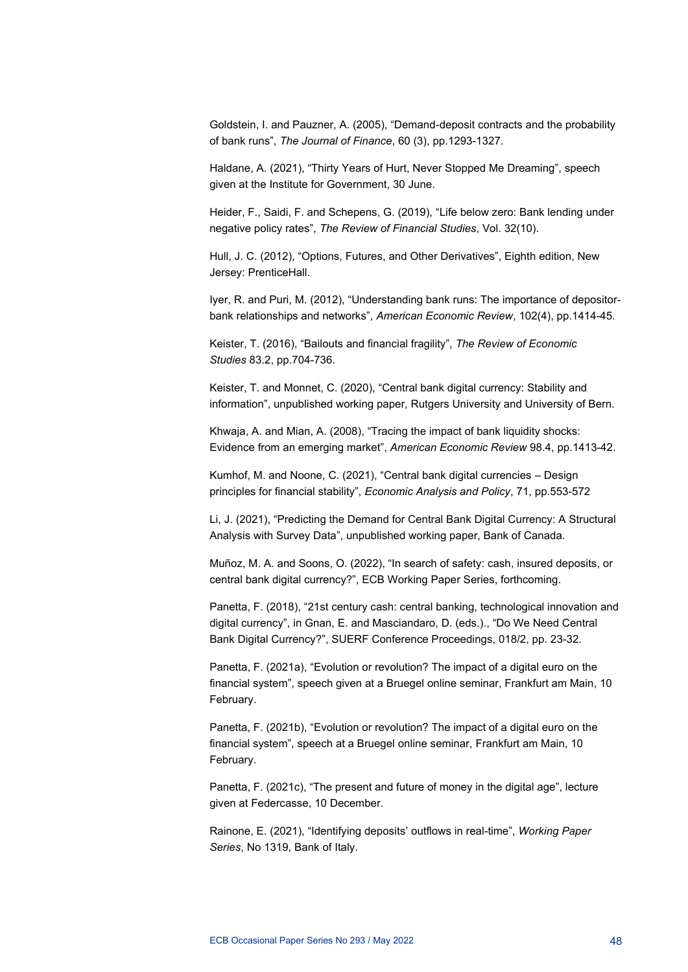Goldstein, I. and Pauzner, A. (2005), "Demand-deposit contracts and the probability of bank runs", *The Journal of Finance*, 60 (3), pp.1293-1327.

Haldane, A. (2021), "Thirty Years of Hurt, Never Stopped Me Dreaming", speech given at the Institute for Government, 30 June.

Heider, F., Saidi, F. and Schepens, G. (2019), "Life below zero: Bank lending under negative policy rates", *The Review of Financial Studies*, Vol. 32(10).

Hull, J. C. (2012), "Options, Futures, and Other Derivatives", Eighth edition, New Jersey: PrenticeHall.

Iyer, R. and Puri, M. (2012), "Understanding bank runs: The importance of depositorbank relationships and networks", *American Economic Review*, 102(4), pp.1414-45.

Keister, T. (2016), "Bailouts and financial fragility", *The Review of Economic Studies* 83.2, pp.704-736.

Keister, T. and Monnet, C. (2020), "Central bank digital currency: Stability and information", unpublished working paper, Rutgers University and University of Bern.

Khwaja, A. and Mian, A. (2008), "Tracing the impact of bank liquidity shocks: Evidence from an emerging market", *American Economic Review* 98.4, pp.1413-42.

Kumhof, M. and Noone, C. (2021), "Central bank digital currencies – Design principles for financial stability", *Economic Analysis and Policy*, 71, pp.553-572

Li, J. (2021), "Predicting the Demand for Central Bank Digital Currency: A Structural Analysis with Survey Data", unpublished working paper, Bank of Canada.

Muñoz, M. A. and Soons, O. (2022), "In search of safety: cash, insured deposits, or central bank digital currency?", ECB Working Paper Series, forthcoming.

Panetta, F. (2018), "21st century cash: central banking, technological innovation and digital currency", in Gnan, E. and Masciandaro, D. (eds.)., "Do We Need Central Bank Digital Currency?", SUERF Conference Proceedings, 018/2, pp. 23-32.

Panetta, F. (2021a), "Evolution or revolution? The impact of a digital euro on the financial system", speech given at a Bruegel online seminar, Frankfurt am Main, 10 February.

Panetta, F. (2021b), "Evolution or revolution? The impact of a digital euro on the financial system", speech at a Bruegel online seminar, Frankfurt am Main, 10 February.

Panetta, F. (2021c), "The present and future of money in the digital age", lecture given at Federcasse, 10 December.

Rainone, E. (2021), "Identifying deposits' outflows in real-time", *Working Paper Series*, No 1319, Bank of Italy.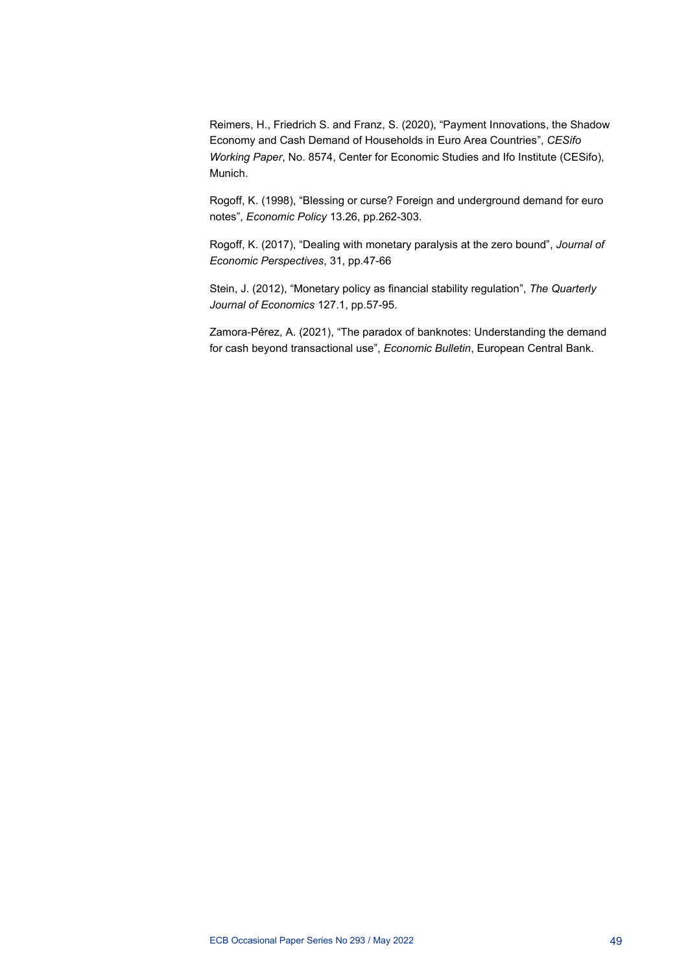Reimers, H., Friedrich S. and Franz, S. (2020), "Payment Innovations, the Shadow Economy and Cash Demand of Households in Euro Area Countries", *CESifo Working Paper*, No. 8574, Center for Economic Studies and Ifo Institute (CESifo), Munich.

Rogoff, K. (1998), "Blessing or curse? Foreign and underground demand for euro notes", *Economic Policy* 13.26, pp.262-303.

Rogoff, K. (2017), "Dealing with monetary paralysis at the zero bound", *Journal of Economic Perspectives*, 31, pp.47-66

Stein, J. (2012), "Monetary policy as financial stability regulation", *The Quarterly Journal of Economics* 127.1, pp.57-95.

Zamora-Pérez, A. (2021), "The paradox of banknotes: Understanding the demand for cash beyond transactional use", *Economic Bulletin*, European Central Bank.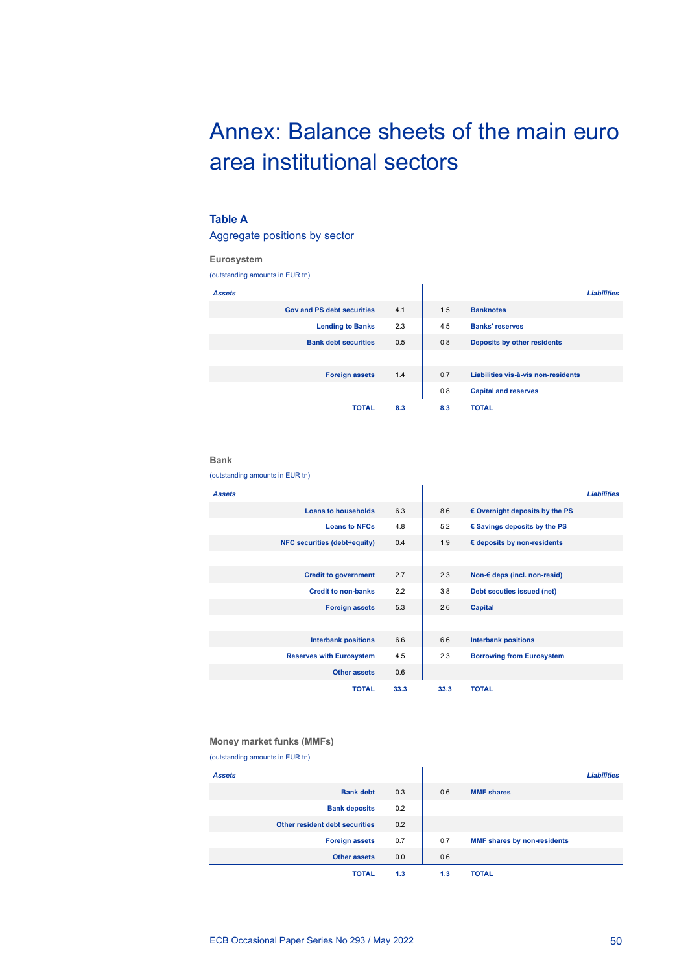# Annex: Balance sheets of the main euro area institutional sectors

#### **Table A**

Aggregate positions by sector

#### **Eurosystem**

(outstanding amounts in EUR tn)

| <b>Assets</b>                     |     |     | <b>Liabilities</b>                  |
|-----------------------------------|-----|-----|-------------------------------------|
| <b>Gov and PS debt securities</b> | 4.1 | 1.5 | <b>Banknotes</b>                    |
| <b>Lending to Banks</b>           | 2.3 | 4.5 | <b>Banks' reserves</b>              |
| <b>Bank debt securities</b>       | 0.5 | 0.8 | Deposits by other residents         |
|                                   |     |     |                                     |
| <b>Foreign assets</b>             | 1.4 | 0.7 | Liabilities vis-à-vis non-residents |
|                                   |     | 0.8 | <b>Capital and reserves</b>         |
| <b>TOTAL</b>                      | 8.3 | 8.3 | <b>TOTAL</b>                        |
|                                   |     |     |                                     |

#### **Bank**

(outstanding amounts in EUR tn)

| <b>Assets</b>                       |      |      | <b>Liabilities</b>                    |
|-------------------------------------|------|------|---------------------------------------|
| <b>Loans to households</b>          | 6.3  | 8.6  | € Overnight deposits by the PS        |
| <b>Loans to NFCs</b>                | 4.8  | 5.2  | $\epsilon$ Savings deposits by the PS |
| <b>NFC securities (debt+equity)</b> | 0.4  | 1.9  | € deposits by non-residents           |
|                                     |      |      |                                       |
| <b>Credit to government</b>         | 2.7  | 2.3  | Non-€ deps (incl. non-resid)          |
| <b>Credit to non-banks</b>          | 2.2  | 3.8  | Debt secuties issued (net)            |
| <b>Foreign assets</b>               | 5.3  | 2.6  | Capital                               |
|                                     |      |      |                                       |
| <b>Interbank positions</b>          | 6.6  | 6.6  | <b>Interbank positions</b>            |
| <b>Reserves with Eurosystem</b>     | 4.5  | 2.3  | <b>Borrowing from Eurosystem</b>      |
| Other assets                        | 0.6  |      |                                       |
| <b>TOTAL</b>                        | 33.3 | 33.3 | <b>TOTAL</b>                          |

#### **Money market funks (MMFs)**

(outstanding amounts in EUR tn)

| <b>Assets</b>                  |     |     |                             | <b>Liabilities</b> |
|--------------------------------|-----|-----|-----------------------------|--------------------|
| <b>Bank debt</b>               | 0.3 | 0.6 | <b>MMF</b> shares           |                    |
| <b>Bank deposits</b>           | 0.2 |     |                             |                    |
| Other resident debt securities | 0.2 |     |                             |                    |
| <b>Foreign assets</b>          | 0.7 | 0.7 | MMF shares by non-residents |                    |
| <b>Other assets</b>            | 0.0 | 0.6 |                             |                    |
| <b>TOTAL</b>                   | 1.3 | 1.3 | <b>TOTAL</b>                |                    |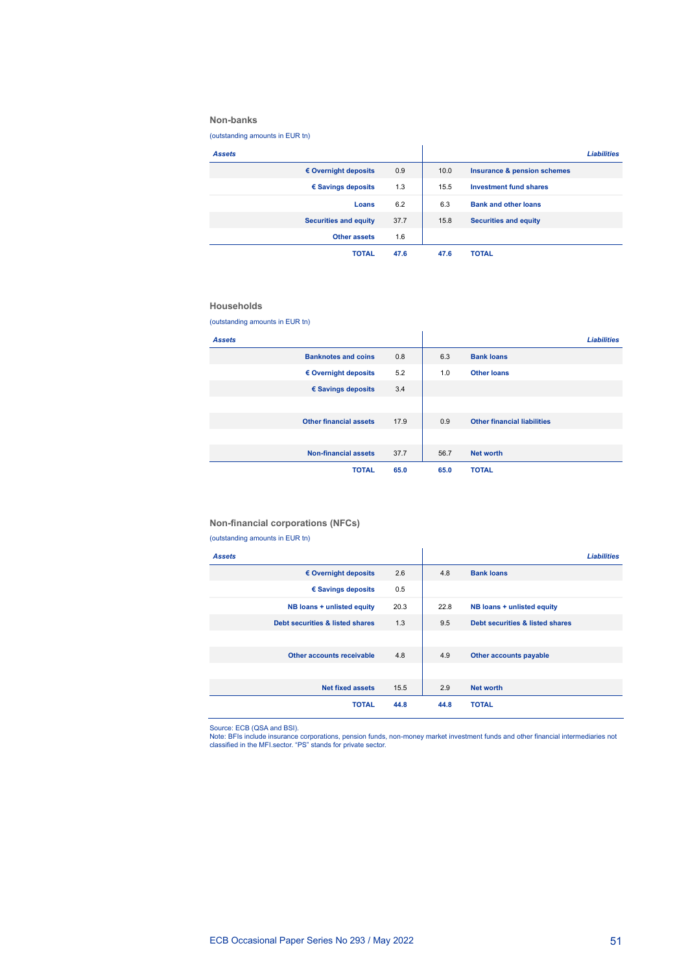#### **Non-banks**

(outstanding amounts in EUR tn)

| <b>Assets</b>                 |      |      | <b>Liabilities</b>                     |
|-------------------------------|------|------|----------------------------------------|
| $\epsilon$ Overnight deposits | 0.9  | 10.0 | <b>Insurance &amp; pension schemes</b> |
| € Savings deposits            | 1.3  | 15.5 | <b>Investment fund shares</b>          |
| Loans                         | 6.2  | 6.3  | <b>Bank and other loans</b>            |
| Securities and equity         | 37.7 | 15.8 | <b>Securities and equity</b>           |
| <b>Other assets</b>           | 1.6  |      |                                        |
| <b>TOTAL</b>                  | 47.6 | 47.6 | <b>TOTAL</b>                           |

#### **Households**

(outstanding amounts in EUR tn)

| <b>Assets</b>                 |      |      |                                    | <b>Liabilities</b> |
|-------------------------------|------|------|------------------------------------|--------------------|
| <b>Banknotes and coins</b>    | 0.8  | 6.3  | <b>Bank loans</b>                  |                    |
| € Overnight deposits          | 5.2  | 1.0  | <b>Other loans</b>                 |                    |
| € Savings deposits            | 3.4  |      |                                    |                    |
|                               |      |      |                                    |                    |
| <b>Other financial assets</b> | 17.9 | 0.9  | <b>Other financial liabilities</b> |                    |
|                               |      |      |                                    |                    |
| <b>Non-financial assets</b>   | 37.7 | 56.7 | <b>Net worth</b>                   |                    |
| <b>TOTAL</b>                  | 65.0 | 65.0 | <b>TOTAL</b>                       |                    |
|                               |      |      |                                    |                    |

### **Non-financial corporations (NFCs)**

(outstanding amounts in EUR tn)

| <b>Assets</b>                   |      |      |                                 | <b>Liabilities</b> |
|---------------------------------|------|------|---------------------------------|--------------------|
| $\epsilon$ Overnight deposits   | 2.6  | 4.8  | <b>Bank loans</b>               |                    |
| € Savings deposits              | 0.5  |      |                                 |                    |
| NB loans + unlisted equity      | 20.3 | 22.8 | NB loans + unlisted equity      |                    |
| Debt securities & listed shares | 1.3  | 9.5  | Debt securities & listed shares |                    |
|                                 |      |      |                                 |                    |
| Other accounts receivable       | 4.8  | 4.9  | Other accounts payable          |                    |
|                                 |      |      |                                 |                    |
| <b>Net fixed assets</b>         | 15.5 | 2.9  | Net worth                       |                    |
| <b>TOTAL</b>                    | 44.8 | 44.8 | <b>TOTAL</b>                    |                    |

Source: ECB (QSA and BSI).<br>Note: BFIs include insurance corporations, pension funds, non-money market investment funds and other financial intermediaries not<br>classified in the MFI.sector. "PS" stands for private sector.